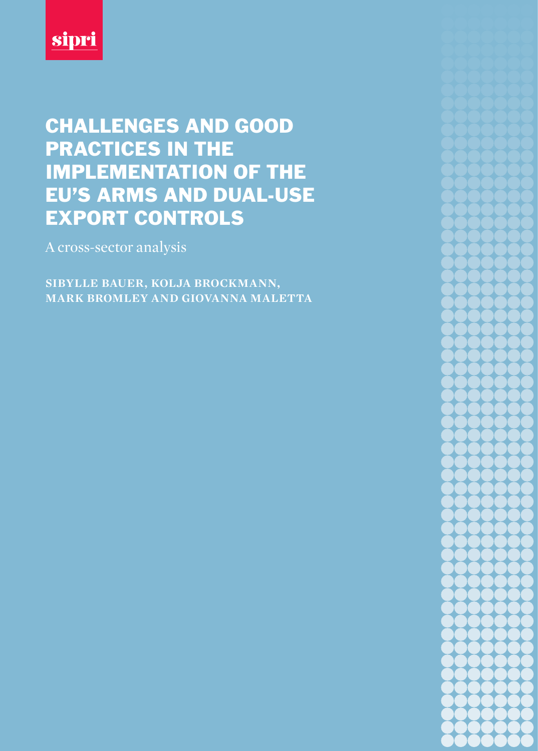

# CHALLENGES AND GOOD PRACTICES IN THE IMPLEMENTATION OF THE EU'S ARMS AND DUAL-USE EXPORT CONTROLS

A cross-sector analysis

**sibylle bauer, kolja brockmann, mark bromley and giovanna maletta**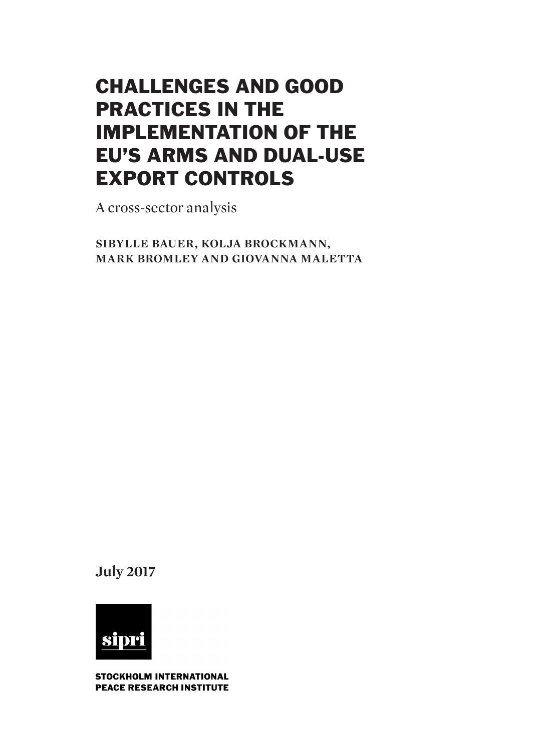# CHALLENGES AND GOOD PRACTICES IN THE IMPLEMENTATION OF THE EU'S ARMS AND DUAL-USE EXPORT CONTROLS

A cross-sector analysis

**sibylle bauer, kolja brockmann, mark bromley and giovanna maletta**

**July 2017**



STOCKHOLM INTERNATIONAL **PEACE RESEARCH INSTITUTE**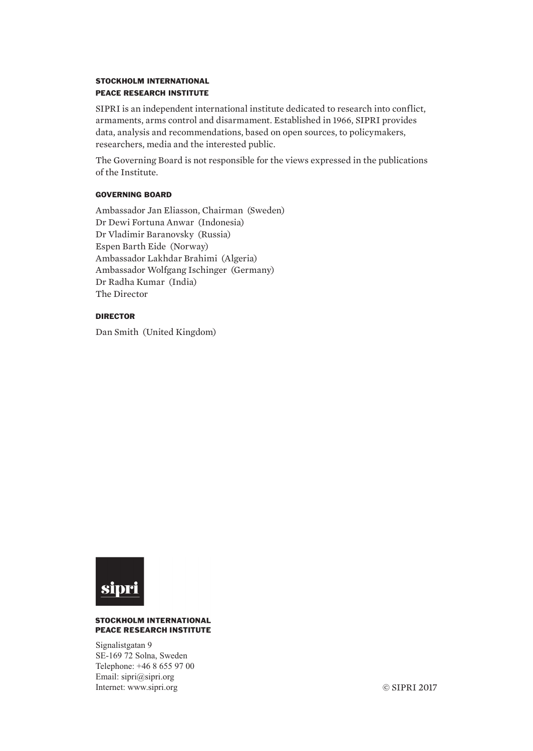# STOCKHOLM INTERNATIONAL PEACE RESEARCH INSTITUTE

SIPRI is an independent international institute dedicated to research into conflict, armaments, arms control and disarmament. Established in 1966, SIPRI provides data, analysis and recommendations, based on open sources, to policymakers, researchers, media and the interested public.

The Governing Board is not responsible for the views expressed in the publications of the Institute.

# GOVERNING BOARD

Ambassador Jan Eliasson, Chairman (Sweden) Dr Dewi Fortuna Anwar (Indonesia) Dr Vladimir Baranovsky (Russia) Espen Barth Eide (Norway) Ambassador Lakhdar Brahimi (Algeria) Ambassador Wolfgang Ischinger (Germany) Dr Radha Kumar (India) The Director

# DIRECTOR

Dan Smith (United Kingdom)



#### **STOCKHOLM INTERNATIONAL PEACE RESEARCH INSTITUTE**

Signalistgatan 9 SE-169 72 Solna, Sweden Telephone: +46 8 655 97 00 Email: sipri@sipri.org Internet: www.sipri.org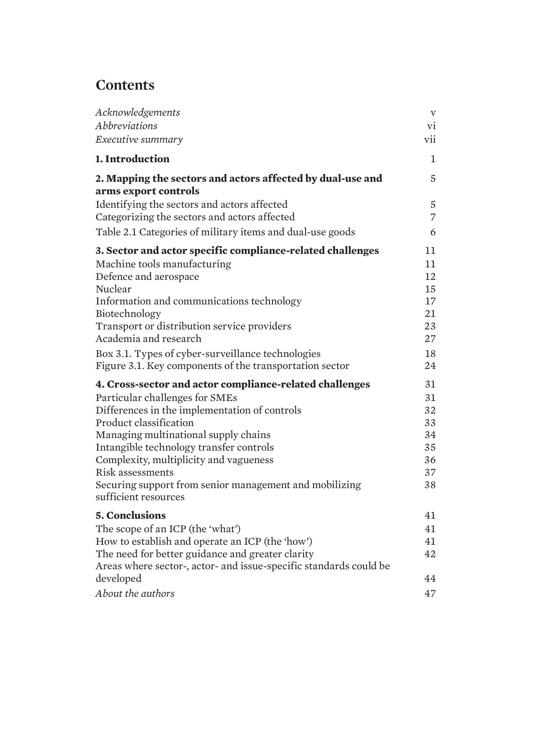# **Contents**

| Acknowledgements                                                                            | $\mathbf{V}$                     |
|---------------------------------------------------------------------------------------------|----------------------------------|
| <b>Abbreviations</b>                                                                        | vi                               |
| Executive summary                                                                           | vii                              |
| 1. Introduction                                                                             | $\mathbf 1$                      |
| 2. Mapping the sectors and actors affected by dual-use and<br>arms export controls          | 5                                |
| Identifying the sectors and actors affected<br>Categorizing the sectors and actors affected | $\overline{5}$<br>$\overline{7}$ |
| Table 2.1 Categories of military items and dual-use goods                                   | 6                                |
| 3. Sector and actor specific compliance-related challenges                                  | 11                               |
| Machine tools manufacturing                                                                 | 11                               |
| Defence and aerospace                                                                       | 12                               |
| Nuclear                                                                                     | 15                               |
| Information and communications technology                                                   | 17                               |
| Biotechnology                                                                               | 21                               |
| Transport or distribution service providers<br>Academia and research                        | 23<br>27                         |
| Box 3.1. Types of cyber-surveillance technologies                                           | 18                               |
| Figure 3.1. Key components of the transportation sector                                     | 24                               |
| 4. Cross-sector and actor compliance-related challenges                                     | 31                               |
| Particular challenges for SMEs                                                              | 31                               |
| Differences in the implementation of controls                                               | 32                               |
| Product classification                                                                      | 33                               |
| Managing multinational supply chains                                                        | 34                               |
| Intangible technology transfer controls                                                     | 35                               |
| Complexity, multiplicity and vagueness<br><b>Risk assessments</b>                           | 36<br>37                         |
| Securing support from senior management and mobilizing                                      | 38                               |
| sufficient resources                                                                        |                                  |
| <b>5. Conclusions</b>                                                                       | 41                               |
| The scope of an ICP (the 'what')                                                            | 41                               |
| How to establish and operate an ICP (the 'how')                                             | 41                               |
| The need for better guidance and greater clarity                                            | 42                               |
| Areas where sector-, actor- and issue-specific standards could be                           |                                  |
| developed                                                                                   | 44                               |
| About the authors                                                                           | 47                               |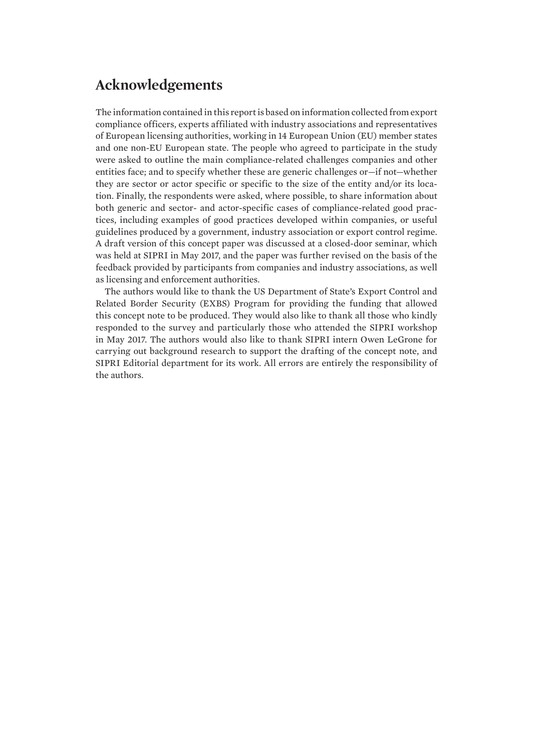# **Acknowledgements**

The information contained in this report is based on information collected from export compliance officers, experts affiliated with industry associations and representatives of European licensing authorities, working in 14 European Union (EU) member states and one non-EU European state. The people who agreed to participate in the study were asked to outline the main compliance-related challenges companies and other entities face; and to specify whether these are generic challenges or—if not—whether they are sector or actor specific or specific to the size of the entity and/or its location. Finally, the respondents were asked, where possible, to share information about both generic and sector- and actor-specific cases of compliance-related good practices, including examples of good practices developed within companies, or useful guidelines produced by a government, industry association or export control regime. A draft version of this concept paper was discussed at a closed-door seminar, which was held at SIPRI in May 2017, and the paper was further revised on the basis of the feedback provided by participants from companies and industry associations, as well as licensing and enforcement authorities.

The authors would like to thank the US Department of State's Export Control and Related Border Security (EXBS) Program for providing the funding that allowed this concept note to be produced. They would also like to thank all those who kindly responded to the survey and particularly those who attended the SIPRI workshop in May 2017. The authors would also like to thank SIPRI intern Owen LeGrone for carrying out background research to support the drafting of the concept note, and SIPRI Editorial department for its work. All errors are entirely the responsibility of the authors.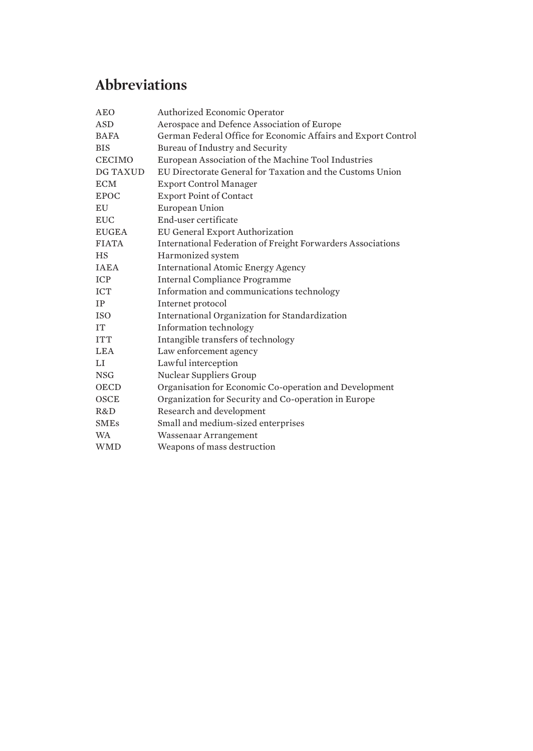# <span id="page-7-0"></span>**Abbreviations**

| <b>AEO</b>    | <b>Authorized Economic Operator</b>                                |
|---------------|--------------------------------------------------------------------|
| <b>ASD</b>    | Aerospace and Defence Association of Europe                        |
| <b>BAFA</b>   | German Federal Office for Economic Affairs and Export Control      |
| <b>BIS</b>    | Bureau of Industry and Security                                    |
| <b>CECIMO</b> | European Association of the Machine Tool Industries                |
| DG TAXUD      | EU Directorate General for Taxation and the Customs Union          |
| <b>ECM</b>    | <b>Export Control Manager</b>                                      |
| <b>EPOC</b>   | <b>Export Point of Contact</b>                                     |
| EU            | European Union                                                     |
| <b>EUC</b>    | End-user certificate                                               |
| <b>EUGEA</b>  | EU General Export Authorization                                    |
| <b>FIATA</b>  | <b>International Federation of Freight Forwarders Associations</b> |
| <b>HS</b>     | Harmonized system                                                  |
| <b>IAEA</b>   | <b>International Atomic Energy Agency</b>                          |
| <b>ICP</b>    | <b>Internal Compliance Programme</b>                               |
| <b>ICT</b>    | Information and communications technology                          |
| IP            | Internet protocol                                                  |
| <b>ISO</b>    | International Organization for Standardization                     |
| <b>IT</b>     | Information technology                                             |
| <b>ITT</b>    | Intangible transfers of technology                                 |
| <b>LEA</b>    | Law enforcement agency                                             |
| LI            | Lawful interception                                                |
| <b>NSG</b>    | Nuclear Suppliers Group                                            |
| <b>OECD</b>   | Organisation for Economic Co-operation and Development             |
| <b>OSCE</b>   | Organization for Security and Co-operation in Europe               |
| R&D           | Research and development                                           |
| <b>SMEs</b>   | Small and medium-sized enterprises                                 |
| <b>WA</b>     | Wassenaar Arrangement                                              |
| <b>WMD</b>    | Weapons of mass destruction                                        |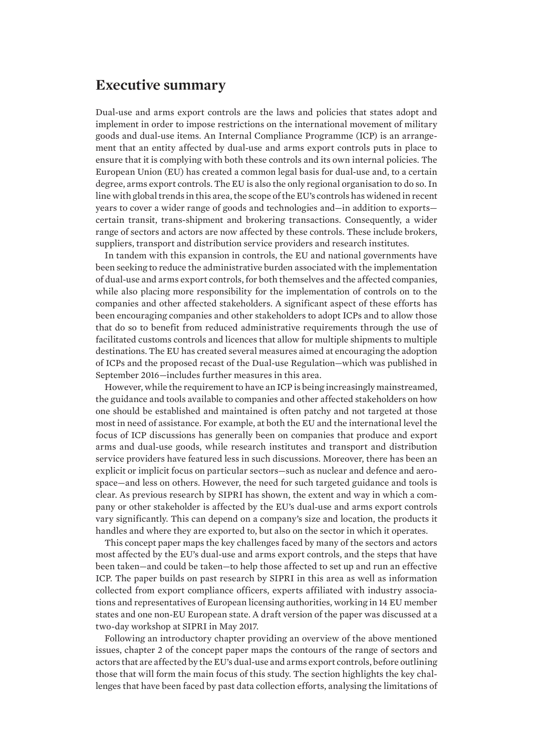# <span id="page-8-0"></span>**Executive summary**

Dual-use and arms export controls are the laws and policies that states adopt and implement in order to impose restrictions on the international movement of military goods and dual-use items. An Internal Compliance Programme (ICP) is an arrangement that an entity affected by dual-use and arms export controls puts in place to ensure that it is complying with both these controls and its own internal policies. The European Union (EU) has created a common legal basis for dual-use and, to a certain degree, arms export controls. The EU is also the only regional organisation to do so. In line with global trends in this area, the scope of the EU's controls has widened in recent years to cover a wider range of goods and technologies and—in addition to exports certain transit, trans-shipment and brokering transactions. Consequently, a wider range of sectors and actors are now affected by these controls. These include brokers, suppliers, transport and distribution service providers and research institutes.

In tandem with this expansion in controls, the EU and national governments have been seeking to reduce the administrative burden associated with the implementation of dual-use and arms export controls, for both themselves and the affected companies, while also placing more responsibility for the implementation of controls on to the companies and other affected stakeholders. A significant aspect of these efforts has been encouraging companies and other stakeholders to adopt ICPs and to allow those that do so to benefit from reduced administrative requirements through the use of facilitated customs controls and licences that allow for multiple shipments to multiple destinations. The EU has created several measures aimed at encouraging the adoption of ICPs and the proposed recast of the Dual-use Regulation—which was published in September 2016—includes further measures in this area.

However, while the requirement to have an ICP is being increasingly mainstreamed, the guidance and tools available to companies and other affected stakeholders on how one should be established and maintained is often patchy and not targeted at those most in need of assistance. For example, at both the EU and the international level the focus of ICP discussions has generally been on companies that produce and export arms and dual-use goods, while research institutes and transport and distribution service providers have featured less in such discussions. Moreover, there has been an explicit or implicit focus on particular sectors—such as nuclear and defence and aerospace—and less on others. However, the need for such targeted guidance and tools is clear. As previous research by SIPRI has shown, the extent and way in which a company or other stakeholder is affected by the EU's dual-use and arms export controls vary significantly. This can depend on a company's size and location, the products it handles and where they are exported to, but also on the sector in which it operates.

This concept paper maps the key challenges faced by many of the sectors and actors most affected by the EU's dual-use and arms export controls, and the steps that have been taken—and could be taken—to help those affected to set up and run an effective ICP. The paper builds on past research by SIPRI in this area as well as information collected from export compliance officers, experts affiliated with industry associations and representatives of European licensing authorities, working in 14 EU member states and one non-EU European state. A draft version of the paper was discussed at a two-day workshop at SIPRI in May 2017.

Following an introductory chapter providing an overview of the above mentioned issues, chapter 2 of the concept paper maps the contours of the range of sectors and actors that are affected by the EU's dual-use and arms export controls, before outlining those that will form the main focus of this study. The section highlights the key challenges that have been faced by past data collection efforts, analysing the limitations of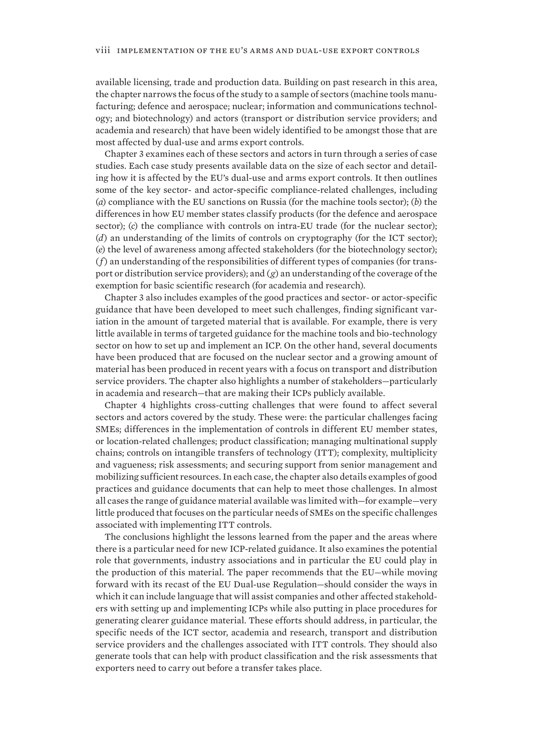available licensing, trade and production data. Building on past research in this area, the chapter narrows the focus of the study to a sample of sectors (machine tools manufacturing; defence and aerospace; nuclear; information and communications technology; and biotechnology) and actors (transport or distribution service providers; and academia and research) that have been widely identified to be amongst those that are most affected by dual-use and arms export controls.

Chapter 3 examines each of these sectors and actors in turn through a series of case studies. Each case study presents available data on the size of each sector and detailing how it is affected by the EU's dual-use and arms export controls. It then outlines some of the key sector- and actor-specific compliance-related challenges, including (*a*) compliance with the EU sanctions on Russia (for the machine tools sector); (*b*) the differences in how EU member states classify products (for the defence and aerospace sector); (*c*) the compliance with controls on intra-EU trade (for the nuclear sector); (*d*) an understanding of the limits of controls on cryptography (for the ICT sector); (*e*) the level of awareness among affected stakeholders (for the biotechnology sector); (*f*) an understanding of the responsibilities of different types of companies (for transport or distribution service providers); and (*g*) an understanding of the coverage of the exemption for basic scientific research (for academia and research).

Chapter 3 also includes examples of the good practices and sector- or actor-specific guidance that have been developed to meet such challenges, finding significant variation in the amount of targeted material that is available. For example, there is very little available in terms of targeted guidance for the machine tools and bio-technology sector on how to set up and implement an ICP. On the other hand, several documents have been produced that are focused on the nuclear sector and a growing amount of material has been produced in recent years with a focus on transport and distribution service providers. The chapter also highlights a number of stakeholders—particularly in academia and research—that are making their ICPs publicly available.

Chapter 4 highlights cross-cutting challenges that were found to affect several sectors and actors covered by the study. These were: the particular challenges facing SMEs; differences in the implementation of controls in different EU member states, or location-related challenges; product classification; managing multinational supply chains; controls on intangible transfers of technology (ITT); complexity, multiplicity and vagueness; risk assessments; and securing support from senior management and mobilizing sufficient resources. In each case, the chapter also details examples of good practices and guidance documents that can help to meet those challenges. In almost all cases the range of guidance material available was limited with—for example—very little produced that focuses on the particular needs of SMEs on the specific challenges associated with implementing ITT controls.

The conclusions highlight the lessons learned from the paper and the areas where there is a particular need for new ICP-related guidance. It also examines the potential role that governments, industry associations and in particular the EU could play in the production of this material. The paper recommends that the EU—while moving forward with its recast of the EU Dual-use Regulation—should consider the ways in which it can include language that will assist companies and other affected stakeholders with setting up and implementing ICPs while also putting in place procedures for generating clearer guidance material. These efforts should address, in particular, the specific needs of the ICT sector, academia and research, transport and distribution service providers and the challenges associated with ITT controls. They should also generate tools that can help with product classification and the risk assessments that exporters need to carry out before a transfer takes place.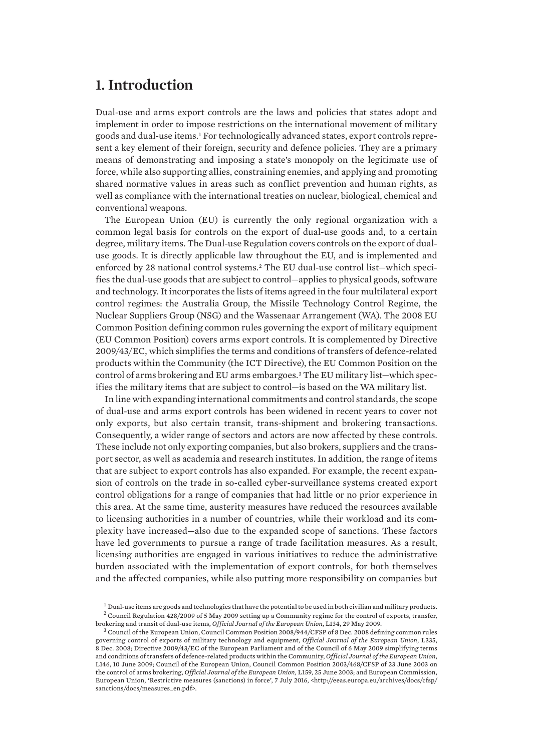# <span id="page-10-0"></span>**1. Introduction**

Dual-use and arms export controls are the laws and policies that states adopt and implement in order to impose restrictions on the international movement of military goods and dual-use items.1 For technologically advanced states, export controls represent a key element of their foreign, security and defence policies. They are a primary means of demonstrating and imposing a state's monopoly on the legitimate use of force, while also supporting allies, constraining enemies, and applying and promoting shared normative values in areas such as conflict prevention and human rights, as well as compliance with the international treaties on nuclear, biological, chemical and conventional weapons.

The European Union (EU) is currently the only regional organization with a common legal basis for controls on the export of dual-use goods and, to a certain degree, military items. The Dual-use Regulation covers controls on the export of dualuse goods. It is directly applicable law throughout the EU, and is implemented and enforced by 28 national control systems.2 The EU dual-use control list—which specifies the dual-use goods that are subject to control—applies to physical goods, software and technology. It incorporates the lists of items agreed in the four multilateral export control regimes: the Australia Group, the Missile Technology Control Regime, the Nuclear Suppliers Group (NSG) and the Wassenaar Arrangement (WA). The 2008 EU Common Position defining common rules governing the export of military equipment (EU Common Position) covers arms export controls. It is complemented by Directive 2009/43/EC, which simplifies the terms and conditions of transfers of defence-related products within the Community (the ICT Directive), the EU Common Position on the control of arms brokering and EU arms embargoes.3 The EU military list—which specifies the military items that are subject to control—is based on the WA military list.

In line with expanding international commitments and control standards, the scope of dual-use and arms export controls has been widened in recent years to cover not only exports, but also certain transit, trans-shipment and brokering transactions. Consequently, a wider range of sectors and actors are now affected by these controls. These include not only exporting companies, but also brokers, suppliers and the transport sector, as well as academia and research institutes. In addition, the range of items that are subject to export controls has also expanded. For example, the recent expansion of controls on the trade in so-called cyber-surveillance systems created export control obligations for a range of companies that had little or no prior experience in this area. At the same time, austerity measures have reduced the resources available to licensing authorities in a number of countries, while their workload and its complexity have increased—also due to the expanded scope of sanctions. These factors have led governments to pursue a range of trade facilitation measures. As a result, licensing authorities are engaged in various initiatives to reduce the administrative burden associated with the implementation of export controls, for both themselves and the affected companies, while also putting more responsibility on companies but

 $^1$  Dual-use items are goods and technologies that have the potential to be used in both civilian and military products.  $^2$  Council Regulation 428/2009 of 5 May 2009 setting up a Community regime for the control of exports, transfer, brokering and transit of dual-use items, *Official Journal of the European Union*, L134, 29 May 2009.

<sup>3</sup> Council of the European Union, Council Common Position 2008/944/CFSP of 8 Dec. 2008 defining common rules governing control of exports of military technology and equipment, *Official Journal of the European Union,* L335, 8 Dec. 2008; Directive 2009/43/EC of the European Parliament and of the Council of 6 May 2009 simplifying terms and conditions of transfers of defence-related products within the Community, *Official Journal of the European Union*, L146, 10 June 2009; Council of the European Union, Council Common Position 2003/468/CFSP of 23 June 2003 on the control of arms brokering, *Official Journal of the European Union,* L159, 25 June 2003; and European Commission, European Union, 'Restrictive measures (sanctions) in force', 7 July 2016, <http://eeas.europa.eu/archives/docs/cfsp/ sanctions/docs/measures\_en.pdf>.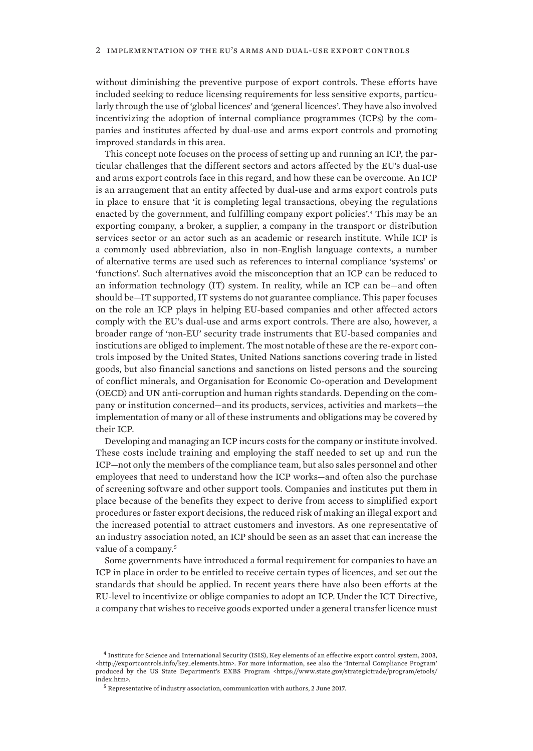without diminishing the preventive purpose of export controls. These efforts have included seeking to reduce licensing requirements for less sensitive exports, particularly through the use of 'global licences' and 'general licences'. They have also involved incentivizing the adoption of internal compliance programmes (ICPs) by the companies and institutes affected by dual-use and arms export controls and promoting improved standards in this area.

This concept note focuses on the process of setting up and running an ICP, the particular challenges that the different sectors and actors affected by the EU's dual-use and arms export controls face in this regard, and how these can be overcome. An ICP is an arrangement that an entity affected by dual-use and arms export controls puts in place to ensure that 'it is completing legal transactions, obeying the regulations enacted by the government, and fulfilling company export policies'.4 This may be an exporting company, a broker, a supplier, a company in the transport or distribution services sector or an actor such as an academic or research institute. While ICP is a commonly used abbreviation, also in non-English language contexts, a number of alternative terms are used such as references to internal compliance 'systems' or 'functions'. Such alternatives avoid the misconception that an ICP can be reduced to an information technology (IT) system. In reality, while an ICP can be—and often should be—IT supported, IT systems do not guarantee compliance. This paper focuses on the role an ICP plays in helping EU-based companies and other affected actors comply with the EU's dual-use and arms export controls. There are also, however, a broader range of 'non-EU' security trade instruments that EU-based companies and institutions are obliged to implement. The most notable of these are the re-export controls imposed by the United States, United Nations sanctions covering trade in listed goods, but also financial sanctions and sanctions on listed persons and the sourcing of conflict minerals, and Organisation for Economic Co-operation and Development (OECD) and UN anti-corruption and human rights standards. Depending on the company or institution concerned—and its products, services, activities and markets—the implementation of many or all of these instruments and obligations may be covered by their ICP.

Developing and managing an ICP incurs costs for the company or institute involved. These costs include training and employing the staff needed to set up and run the ICP—not only the members of the compliance team, but also sales personnel and other employees that need to understand how the ICP works—and often also the purchase of screening software and other support tools. Companies and institutes put them in place because of the benefits they expect to derive from access to simplified export procedures or faster export decisions, the reduced risk of making an illegal export and the increased potential to attract customers and investors. As one representative of an industry association noted, an ICP should be seen as an asset that can increase the value of a company.<sup>5</sup>

Some governments have introduced a formal requirement for companies to have an ICP in place in order to be entitled to receive certain types of licences, and set out the standards that should be applied. In recent years there have also been efforts at the EU-level to incentivize or oblige companies to adopt an ICP. Under the ICT Directive, a company that wishes to receive goods exported under a general transfer licence must

<sup>4</sup> Institute for Science and International Security (ISIS), Key elements of an effective export control system, 2003, <http://exportcontrols.info/key\_elements.htm>. For more information, see also the 'Internal Compliance Program' produced by the US State Department's EXBS Program <https://www.state.gov/strategictrade/program/etools/ index.htm>.

<sup>5</sup> Representative of industry association, communication with authors, 2 June 2017.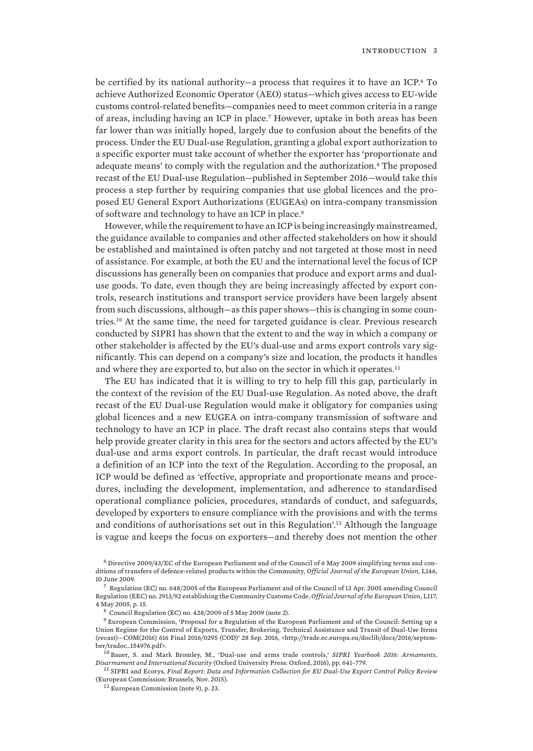be certified by its national authority—a process that requires it to have an ICP.<sup>6</sup> To achieve Authorized Economic Operator (AEO) status—which gives access to EU-wide customs control-related benefits—companies need to meet common criteria in a range of areas, including having an ICP in place.7 However, uptake in both areas has been far lower than was initially hoped, largely due to confusion about the benefits of the process. Under the EU Dual-use Regulation, granting a global export authorization to a specific exporter must take account of whether the exporter has 'proportionate and adequate means' to comply with the regulation and the authorization.<sup>8</sup> The proposed recast of the EU Dual-use Regulation—published in September 2016—would take this process a step further by requiring companies that use global licences and the proposed EU General Export Authorizations (EUGEAs) on intra-company transmission of software and technology to have an ICP in place.<sup>9</sup>

However, while the requirement to have an ICP is being increasingly mainstreamed, the guidance available to companies and other affected stakeholders on how it should be established and maintained is often patchy and not targeted at those most in need of assistance. For example, at both the EU and the international level the focus of ICP discussions has generally been on companies that produce and export arms and dualuse goods. To date, even though they are being increasingly affected by export controls, research institutions and transport service providers have been largely absent from such discussions, although—as this paper shows—this is changing in some countries.10 At the same time, the need for targeted guidance is clear. Previous research conducted by SIPRI has shown that the extent to and the way in which a company or other stakeholder is affected by the EU's dual-use and arms export controls vary significantly. This can depend on a company's size and location, the products it handles and where they are exported to, but also on the sector in which it operates.<sup>11</sup>

The EU has indicated that it is willing to try to help fill this gap, particularly in the context of the revision of the EU Dual-use Regulation. As noted above, the draft recast of the EU Dual-use Regulation would make it obligatory for companies using global licences and a new EUGEA on intra-company transmission of software and technology to have an ICP in place. The draft recast also contains steps that would help provide greater clarity in this area for the sectors and actors affected by the EU's dual-use and arms export controls. In particular, the draft recast would introduce a definition of an ICP into the text of the Regulation. According to the proposal, an ICP would be defined as 'effective, appropriate and proportionate means and procedures, including the development, implementation, and adherence to standardised operational compliance policies, procedures, standards of conduct, and safeguards, developed by exporters to ensure compliance with the provisions and with the terms and conditions of authorisations set out in this Regulation'.<sup>12</sup> Although the language is vague and keeps the focus on exporters—and thereby does not mention the other

 $^8$  Council Regulation (EC) no. 428/2009 of 5 May 2009 (note 2).

<sup>6</sup> Directive 2009/43/EC of the European Parliament and of the Council of 6 May 2009 simplifying terms and conditions of transfers of defence-related products within the Community, *Official Journal of the European Union*, L146, 10 June 2009.

 $^7$  Regulation (EC) no. 648/2005 of the European Parliament and of the Council of 13 Apr. 2005 amending Council Regulation (EEC) no. 2913/92 establishing the Community Customs Code, *Official Journal of the European Union*, L117, 4 May 2005, p. 15.

 $9$  European Commission, 'Proposal for a Regulation of the European Parliament and of the Council: Setting up a Union Regime for the Control of Exports, Transfer, Brokering, Technical Assistance and Transit of Dual-Use Items (recast)—COM(2016) 616 Final 2016/0295 (COD)' 28 Sep. 2016, <http://trade.ec.europa.eu/doclib/docs/2016/september/tradoc\_154976.pdf>.

<sup>10</sup> Bauer, S. and Mark Bromley, M., 'Dual-use and arms trade controls,' *SIPRI Yearbook 2016: Armaments, Disarmament and International Security* (Oxford University Press: Oxford, 2016), pp. 641–779.

<sup>11</sup> SIPRI and Ecorys, *Final Report: Data and Information Collection for EU Dual-Use Export Control Policy Review*  (European Commission: Brussels, Nov. 2015).

<sup>12</sup> European Commission (note 9), p. 23.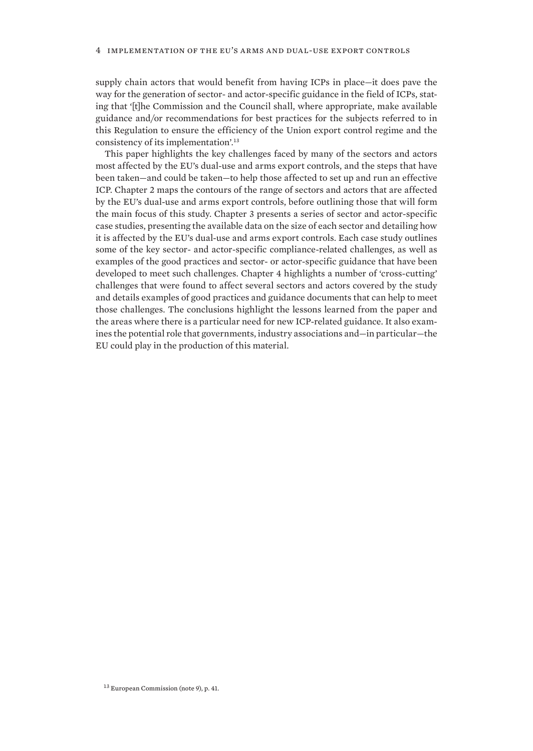supply chain actors that would benefit from having ICPs in place—it does pave the way for the generation of sector- and actor-specific guidance in the field of ICPs, stating that '[t]he Commission and the Council shall, where appropriate, make available guidance and/or recommendations for best practices for the subjects referred to in this Regulation to ensure the efficiency of the Union export control regime and the consistency of its implementation'.<sup>13</sup>

This paper highlights the key challenges faced by many of the sectors and actors most affected by the EU's dual-use and arms export controls, and the steps that have been taken—and could be taken—to help those affected to set up and run an effective ICP. Chapter 2 maps the contours of the range of sectors and actors that are affected by the EU's dual-use and arms export controls, before outlining those that will form the main focus of this study. Chapter 3 presents a series of sector and actor-specific case studies, presenting the available data on the size of each sector and detailing how it is affected by the EU's dual-use and arms export controls. Each case study outlines some of the key sector- and actor-specific compliance-related challenges, as well as examples of the good practices and sector- or actor-specific guidance that have been developed to meet such challenges. Chapter 4 highlights a number of 'cross-cutting' challenges that were found to affect several sectors and actors covered by the study and details examples of good practices and guidance documents that can help to meet those challenges. The conclusions highlight the lessons learned from the paper and the areas where there is a particular need for new ICP-related guidance. It also examines the potential role that governments, industry associations and—in particular—the EU could play in the production of this material.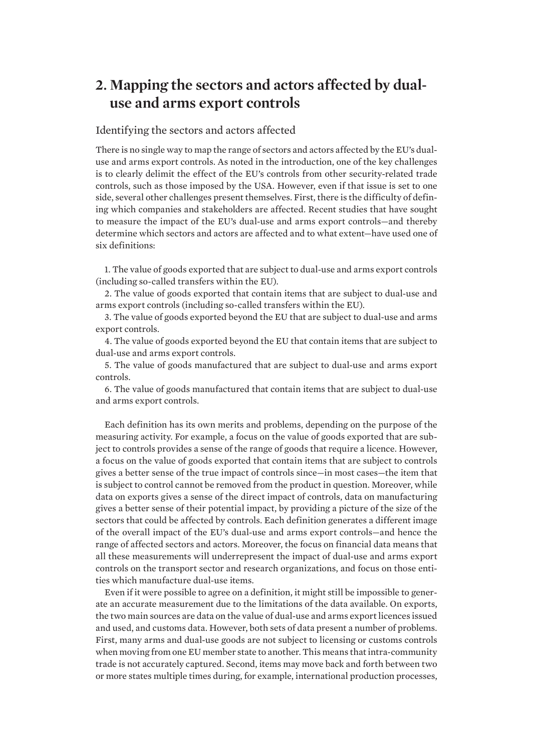# <span id="page-14-0"></span>**2. Mapping the sectors and actors affected by dualuse and arms export controls**

# Identifying the sectors and actors affected

There is no single way to map the range of sectors and actors affected by the EU's dualuse and arms export controls. As noted in the introduction, one of the key challenges is to clearly delimit the effect of the EU's controls from other security-related trade controls, such as those imposed by the USA. However, even if that issue is set to one side, several other challenges present themselves. First, there is the difficulty of defining which companies and stakeholders are affected. Recent studies that have sought to measure the impact of the EU's dual-use and arms export controls—and thereby determine which sectors and actors are affected and to what extent—have used one of six definitions:

1. The value of goods exported that are subject to dual-use and arms export controls (including so-called transfers within the EU).

2. The value of goods exported that contain items that are subject to dual-use and arms export controls (including so-called transfers within the EU).

3. The value of goods exported beyond the EU that are subject to dual-use and arms export controls.

4. The value of goods exported beyond the EU that contain items that are subject to dual-use and arms export controls.

5. The value of goods manufactured that are subject to dual-use and arms export controls.

6. The value of goods manufactured that contain items that are subject to dual-use and arms export controls.

Each definition has its own merits and problems, depending on the purpose of the measuring activity. For example, a focus on the value of goods exported that are subject to controls provides a sense of the range of goods that require a licence. However, a focus on the value of goods exported that contain items that are subject to controls gives a better sense of the true impact of controls since—in most cases—the item that is subject to control cannot be removed from the product in question. Moreover, while data on exports gives a sense of the direct impact of controls, data on manufacturing gives a better sense of their potential impact, by providing a picture of the size of the sectors that could be affected by controls. Each definition generates a different image of the overall impact of the EU's dual-use and arms export controls—and hence the range of affected sectors and actors. Moreover, the focus on financial data means that all these measurements will underrepresent the impact of dual-use and arms export controls on the transport sector and research organizations, and focus on those entities which manufacture dual-use items.

Even if it were possible to agree on a definition, it might still be impossible to generate an accurate measurement due to the limitations of the data available. On exports, the two main sources are data on the value of dual-use and arms export licences issued and used, and customs data. However, both sets of data present a number of problems. First, many arms and dual-use goods are not subject to licensing or customs controls when moving from one EU member state to another. This means that intra-community trade is not accurately captured. Second, items may move back and forth between two or more states multiple times during, for example, international production processes,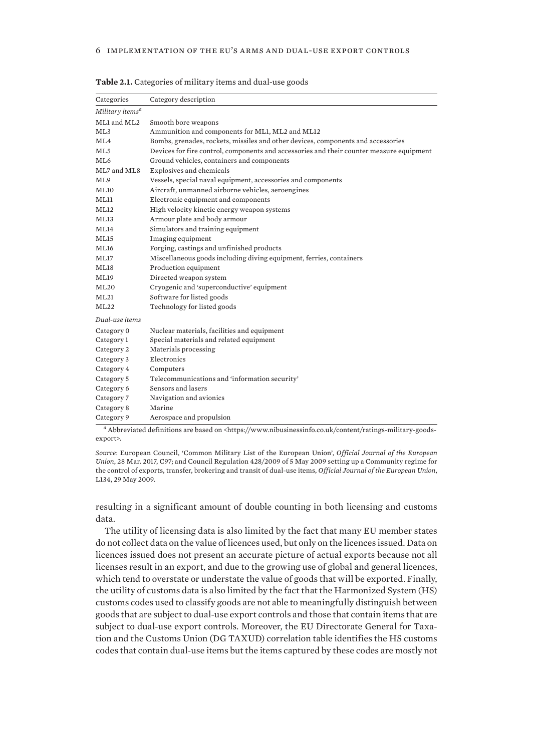| Categories                  | Category description                                                                     |
|-----------------------------|------------------------------------------------------------------------------------------|
| Military items <sup>a</sup> |                                                                                          |
| ML1 and ML2                 | Smooth bore weapons                                                                      |
| ML3                         | Ammunition and components for ML1, ML2 and ML12                                          |
| ML4                         | Bombs, grenades, rockets, missiles and other devices, components and accessories         |
| ML5                         | Devices for fire control, components and accessories and their counter measure equipment |
| ML <sub>6</sub>             | Ground vehicles, containers and components                                               |
| ML7 and ML8                 | Explosives and chemicals                                                                 |
| ML9                         | Vessels, special naval equipment, accessories and components                             |
| ML10                        | Aircraft, unmanned airborne vehicles, aeroengines                                        |
| ML11                        | Electronic equipment and components                                                      |
| ML12                        | High velocity kinetic energy weapon systems                                              |
| ML13                        | Armour plate and body armour                                                             |
| ML14                        | Simulators and training equipment                                                        |
| ML15                        | Imaging equipment                                                                        |
| ML16                        | Forging, castings and unfinished products                                                |
| ML17                        | Miscellaneous goods including diving equipment, ferries, containers                      |
| ML18                        | Production equipment                                                                     |
| <b>ML19</b>                 | Directed weapon system                                                                   |
| ML20                        | Cryogenic and 'superconductive' equipment                                                |
| ML21                        | Software for listed goods                                                                |
| ML22                        | Technology for listed goods                                                              |
| Dual-use items              |                                                                                          |
| Category 0                  | Nuclear materials, facilities and equipment                                              |
| Category 1                  | Special materials and related equipment                                                  |
| Category 2                  | Materials processing                                                                     |
| Category 3                  | Electronics                                                                              |
| Category 4                  | Computers                                                                                |
| Category 5                  | Telecommunications and 'information security'                                            |
| Category 6                  | Sensors and lasers                                                                       |
| Category 7                  | Navigation and avionics                                                                  |
| Category 8                  | Marine                                                                                   |
| Category 9                  | Aerospace and propulsion                                                                 |

<span id="page-15-0"></span>**Table 2.1.** Categories of military items and dual-use goods

*<sup>a</sup>* Abbreviated definitions are based on <https://www.nibusinessinfo.co.uk/content/ratings-military-goodsexport>.

*Source*: European Council, 'Common Military List of the European Union', *Official Journal of the European Union*, 28 Mar. 2017, C97; and Council Regulation 428/2009 of 5 May 2009 setting up a Community regime for the control of exports, transfer, brokering and transit of dual-use items, *Official Journal of the European Union*, L134, 29 May 2009.

resulting in a significant amount of double counting in both licensing and customs data.

The utility of licensing data is also limited by the fact that many EU member states do not collect data on the value of licences used, but only on the licences issued. Data on licences issued does not present an accurate picture of actual exports because not all licenses result in an export, and due to the growing use of global and general licences, which tend to overstate or understate the value of goods that will be exported. Finally, the utility of customs data is also limited by the fact that the Harmonized System (HS) customs codes used to classify goods are not able to meaningfully distinguish between goods that are subject to dual-use export controls and those that contain items that are subject to dual-use export controls*.* Moreover, the EU Directorate General for Taxation and the Customs Union (DG TAXUD) correlation table identifies the HS customs codes that contain dual-use items but the items captured by these codes are mostly not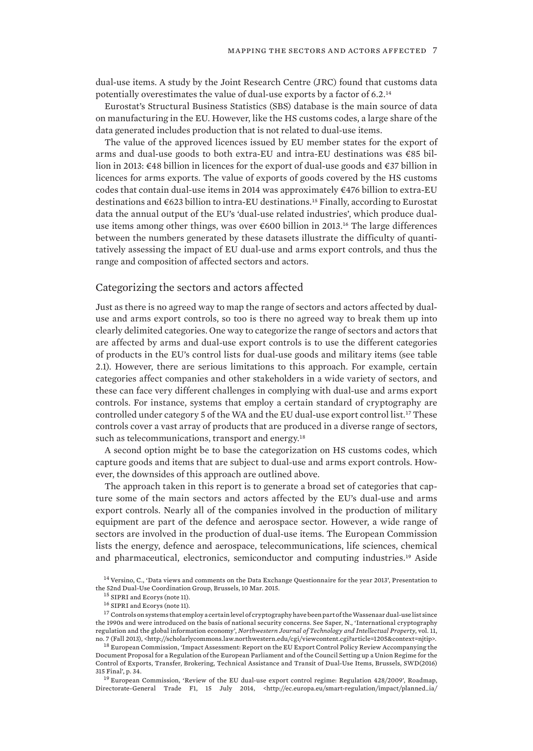<span id="page-16-0"></span>dual-use items. A study by the Joint Research Centre (JRC) found that customs data potentially overestimates the value of dual-use exports by a factor of 6.2.<sup>14</sup>

Eurostat's Structural Business Statistics (SBS) database is the main source of data on manufacturing in the EU. However, like the HS customs codes, a large share of the data generated includes production that is not related to dual-use items.

The value of the approved licences issued by EU member states for the export of arms and dual-use goods to both extra-EU and intra-EU destinations was €85 billion in 2013: €48 billion in licences for the export of dual-use goods and €37 billion in licences for arms exports. The value of exports of goods covered by the HS customs codes that contain dual-use items in 2014 was approximately €476 billion to extra-EU destinations and  $\epsilon$ 623 billion to intra-EU destinations.<sup>15</sup> Finally, according to Eurostat data the annual output of the EU's 'dual-use related industries', which produce dualuse items among other things, was over €600 billion in 2013.16 The large differences between the numbers generated by these datasets illustrate the difficulty of quantitatively assessing the impact of EU dual-use and arms export controls, and thus the range and composition of affected sectors and actors.

## Categorizing the sectors and actors affected

Just as there is no agreed way to map the range of sectors and actors affected by dualuse and arms export controls, so too is there no agreed way to break them up into clearly delimited categories. One way to categorize the range of sectors and actors that are affected by arms and dual-use export controls is to use the different categories of products in the EU's control lists for dual-use goods and military items (see table 2.1). However, there are serious limitations to this approach. For example, certain categories affect companies and other stakeholders in a wide variety of sectors, and these can face very different challenges in complying with dual-use and arms export controls. For instance, systems that employ a certain standard of cryptography are controlled under category 5 of the WA and the EU dual-use export control list.17 These controls cover a vast array of products that are produced in a diverse range of sectors, such as telecommunications, transport and energy.<sup>18</sup>

A second option might be to base the categorization on HS customs codes, which capture goods and items that are subject to dual-use and arms export controls. However, the downsides of this approach are outlined above.

The approach taken in this report is to generate a broad set of categories that capture some of the main sectors and actors affected by the EU's dual-use and arms export controls. Nearly all of the companies involved in the production of military equipment are part of the defence and aerospace sector. However, a wide range of sectors are involved in the production of dual-use items. The European Commission lists the energy, defence and aerospace, telecommunications, life sciences, chemical and pharmaceutical, electronics, semiconductor and computing industries.19 Aside

 $^{17}$  Controls on systems that employ a certain level of cryptography have been part of the Wassenaar dual-use list since the 1990s and were introduced on the basis of national security concerns. See Saper, N., 'International cryptography regulation and the global information economy', *Northwestern Journal of Technology and Intellectual Property*, vol. 11, no. 7 (Fall 2013), <http://scholarlycommons.law.northwestern.edu/cgi/viewcontent.cgi?article=1205&context=njtip>.

 $^{18}$  European Commission, 'Impact Assessment: Report on the EU Export Control Policy Review Accompanying the Document Proposal for a Regulation of the European Parliament and of the Council Setting up a Union Regime for the Control of Exports, Transfer, Brokering, Technical Assistance and Transit of Dual-Use Items, Brussels, SWD(2016) 315 Final', p. 34.

<sup>19</sup> European Commission, 'Review of the EU dual-use export control regime: Regulation 428/2009', Roadmap, Directorate-General Trade F1, 15 July 2014, <http://ec.europa.eu/smart-regulation/impact/planned\_ia/

<sup>&</sup>lt;sup>14</sup> Versino, C., 'Data views and comments on the Data Exchange Questionnaire for the year 2013', Presentation to the 52nd Dual-Use Coordination Group, Brussels, 10 Mar. 2015.

 $^{15}$  SIPRI and Ecorys (note 11).

<sup>16</sup> SIPRI and Ecorys (note 11).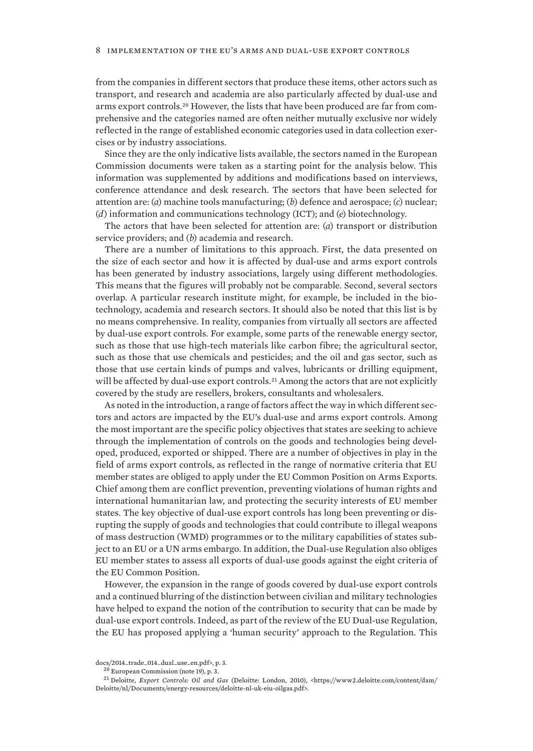from the companies in different sectors that produce these items, other actors such as transport, and research and academia are also particularly affected by dual-use and arms export controls.20 However, the lists that have been produced are far from comprehensive and the categories named are often neither mutually exclusive nor widely reflected in the range of established economic categories used in data collection exercises or by industry associations.

Since they are the only indicative lists available, the sectors named in the European Commission documents were taken as a starting point for the analysis below. This information was supplemented by additions and modifications based on interviews, conference attendance and desk research. The sectors that have been selected for attention are: (*a*) machine tools manufacturing; (*b*) defence and aerospace; (*c*) nuclear; (*d*) information and communications technology (ICT); and (*e*) biotechnology.

The actors that have been selected for attention are: (*a*) transport or distribution service providers; and (*b*) academia and research.

There are a number of limitations to this approach. First, the data presented on the size of each sector and how it is affected by dual-use and arms export controls has been generated by industry associations, largely using different methodologies. This means that the figures will probably not be comparable. Second, several sectors overlap. A particular research institute might, for example, be included in the biotechnology, academia and research sectors. It should also be noted that this list is by no means comprehensive. In reality, companies from virtually all sectors are affected by dual-use export controls. For example, some parts of the renewable energy sector, such as those that use high-tech materials like carbon fibre; the agricultural sector, such as those that use chemicals and pesticides; and the oil and gas sector, such as those that use certain kinds of pumps and valves, lubricants or drilling equipment, will be affected by dual-use export controls.<sup>21</sup> Among the actors that are not explicitly covered by the study are resellers, brokers, consultants and wholesalers.

As noted in the introduction, a range of factors affect the way in which different sectors and actors are impacted by the EU's dual-use and arms export controls. Among the most important are the specific policy objectives that states are seeking to achieve through the implementation of controls on the goods and technologies being developed, produced, exported or shipped. There are a number of objectives in play in the field of arms export controls, as reflected in the range of normative criteria that EU member states are obliged to apply under the EU Common Position on Arms Exports. Chief among them are conflict prevention, preventing violations of human rights and international humanitarian law, and protecting the security interests of EU member states. The key objective of dual-use export controls has long been preventing or disrupting the supply of goods and technologies that could contribute to illegal weapons of mass destruction (WMD) programmes or to the military capabilities of states subject to an EU or a UN arms embargo. In addition, the Dual-use Regulation also obliges EU member states to assess all exports of dual-use goods against the eight criteria of the EU Common Position.

However, the expansion in the range of goods covered by dual-use export controls and a continued blurring of the distinction between civilian and military technologies have helped to expand the notion of the contribution to security that can be made by dual-use export controls. Indeed, as part of the review of the EU Dual-use Regulation, the EU has proposed applying a 'human security' approach to the Regulation. This

docs/2014\_trade\_014\_dual\_use\_en.pdf>, p. 3.

<sup>20</sup> European Commission (note 19), p. 3.

<sup>21</sup> Deloitte, *Export Controls: Oil and Gas* (Deloitte: London, 2010), <https://www2.deloitte.com/content/dam/ Deloitte/nl/Documents/energy-resources/deloitte-nl-uk-eiu-oilgas.pdf>.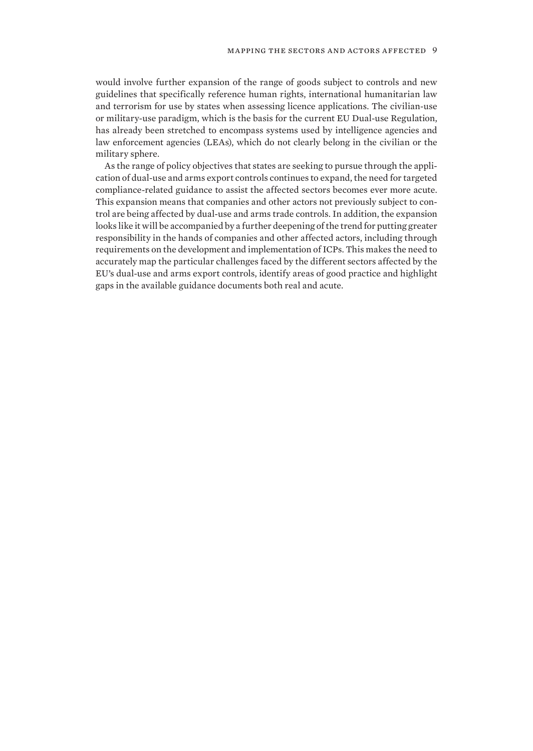would involve further expansion of the range of goods subject to controls and new guidelines that specifically reference human rights, international humanitarian law and terrorism for use by states when assessing licence applications. The civilian-use or military-use paradigm, which is the basis for the current EU Dual-use Regulation, has already been stretched to encompass systems used by intelligence agencies and law enforcement agencies (LEAs), which do not clearly belong in the civilian or the military sphere.

As the range of policy objectives that states are seeking to pursue through the application of dual-use and arms export controls continues to expand, the need for targeted compliance-related guidance to assist the affected sectors becomes ever more acute. This expansion means that companies and other actors not previously subject to control are being affected by dual-use and arms trade controls. In addition, the expansion looks like it will be accompanied by a further deepening of the trend for putting greater responsibility in the hands of companies and other affected actors, including through requirements on the development and implementation of ICPs. This makes the need to accurately map the particular challenges faced by the different sectors affected by the EU's dual-use and arms export controls, identify areas of good practice and highlight gaps in the available guidance documents both real and acute.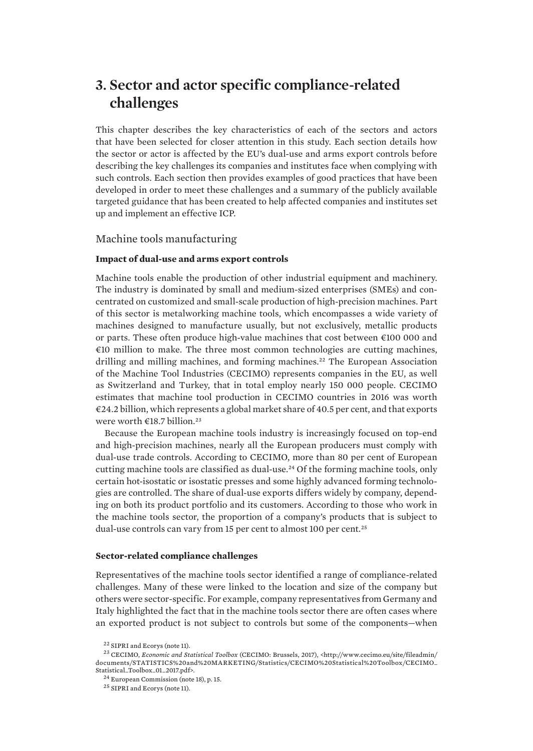# <span id="page-20-0"></span>**3. Sector and actor specific compliance-related challenges**

This chapter describes the key characteristics of each of the sectors and actors that have been selected for closer attention in this study. Each section details how the sector or actor is affected by the EU's dual-use and arms export controls before describing the key challenges its companies and institutes face when complying with such controls. Each section then provides examples of good practices that have been developed in order to meet these challenges and a summary of the publicly available targeted guidance that has been created to help affected companies and institutes set up and implement an effective ICP.

## Machine tools manufacturing

### **Impact of dual-use and arms export controls**

Machine tools enable the production of other industrial equipment and machinery. The industry is dominated by small and medium-sized enterprises (SMEs) and concentrated on customized and small-scale production of high-precision machines. Part of this sector is metalworking machine tools, which encompasses a wide variety of machines designed to manufacture usually, but not exclusively, metallic products or parts. These often produce high-value machines that cost between €100 000 and €10 million to make. The three most common technologies are cutting machines, drilling and milling machines, and forming machines.<sup>22</sup> The European Association of the Machine Tool Industries (CECIMO) represents companies in the EU, as well as Switzerland and Turkey, that in total employ nearly 150 000 people. CECIMO estimates that machine tool production in CECIMO countries in 2016 was worth  $\epsilon$ 24.2 billion, which represents a global market share of 40.5 per cent, and that exports were worth €18.7 billion.<sup>23</sup>

Because the European machine tools industry is increasingly focused on top-end and high-precision machines, nearly all the European producers must comply with dual-use trade controls. According to CECIMO, more than 80 per cent of European cutting machine tools are classified as dual-use.24 Of the forming machine tools, only certain hot-isostatic or isostatic presses and some highly advanced forming technologies are controlled. The share of dual-use exports differs widely by company, depending on both its product portfolio and its customers. According to those who work in the machine tools sector, the proportion of a company's products that is subject to dual-use controls can vary from 15 per cent to almost 100 per cent.<sup>25</sup>

#### **Sector-related compliance challenges**

Representatives of the machine tools sector identified a range of compliance-related challenges. Many of these were linked to the location and size of the company but others were sector-specific. For example, company representatives from Germany and Italy highlighted the fact that in the machine tools sector there are often cases where an exported product is not subject to controls but some of the components—when

<sup>22</sup> SIPRI and Ecorys (note 11).

<sup>23</sup> CECIMO, *Economic and Statistical Toolbox* (CECIMO: Brussels, 2017), <http://www.cecimo.eu/site/fileadmin/ documents/STATISTICS%20and%20MARKETING/Statistics/CECIMO%20Statistical%20Toolbox/CECIMO\_ Statistical\_Toolbox\_01\_2017.pdf>.

<sup>24</sup> European Commission (note 18), p. 15.

<sup>25</sup> SIPRI and Ecorys (note 11).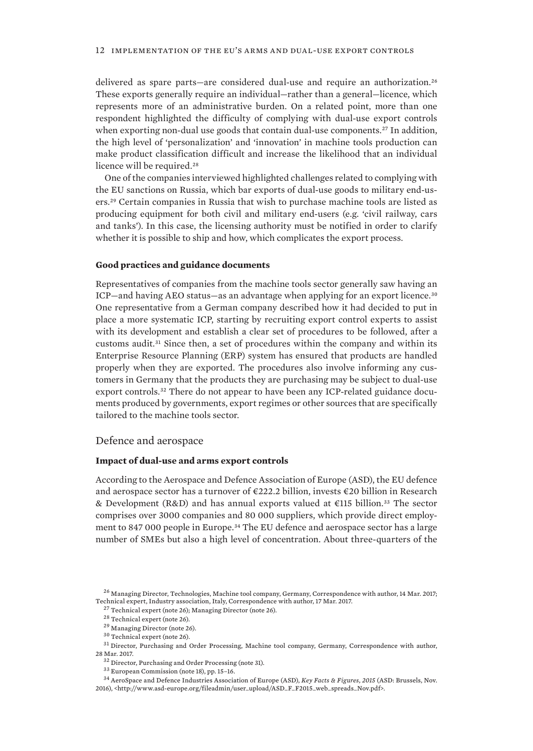<span id="page-21-0"></span>delivered as spare parts—are considered dual-use and require an authorization.<sup>26</sup> These exports generally require an individual—rather than a general—licence, which represents more of an administrative burden. On a related point, more than one respondent highlighted the difficulty of complying with dual-use export controls when exporting non-dual use goods that contain dual-use components.<sup>27</sup> In addition, the high level of 'personalization' and 'innovation' in machine tools production can make product classification difficult and increase the likelihood that an individual licence will be required.<sup>28</sup>

One of the companies interviewed highlighted challenges related to complying with the EU sanctions on Russia, which bar exports of dual-use goods to military end-users.29 Certain companies in Russia that wish to purchase machine tools are listed as producing equipment for both civil and military end-users (e.g. 'civil railway, cars and tanks'). In this case, the licensing authority must be notified in order to clarify whether it is possible to ship and how, which complicates the export process.

#### **Good practices and guidance documents**

Representatives of companies from the machine tools sector generally saw having an ICP—and having AEO status—as an advantage when applying for an export licence.<sup>30</sup> One representative from a German company described how it had decided to put in place a more systematic ICP, starting by recruiting export control experts to assist with its development and establish a clear set of procedures to be followed, after a customs audit.31 Since then, a set of procedures within the company and within its Enterprise Resource Planning (ERP) system has ensured that products are handled properly when they are exported. The procedures also involve informing any customers in Germany that the products they are purchasing may be subject to dual-use export controls.32 There do not appear to have been any ICP-related guidance documents produced by governments, export regimes or other sources that are specifically tailored to the machine tools sector.

#### Defence and aerospace

#### **Impact of dual-use and arms export controls**

According to the Aerospace and Defence Association of Europe (ASD), the EU defence and aerospace sector has a turnover of  $\epsilon$ 222.2 billion, invests  $\epsilon$ 20 billion in Research & Development (R&D) and has annual exports valued at  $\epsilon$ 115 billion.<sup>33</sup> The sector comprises over 3000 companies and 80 000 suppliers, which provide direct employment to 847 000 people in Europe.<sup>34</sup> The EU defence and aerospace sector has a large number of SMEs but also a high level of concentration. About three-quarters of the

<sup>&</sup>lt;sup>26</sup> Managing Director, Technologies, Machine tool company, Germany, Correspondence with author, 14 Mar. 2017; Technical expert, Industry association, Italy, Correspondence with author, 17 Mar. 2017.

<sup>27</sup> Technical expert (note 26); Managing Director (note 26).

<sup>28</sup> Technical expert (note 26).

<sup>29</sup> Managing Director (note 26).

 $^{\rm 30}$  Technical expert (note 26).

<sup>&</sup>lt;sup>31</sup> Director, Purchasing and Order Processing, Machine tool company, Germany, Correspondence with author, 28 Mar. 2017.

<sup>32</sup> Director, Purchasing and Order Processing (note 31).

<sup>33</sup> European Commission (note 18), pp. 15–16.

<sup>34</sup> AeroSpace and Defence Industries Association of Europe (ASD), *Key Facts & Figures, 2015* (ASD: Brussels, Nov. 2016), <http://www.asd-europe.org/fileadmin/user\_upload/ASD\_F\_F2015\_web\_spreads\_Nov.pdf>.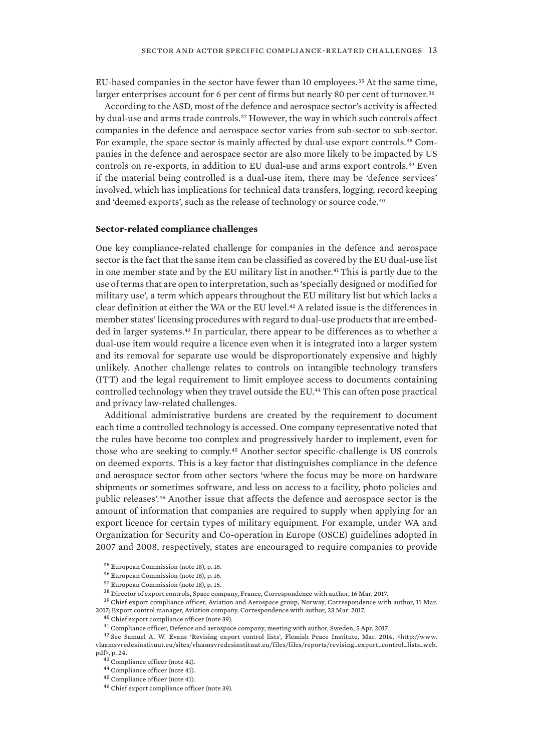EU-based companies in the sector have fewer than 10 employees.35 At the same time, larger enterprises account for 6 per cent of firms but nearly 80 per cent of turnover.<sup>36</sup>

According to the ASD, most of the defence and aerospace sector's activity is affected by dual-use and arms trade controls.37 However, the way in which such controls affect companies in the defence and aerospace sector varies from sub-sector to sub-sector. For example, the space sector is mainly affected by dual-use export controls.<sup>38</sup> Companies in the defence and aerospace sector are also more likely to be impacted by US controls on re-exports, in addition to EU dual-use and arms export controls.39 Even if the material being controlled is a dual-use item, there may be 'defence services' involved, which has implications for technical data transfers, logging, record keeping and 'deemed exports', such as the release of technology or source code.<sup>40</sup>

#### **Sector-related compliance challenges**

One key compliance-related challenge for companies in the defence and aerospace sector is the fact that the same item can be classified as covered by the EU dual-use list in one member state and by the EU military list in another.41This is partly due to the use of terms that are open to interpretation, such as 'specially designed or modified for military use', a term which appears throughout the EU military list but which lacks a clear definition at either the WA or the EU level.42 A related issue is the differences in member states' licensing procedures with regard to dual-use products that are embedded in larger systems.43 In particular, there appear to be differences as to whether a dual-use item would require a licence even when it is integrated into a larger system and its removal for separate use would be disproportionately expensive and highly unlikely. Another challenge relates to controls on intangible technology transfers (ITT) and the legal requirement to limit employee access to documents containing controlled technology when they travel outside the EU.<sup>44</sup> This can often pose practical and privacy law-related challenges.

Additional administrative burdens are created by the requirement to document each time a controlled technology is accessed. One company representative noted that the rules have become too complex and progressively harder to implement, even for those who are seeking to comply.45 Another sector specific-challenge is US controls on deemed exports. This is a key factor that distinguishes compliance in the defence and aerospace sector from other sectors 'where the focus may be more on hardware shipments or sometimes software, and less on access to a facility, photo policies and public releases'.46 Another issue that affects the defence and aerospace sector is the amount of information that companies are required to supply when applying for an export licence for certain types of military equipment. For example, under WA and Organization for Security and Co-operation in Europe (OSCE) guidelines adopted in 2007 and 2008, respectively, states are encouraged to require companies to provide

<sup>40</sup> Chief export compliance officer (note 39).

<sup>35</sup> European Commission (note 18), p. 16.

<sup>36</sup> European Commission (note 18), p. 16.

<sup>37</sup> European Commission (note 18), p. 15.

<sup>38</sup> Director of export controls, Space company, France, Correspondence with author, 16 Mar. 2017.

 $^{39}$  Chief export compliance officer, Aviation and Aerospace group, Norway, Correspondence with author, 11 Mar. 2017; Export control manager, Aviation company, Correspondence with author, 23 Mar. 2017.

 $^{41}$  Compliance officer, Defence and aerospace company, meeting with author, Sweden, 5 Apr. 2017.

<sup>&</sup>lt;sup>42</sup> See Samuel A. W. Evans 'Revising export control lists', Flemish Peace Institute, Mar. 2014, <http://www. vlaamsvredesinstituut.eu/sites/vlaamsvredesinstituut.eu/files/files/reports/revising\_export\_control\_lists\_web. pdf>, p. 24.

<sup>43</sup> Compliance officer (note 41).

<sup>44</sup> Compliance officer (note 41).

<sup>45</sup> Compliance officer (note 41).

<sup>46</sup> Chief export compliance officer (note 39).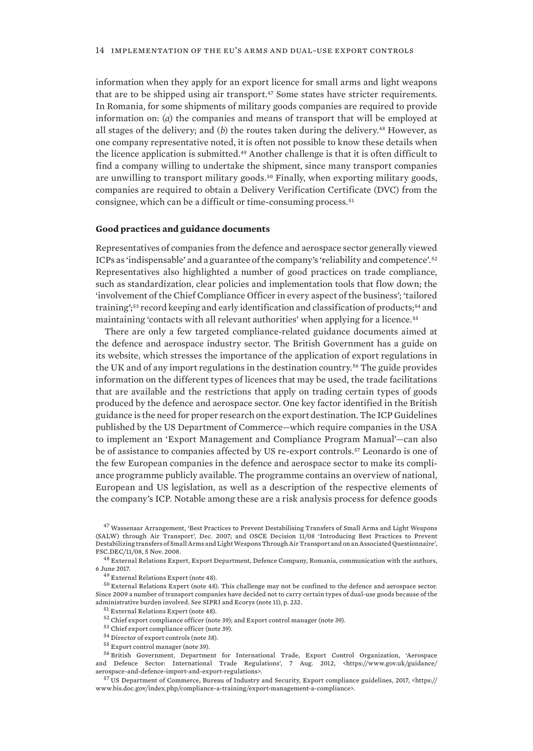information when they apply for an export licence for small arms and light weapons that are to be shipped using air transport.47 Some states have stricter requirements. In Romania, for some shipments of military goods companies are required to provide information on: (*a*) the companies and means of transport that will be employed at all stages of the delivery; and  $(b)$  the routes taken during the delivery.<sup>48</sup> However, as one company representative noted, it is often not possible to know these details when the licence application is submitted.49 Another challenge is that it is often difficult to find a company willing to undertake the shipment, since many transport companies are unwilling to transport military goods.<sup>50</sup> Finally, when exporting military goods, companies are required to obtain a Delivery Verification Certificate (DVC) from the consignee, which can be a difficult or time-consuming process.<sup>51</sup>

#### **Good practices and guidance documents**

Representatives of companies from the defence and aerospace sector generally viewed ICPs as 'indispensable' and a guarantee of the company's 'reliability and competence'.<sup>52</sup> Representatives also highlighted a number of good practices on trade compliance, such as standardization, clear policies and implementation tools that flow down; the 'involvement of the Chief Compliance Officer in every aspect of the business'; 'tailored training';<sup>53</sup> record keeping and early identification and classification of products;<sup>54</sup> and maintaining 'contacts with all relevant authorities' when applying for a licence.<sup>55</sup>

There are only a few targeted compliance-related guidance documents aimed at the defence and aerospace industry sector. The British Government has a guide on its website, which stresses the importance of the application of export regulations in the UK and of any import regulations in the destination country.56 The guide provides information on the different types of licences that may be used, the trade facilitations that are available and the restrictions that apply on trading certain types of goods produced by the defence and aerospace sector. One key factor identified in the British guidance is the need for proper research on the export destination. The ICP Guidelines published by the US Department of Commerce—which require companies in the USA to implement an 'Export Management and Compliance Program Manual'—can also be of assistance to companies affected by US re-export controls.57 Leonardo is one of the few European companies in the defence and aerospace sector to make its compliance programme publicly available. The programme contains an overview of national, European and US legislation, as well as a description of the respective elements of the company's ICP. Notable among these are a risk analysis process for defence goods

<sup>47</sup> Wassenaar Arrangement, 'Best Practices to Prevent Destabilising Transfers of Small Arms and Light Weapons (SALW) through Air Transport', Dec. 2007; and OSCE Decision 11/08 'Introducing Best Practices to Prevent Destabilizing transfers of Small Arms and Light Weapons Through Air Transport and on an Associated Questionnaire', FSC.DEC/11/08, 5 Nov. 2008.

<sup>48</sup> External Relations Expert, Export Department, Defence Company, Romania, communication with the authors, 6 June 2017.

<sup>49</sup> External Relations Expert (note 48).

<sup>50</sup> External Relations Expert (note 48). This challenge may not be confined to the defence and aerospace sector. Since 2009 a number of transport companies have decided not to carry certain types of dual-use goods because of the administrative burden involved. See SIPRI and Ecorys (note 11), p. 232.

<sup>51</sup> External Relations Expert (note 48).

 $^{52}$  Chief export compliance officer (note 39); and Export control manager (note 39).

<sup>53</sup> Chief export compliance officer (note 39).

<sup>54</sup> Director of export controls (note 38).

<sup>55</sup> Export control manager (note 39).

<sup>56</sup> British Government, Department for International Trade, Export Control Organization, 'Aerospace and Defence Sector: International Trade Regulations', 7 Aug. 2012, <https://www.gov.uk/guidance/ aerospace-and-defence-import-and-export-regulations>.

<sup>57</sup> US Department of Commerce, Bureau of Industry and Security, Export compliance guidelines, 2017, <https:// www.bis.doc.gov/index.php/compliance-a-training/export-management-a-compliance>.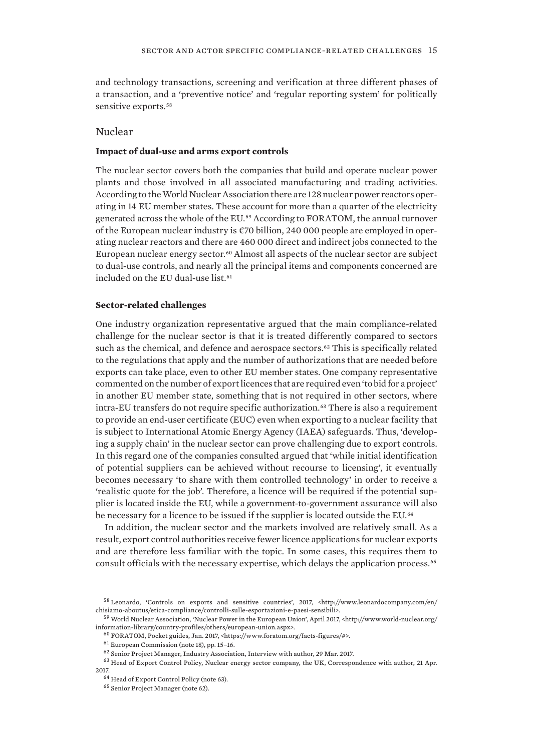<span id="page-24-0"></span>and technology transactions, screening and verification at three different phases of a transaction, and a 'preventive notice' and 'regular reporting system' for politically sensitive exports.<sup>58</sup>

## Nuclear

#### **Impact of dual-use and arms export controls**

The nuclear sector covers both the companies that build and operate nuclear power plants and those involved in all associated manufacturing and trading activities. According to the World Nuclear Association there are 128 nuclear power reactors operating in 14 EU member states. These account for more than a quarter of the electricity generated across the whole of the EU.59 According to FORATOM, the annual turnover of the European nuclear industry is €70 billion, 240 000 people are employed in operating nuclear reactors and there are 460 000 direct and indirect jobs connected to the European nuclear energy sector.<sup>60</sup> Almost all aspects of the nuclear sector are subject to dual-use controls, and nearly all the principal items and components concerned are included on the EU dual-use list.<sup>61</sup>

#### **Sector-related challenges**

One industry organization representative argued that the main compliance-related challenge for the nuclear sector is that it is treated differently compared to sectors such as the chemical, and defence and aerospace sectors.<sup>62</sup> This is specifically related to the regulations that apply and the number of authorizations that are needed before exports can take place, even to other EU member states. One company representative commented on the number of export licences that are required even 'to bid for a project' in another EU member state, something that is not required in other sectors, where intra-EU transfers do not require specific authorization.<sup>63</sup> There is also a requirement to provide an end-user certificate (EUC) even when exporting to a nuclear facility that is subject to International Atomic Energy Agency (IAEA) safeguards. Thus, 'developing a supply chain' in the nuclear sector can prove challenging due to export controls. In this regard one of the companies consulted argued that 'while initial identification of potential suppliers can be achieved without recourse to licensing', it eventually becomes necessary 'to share with them controlled technology' in order to receive a 'realistic quote for the job'. Therefore, a licence will be required if the potential supplier is located inside the EU, while a government-to-government assurance will also be necessary for a licence to be issued if the supplier is located outside the EU.<sup>64</sup>

In addition, the nuclear sector and the markets involved are relatively small. As a result, export control authorities receive fewer licence applications for nuclear exports and are therefore less familiar with the topic. In some cases, this requires them to consult officials with the necessary expertise, which delays the application process.<sup>65</sup>

<sup>58</sup> Leonardo, 'Controls on exports and sensitive countries', 2017, <http://www.leonardocompany.com/en/ chisiamo-aboutus/etica-compliance/controlli-sulle-esportazioni-e-paesi-sensibili>.

 $^{59}$  World Nuclear Association, 'Nuclear Power in the European Union', April 2017, <http://www.world-nuclear.org/ information-library/country-profiles/others/european-union.aspx>.

<sup>60</sup> FORATOM, Pocket guides, Jan. 2017, <https://www.foratom.org/facts-figures/#>.

 $^{61}$  European Commission (note 18), pp. 15–16.

 $^{62}$  Senior Project Manager, Industry Association, Interview with author, 29 Mar. 2017.

<sup>63</sup> Head of Export Control Policy, Nuclear energy sector company, the UK, Correspondence with author, 21 Apr. 2017.

 $^{64}\,$  Head of Export Control Policy (note 63).

<sup>65</sup> Senior Project Manager (note 62).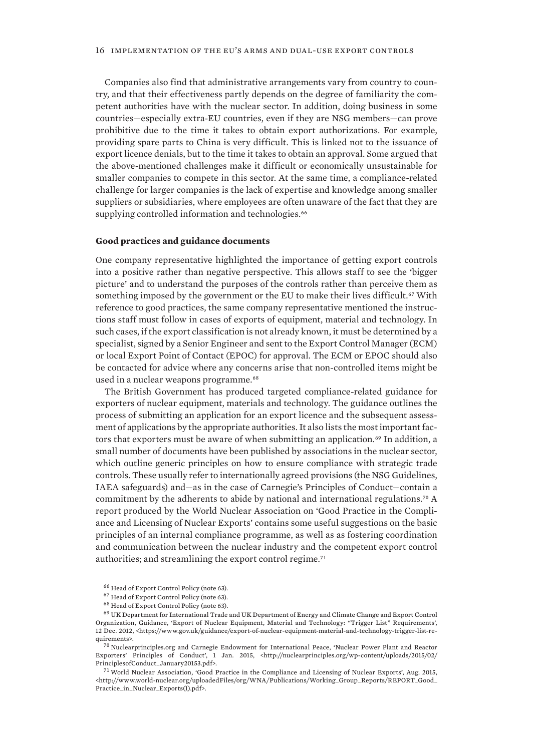Companies also find that administrative arrangements vary from country to country, and that their effectiveness partly depends on the degree of familiarity the competent authorities have with the nuclear sector. In addition, doing business in some countries—especially extra-EU countries, even if they are NSG members—can prove prohibitive due to the time it takes to obtain export authorizations. For example, providing spare parts to China is very difficult. This is linked not to the issuance of export licence denials, but to the time it takes to obtain an approval. Some argued that the above-mentioned challenges make it difficult or economically unsustainable for smaller companies to compete in this sector. At the same time, a compliance-related challenge for larger companies is the lack of expertise and knowledge among smaller suppliers or subsidiaries, where employees are often unaware of the fact that they are supplying controlled information and technologies.<sup>66</sup>

#### **Good practices and guidance documents**

One company representative highlighted the importance of getting export controls into a positive rather than negative perspective. This allows staff to see the 'bigger picture' and to understand the purposes of the controls rather than perceive them as something imposed by the government or the EU to make their lives difficult.<sup>67</sup> With reference to good practices, the same company representative mentioned the instructions staff must follow in cases of exports of equipment, material and technology. In such cases, if the export classification is not already known, it must be determined by a specialist, signed by a Senior Engineer and sent to the Export Control Manager (ECM) or local Export Point of Contact (EPOC) for approval. The ECM or EPOC should also be contacted for advice where any concerns arise that non-controlled items might be used in a nuclear weapons programme.<sup>68</sup>

The British Government has produced targeted compliance-related guidance for exporters of nuclear equipment, materials and technology. The guidance outlines the process of submitting an application for an export licence and the subsequent assessment of applications by the appropriate authorities. It also lists the most important factors that exporters must be aware of when submitting an application.<sup>69</sup> In addition, a small number of documents have been published by associations in the nuclear sector, which outline generic principles on how to ensure compliance with strategic trade controls. These usually refer to internationally agreed provisions (the NSG Guidelines, IAEA safeguards) and—as in the case of Carnegie's Principles of Conduct—contain a commitment by the adherents to abide by national and international regulations.<sup>70</sup> A report produced by the World Nuclear Association on 'Good Practice in the Compliance and Licensing of Nuclear Exports' contains some useful suggestions on the basic principles of an internal compliance programme, as well as as fostering coordination and communication between the nuclear industry and the competent export control authorities; and streamlining the export control regime.<sup>71</sup>

<sup>70</sup> Nuclearprinciples.org and Carnegie Endowment for International Peace, 'Nuclear Power Plant and Reactor Exporters' Principles of Conduct', 1 Jan. 2015, <http://nuclearprinciples.org/wp-content/uploads/2015/02/ PrinciplesofConduct\_January20153.pdf>.

 $^{71}$  World Nuclear Association, 'Good Practice in the Compliance and Licensing of Nuclear Exports', Aug. 2015, <http://www.world-nuclear.org/uploadedFiles/org/WNA/Publications/Working\_Group\_Reports/REPORT\_Good\_ Practice\_in\_Nuclear\_Exports(1).pdf>.

<sup>66</sup> Head of Export Control Policy (note 63).

 $^{67}\,$  Head of Export Control Policy (note 63).

<sup>68</sup> Head of Export Control Policy (note 63).

 $^{69}$  UK Department for International Trade and UK Department of Energy and Climate Change and Export Control Organization, Guidance, 'Export of Nuclear Equipment, Material and Technology: "Trigger List" Requirements', 12 Dec. 2012, <https://www.gov.uk/guidance/export-of-nuclear-equipment-material-and-technology-trigger-list-requirements>.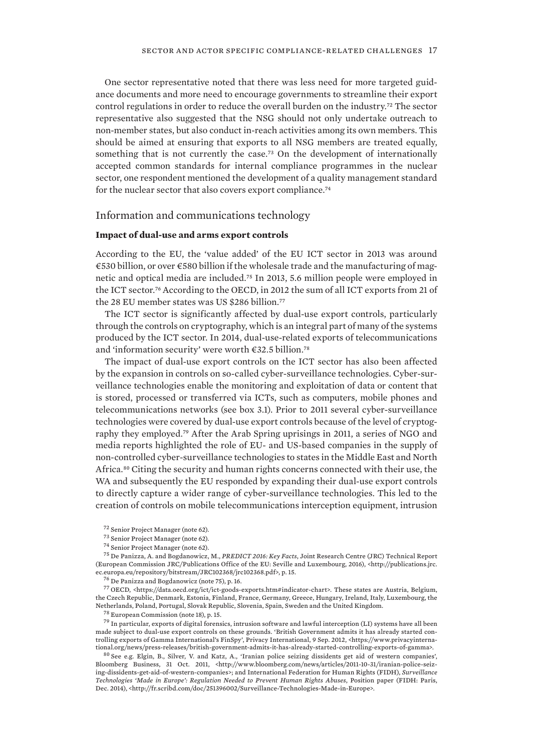<span id="page-26-0"></span>One sector representative noted that there was less need for more targeted guidance documents and more need to encourage governments to streamline their export control regulations in order to reduce the overall burden on the industry.<sup>72</sup> The sector representative also suggested that the NSG should not only undertake outreach to non-member states, but also conduct in-reach activities among its own members. This should be aimed at ensuring that exports to all NSG members are treated equally, something that is not currently the case.<sup>73</sup> On the development of internationally accepted common standards for internal compliance programmes in the nuclear sector, one respondent mentioned the development of a quality management standard for the nuclear sector that also covers export compliance.<sup>74</sup>

### Information and communications technology

### **Impact of dual-use and arms export controls**

According to the EU, the 'value added' of the EU ICT sector in 2013 was around €530 billion, or over €580 billion if the wholesale trade and the manufacturing of magnetic and optical media are included.75 In 2013, 5.6 million people were employed in the ICT sector.76 According to the OECD, in 2012 the sum of all ICT exports from 21 of the 28 EU member states was US \$286 billion.<sup>77</sup>

The ICT sector is significantly affected by dual-use export controls, particularly through the controls on cryptography, which is an integral part of many of the systems produced by the ICT sector. In 2014, dual-use-related exports of telecommunications and 'information security' were worth €32.5 billion.<sup>78</sup>

The impact of dual-use export controls on the ICT sector has also been affected by the expansion in controls on so-called cyber-surveillance technologies. Cyber-surveillance technologies enable the monitoring and exploitation of data or content that is stored, processed or transferred via ICTs, such as computers, mobile phones and telecommunications networks (see box 3.1). Prior to 2011 several cyber-surveillance technologies were covered by dual-use export controls because of the level of cryptography they employed.79 After the Arab Spring uprisings in 2011, a series of NGO and media reports highlighted the role of EU- and US-based companies in the supply of non-controlled cyber-surveillance technologies to states in the Middle East and North Africa.80 Citing the security and human rights concerns connected with their use, the WA and subsequently the EU responded by expanding their dual-use export controls to directly capture a wider range of cyber-surveillance technologies. This led to the creation of controls on mobile telecommunications interception equipment, intrusion

<sup>77</sup> OECD, <https://data.oecd.org/ict/ict-goods-exports.htm#indicator-chart>. These states are Austria, Belgium, the Czech Republic, Denmark, Estonia, Finland, France, Germany, Greece, Hungary, Ireland, Italy, Luxembourg, the Netherlands, Poland, Portugal, Slovak Republic, Slovenia, Spain, Sweden and the United Kingdom.

<sup>78</sup> European Commission (note 18), p. 15.

 $^{79}$  In particular, exports of digital forensics, intrusion software and lawful interception (LI) systems have all been made subject to dual-use export controls on these grounds. 'British Government admits it has already started controlling exports of Gamma International's FinSpy', Privacy International, 9 Sep. 2012, <https://www.privacyinternational.org/news/press-releases/british-government-admits-it-has-already-started-controlling-exports-of-gamma>.

 $80$  See e.g. Elgin, B., Silver, V. and Katz, A., 'Iranian police seizing dissidents get aid of western companies', Bloomberg Business, 31 Oct. 2011, <http://www.bloomberg.com/news/articles/2011-10-31/iranian-police-seizing-dissidents-get-aid-of-western-companies>; and International Federation for Human Rights (FIDH), *Surveillance Technologies 'Made in Europe': Regulation Needed to Prevent Human Rights Abuses*, Position paper (FIDH: Paris, Dec. 2014), <http://fr.scribd.com/doc/251396002/Surveillance-Technologies-Made-in-Europe>.

<sup>72</sup> Senior Project Manager (note 62).

<sup>73</sup> Senior Project Manager (note 62).

<sup>74</sup> Senior Project Manager (note 62).

<sup>75</sup> De Panizza, A. and Bogdanowicz, M., *PREDICT 2016: Key Facts*, Joint Research Centre (JRC) Technical Report (European Commission JRC/Publications Office of the EU: Seville and Luxembourg, 2016), <http://publications.jrc. ec.europa.eu/repository/bitstream/JRC102368/jrc102368.pdf>, p. 15.

 $^{76}$  De Panizza and Bogdanowicz (note 75), p. 16.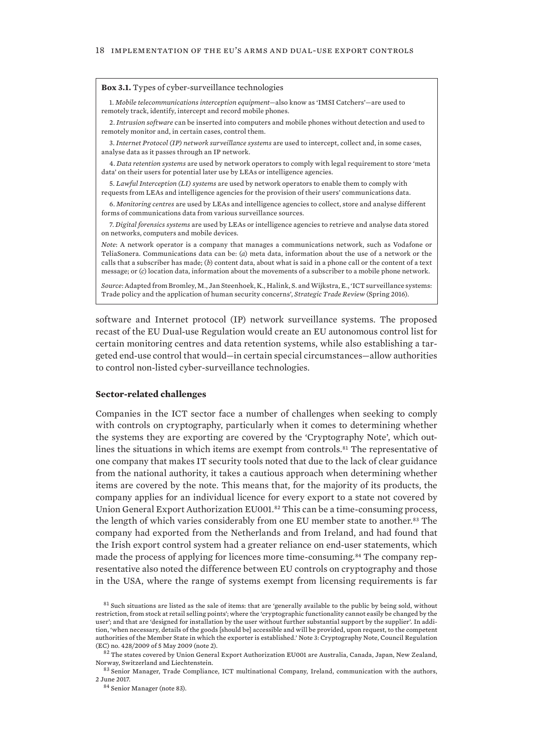#### <span id="page-27-0"></span>**Box 3.1.** Types of cyber-surveillance technologies

1. *Mobile telecommunications interception equipment*—also know as 'IMSI Catchers'—are used to remotely track, identify, intercept and record mobile phones.

2. *Intrusion software* can be inserted into computers and mobile phones without detection and used to remotely monitor and, in certain cases, control them.

3. *Internet Protocol (IP) network surveillance systems* are used to intercept, collect and, in some cases, analyse data as it passes through an IP network.

4. *Data retention systems* are used by network operators to comply with legal requirement to store 'meta data' on their users for potential later use by LEAs or intelligence agencies.

5. *Lawful Interception (LI) systems* are used by network operators to enable them to comply with

requests from LEAs and intelligence agencies for the provision of their users' communications data.

6. *Monitoring centres* are used by LEAs and intelligence agencies to collect, store and analyse different forms of communications data from various surveillance sources.

7. *Digital forensics systems* are used by LEAs or intelligence agencies to retrieve and analyse data stored on networks, computers and mobile devices.

*Note*: A network operator is a company that manages a communications network, such as Vodafone or TeliaSonera. Communications data can be: (*a*) meta data, information about the use of a network or the calls that a subscriber has made; (*b*) content data, about what is said in a phone call or the content of a text message; or (*c*) location data, information about the movements of a subscriber to a mobile phone network.

*Source*: Adapted from Bromley, M., Jan Steenhoek, K., Halink, S. and Wijkstra, E., 'ICT surveillance systems: Trade policy and the application of human security concerns', *Strategic Trade Review* (Spring 2016).

software and Internet protocol (IP) network surveillance systems. The proposed recast of the EU Dual-use Regulation would create an EU autonomous control list for certain monitoring centres and data retention systems, while also establishing a targeted end-use control that would—in certain special circumstances—allow authorities to control non-listed cyber-surveillance technologies.

#### **Sector-related challenges**

Companies in the ICT sector face a number of challenges when seeking to comply with controls on cryptography, particularly when it comes to determining whether the systems they are exporting are covered by the 'Cryptography Note', which outlines the situations in which items are exempt from controls.<sup>81</sup> The representative of one company that makes IT security tools noted that due to the lack of clear guidance from the national authority, it takes a cautious approach when determining whether items are covered by the note. This means that, for the majority of its products, the company applies for an individual licence for every export to a state not covered by Union General Export Authorization EU001.82 This can be a time-consuming process, the length of which varies considerably from one EU member state to another.<sup>83</sup> The company had exported from the Netherlands and from Ireland, and had found that the Irish export control system had a greater reliance on end-user statements, which made the process of applying for licences more time-consuming.<sup>84</sup> The company representative also noted the difference between EU controls on cryptography and those in the USA, where the range of systems exempt from licensing requirements is far

 $81$  Such situations are listed as the sale of items: that are 'generally available to the public by being sold, without restriction, from stock at retail selling points'; where the 'cryptographic functionality cannot easily be changed by the user'; and that are 'designed for installation by the user without further substantial support by the supplier'. In addition, 'when necessary, details of the goods [should be] accessible and will be provided, upon request, to the competent authorities of the Member State in which the exporter is established.' Note 3: Cryptography Note, Council Regulation (EC) no. 428/2009 of 5 May 2009 (note 2).

 $82$  The states covered by Union General Export Authorization EU001 are Australia, Canada, Japan, New Zealand, Norway, Switzerland and Liechtenstein.

<sup>83</sup> Senior Manager, Trade Compliance, ICT multinational Company, Ireland, communication with the authors, 2 June 2017.

<sup>84</sup> Senior Manager (note 83).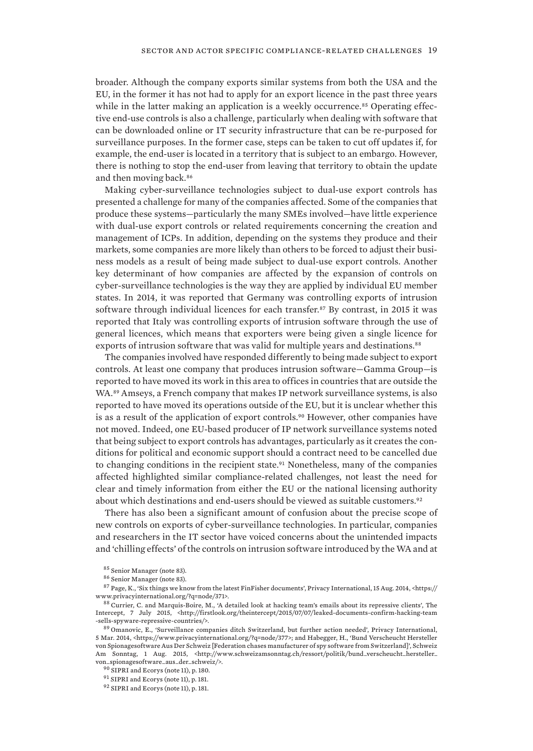broader. Although the company exports similar systems from both the USA and the EU, in the former it has not had to apply for an export licence in the past three years while in the latter making an application is a weekly occurrence.<sup>85</sup> Operating effective end-use controls is also a challenge, particularly when dealing with software that can be downloaded online or IT security infrastructure that can be re-purposed for surveillance purposes. In the former case, steps can be taken to cut off updates if, for example, the end-user is located in a territory that is subject to an embargo. However, there is nothing to stop the end-user from leaving that territory to obtain the update and then moving back.<sup>86</sup>

Making cyber-surveillance technologies subject to dual-use export controls has presented a challenge for many of the companies affected. Some of the companies that produce these systems—particularly the many SMEs involved—have little experience with dual-use export controls or related requirements concerning the creation and management of ICPs. In addition, depending on the systems they produce and their markets, some companies are more likely than others to be forced to adjust their business models as a result of being made subject to dual-use export controls. Another key determinant of how companies are affected by the expansion of controls on cyber-surveillance technologies is the way they are applied by individual EU member states. In 2014, it was reported that Germany was controlling exports of intrusion software through individual licences for each transfer.<sup>87</sup> By contrast, in 2015 it was reported that Italy was controlling exports of intrusion software through the use of general licences, which means that exporters were being given a single licence for exports of intrusion software that was valid for multiple years and destinations.<sup>88</sup>

The companies involved have responded differently to being made subject to export controls. At least one company that produces intrusion software—Gamma Group—is reported to have moved its work in this area to offices in countries that are outside the WA.<sup>89</sup> Amseys, a French company that makes IP network surveillance systems, is also reported to have moved its operations outside of the EU, but it is unclear whether this is as a result of the application of export controls.90 However, other companies have not moved. Indeed, one EU-based producer of IP network surveillance systems noted that being subject to export controls has advantages, particularly as it creates the conditions for political and economic support should a contract need to be cancelled due to changing conditions in the recipient state.<sup>91</sup> Nonetheless, many of the companies affected highlighted similar compliance-related challenges, not least the need for clear and timely information from either the EU or the national licensing authority about which destinations and end-users should be viewed as suitable customers.<sup>92</sup>

There has also been a significant amount of confusion about the precise scope of new controls on exports of cyber-surveillance technologies. In particular, companies and researchers in the IT sector have voiced concerns about the unintended impacts and 'chilling effects' of the controls on intrusion software introduced by the WA and at

<sup>85</sup> Senior Manager (note 83).

<sup>86</sup> Senior Manager (note 83).

 $^{87}$  Page, K., 'Six things we know from the latest FinFisher documents', Privacy International, 15 Aug. 2014, <https:// www.privacyinternational.org/?q=node/371>.

<sup>88</sup> Currier, C. and Marquis-Boire, M., 'A detailed look at hacking team's emails about its repressive clients', The Intercept, 7 July 2015, <http://firstlook.org/theintercept/2015/07/07/leaked-documents-confirm-hacking-team -sells-spyware-repressive-countries/>.

<sup>89</sup> Omanovic, E., 'Surveillance companies ditch Switzerland, but further action needed', Privacy International, 5 Mar. 2014, <https://www.privacyinternational.org/?q=node/377>; and Habegger, H., 'Bund Verscheucht Hersteller von Spionagesoftware Aus Der Schweiz [Federation chases manufacturer of spy software from Switzerland]', Schweiz Am Sonntag, 1 Aug. 2015, <http://www.schweizamsonntag.ch/ressort/politik/bund\_verscheucht\_hersteller\_ von\_spionagesoftware\_aus\_der\_schweiz/>.

<sup>90</sup> SIPRI and Ecorys (note 11), p. 180.

 $^{91}$  SIPRI and Ecorys (note 11), p. 181.

<sup>92</sup> SIPRI and Ecorys (note 11), p. 181.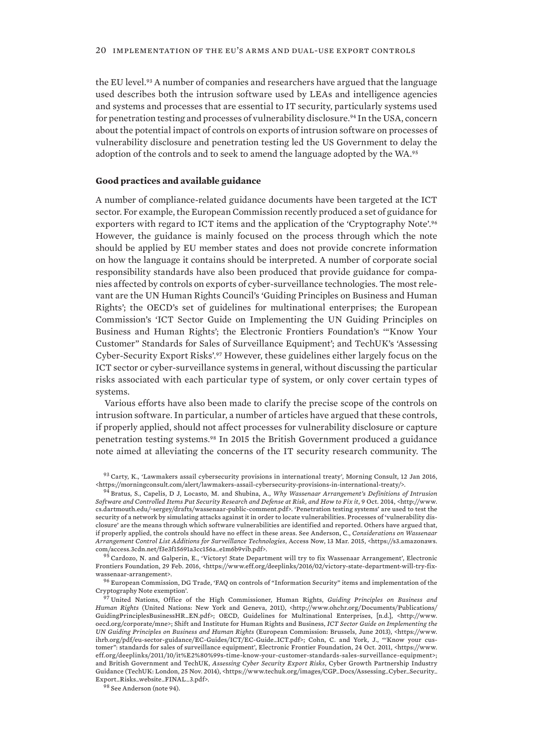the EU level.<sup>93</sup> A number of companies and researchers have argued that the language used describes both the intrusion software used by LEAs and intelligence agencies and systems and processes that are essential to IT security, particularly systems used for penetration testing and processes of vulnerability disclosure.<sup>94</sup> In the USA, concern about the potential impact of controls on exports of intrusion software on processes of vulnerability disclosure and penetration testing led the US Government to delay the adoption of the controls and to seek to amend the language adopted by the WA.<sup>95</sup>

#### **Good practices and available guidance**

A number of compliance-related guidance documents have been targeted at the ICT sector. For example, the European Commission recently produced a set of guidance for exporters with regard to ICT items and the application of the 'Cryptography Note'.<sup>96</sup> However, the guidance is mainly focused on the process through which the note should be applied by EU member states and does not provide concrete information on how the language it contains should be interpreted. A number of corporate social responsibility standards have also been produced that provide guidance for companies affected by controls on exports of cyber-surveillance technologies. The most relevant are the UN Human Rights Council's 'Guiding Principles on Business and Human Rights'; the OECD's set of guidelines for multinational enterprises; the European Commission's 'ICT Sector Guide on Implementing the UN Guiding Principles on Business and Human Rights'; the Electronic Frontiers Foundation's '"Know Your Customer" Standards for Sales of Surveillance Equipment'; and TechUK's 'Assessing Cyber-Security Export Risks'.97 However, these guidelines either largely focus on the ICT sector or cyber-surveillance systems in general, without discussing the particular risks associated with each particular type of system, or only cover certain types of systems.

Various efforts have also been made to clarify the precise scope of the controls on intrusion software. In particular, a number of articles have argued that these controls, if properly applied, should not affect processes for vulnerability disclosure or capture penetration testing systems.98 In 2015 the British Government produced a guidance note aimed at alleviating the concerns of the IT security research community. The

95 Cardozo, N. and Galperin, E., 'Victory! State Department will try to fix Wassenaar Arrangement', Electronic Frontiers Foundation, 29 Feb. 2016, <https://www.eff.org/deeplinks/2016/02/victory-state-department-will-try-fixwassenaar-arrangement>.

<sup>96</sup> European Commission, DG Trade, 'FAQ on controls of "Information Security" items and implementation of the Cryptography Note exemption'.

<sup>98</sup> See Anderson (note 94).

<sup>93</sup> Carty, K., 'Lawmakers assail cybersecurity provisions in international treaty', Morning Consult, 12 Jan 2016, <https://morningconsult.com/alert/lawmakers-assail-cybersecurity-provisions-in-international-treaty/>.

<sup>94</sup> Bratus, S., Capelis, D J, Locasto, M. and Shubina, A., *Why Wassenaar Arrangement's Definitions of Intrusion Software and Controlled Items Put Security Research and Defense at Risk, and How to Fix it*, 9 Oct. 2014, <http://www. cs.dartmouth.edu/~sergey/drafts/wassenaar-public-comment.pdf>. 'Penetration testing systems' are used to test the security of a network by simulating attacks against it in order to locate vulnerabilities. Processes of 'vulnerability disclosure' are the means through which software vulnerabilities are identified and reported. Others have argued that, if properly applied, the controls should have no effect in these areas. See Anderson, C., *Considerations on Wassenaar Arrangement Control List Additions for Surveillance Technologies*, Access Now, 13 Mar. 2015, <https://s3.amazonaws. com/access.3cdn.net/f3e3f15691a3cc156a\_e1m6b9vib.pdf>.

<sup>97</sup> United Nations, Office of the High Commissioner, Human Rights, *Guiding Principles on Business and Human Rights* (United Nations: New York and Geneva, 2011), <http://www.ohchr.org/Documents/Publications/ GuidingPrinciplesBusinessHR\_EN.pdf>; OECD, Guidelines for Multinational Enterprises, [n.d.], <http://www. oecd.org/corporate/mne>; Shift and Institute for Human Rights and Business, *ICT Sector Guide on Implementing the UN Guiding Principles on Business and Human Rights* (European Commission: Brussels, June 2013), <https://www. ihrb.org/pdf/eu-sector-guidance/EC-Guides/ICT/EC-Guide\_ICT.pdf>; Cohn, C. and York, J., "'Know your customer": standards for sales of surveillance equipment', Electronic Frontier Foundation, 24 Oct. 2011, <https://www. eff.org/deeplinks/2011/10/it%E2%80%99s-time-know-your-customer-standards-sales-surveillance-equipment>; and British Government and TechUK, *Assessing Cyber Security Export Risks*, Cyber Growth Partnership Industry Guidance (TechUK: London, 25 Nov. 2014), <https://www.techuk.org/images/CGP\_Docs/Assessing\_Cyber\_Security\_ Export\_Risks\_website\_FINAL\_3.pdf>.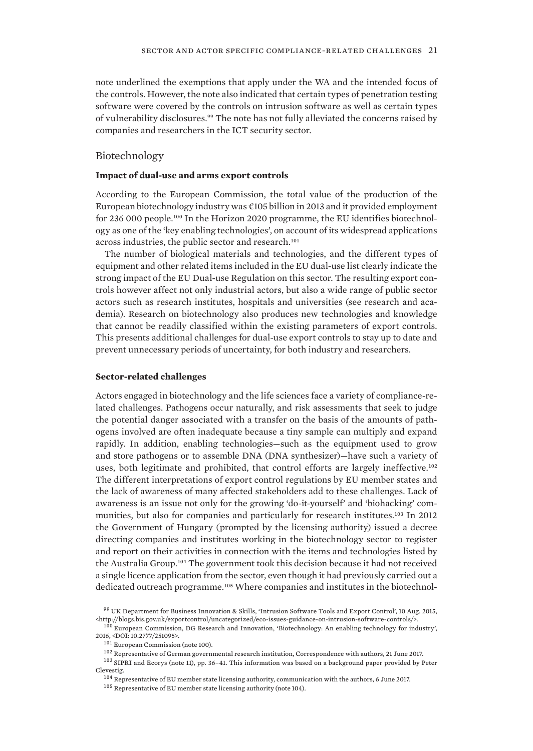<span id="page-30-0"></span>note underlined the exemptions that apply under the WA and the intended focus of the controls. However, the note also indicated that certain types of penetration testing software were covered by the controls on intrusion software as well as certain types of vulnerability disclosures.<sup>99</sup> The note has not fully alleviated the concerns raised by companies and researchers in the ICT security sector.

## Biotechnology

#### **Impact of dual-use and arms export controls**

According to the European Commission, the total value of the production of the European biotechnology industry was  $\in$  105 billion in 2013 and it provided employment for 236 000 people.100 In the Horizon 2020 programme, the EU identifies biotechnology as one of the 'key enabling technologies', on account of its widespread applications across industries, the public sector and research.<sup>101</sup>

The number of biological materials and technologies, and the different types of equipment and other related items included in the EU dual-use list clearly indicate the strong impact of the EU Dual-use Regulation on this sector. The resulting export controls however affect not only industrial actors, but also a wide range of public sector actors such as research institutes, hospitals and universities (see research and academia). Research on biotechnology also produces new technologies and knowledge that cannot be readily classified within the existing parameters of export controls. This presents additional challenges for dual-use export controls to stay up to date and prevent unnecessary periods of uncertainty, for both industry and researchers.

#### **Sector-related challenges**

Actors engaged in biotechnology and the life sciences face a variety of compliance-related challenges. Pathogens occur naturally, and risk assessments that seek to judge the potential danger associated with a transfer on the basis of the amounts of pathogens involved are often inadequate because a tiny sample can multiply and expand rapidly. In addition, enabling technologies—such as the equipment used to grow and store pathogens or to assemble DNA (DNA synthesizer)—have such a variety of uses, both legitimate and prohibited, that control efforts are largely ineffective.<sup>102</sup> The different interpretations of export control regulations by EU member states and the lack of awareness of many affected stakeholders add to these challenges. Lack of awareness is an issue not only for the growing 'do-it-yourself' and 'biohacking' communities, but also for companies and particularly for research institutes.103 In 2012 the Government of Hungary (prompted by the licensing authority) issued a decree directing companies and institutes working in the biotechnology sector to register and report on their activities in connection with the items and technologies listed by the Australia Group.104 The government took this decision because it had not received a single licence application from the sector, even though it had previously carried out a dedicated outreach programme.<sup>105</sup> Where companies and institutes in the biotechnol-

<sup>99</sup> UK Department for Business Innovation & Skills, 'Intrusion Software Tools and Export Control', 10 Aug. 2015, <http://blogs.bis.gov.uk/exportcontrol/uncategorized/eco-issues-guidance-on-intrusion-software-controls/>.

<sup>&</sup>lt;sup>100</sup> European Commission, DG Research and Innovation, 'Biotechnology: An enabling technology for industry', 2016, <DOI: 10.2777/251095>.

<sup>101</sup> European Commission (note 100).

<sup>102</sup> Representative of German governmental research institution, Correspondence with authors, 21 June 2017.

<sup>103</sup> SIPRI and Ecorys (note 11), pp. 36–41. This information was based on a background paper provided by Peter Clevestig.

 $^{104}$  Representative of EU member state licensing authority, communication with the authors, 6 June 2017.

<sup>&</sup>lt;sup>105</sup> Representative of EU member state licensing authority (note 104).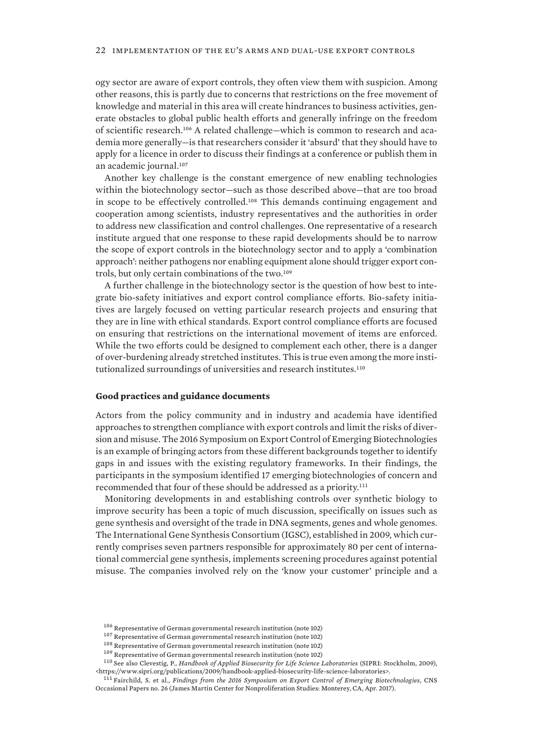ogy sector are aware of export controls, they often view them with suspicion. Among other reasons, this is partly due to concerns that restrictions on the free movement of knowledge and material in this area will create hindrances to business activities, generate obstacles to global public health efforts and generally infringe on the freedom of scientific research.106 A related challenge—which is common to research and academia more generally—is that researchers consider it 'absurd' that they should have to apply for a licence in order to discuss their findings at a conference or publish them in an academic journal.<sup>107</sup>

Another key challenge is the constant emergence of new enabling technologies within the biotechnology sector—such as those described above—that are too broad in scope to be effectively controlled.108 This demands continuing engagement and cooperation among scientists, industry representatives and the authorities in order to address new classification and control challenges. One representative of a research institute argued that one response to these rapid developments should be to narrow the scope of export controls in the biotechnology sector and to apply a 'combination approach': neither pathogens nor enabling equipment alone should trigger export controls, but only certain combinations of the two.<sup>109</sup>

A further challenge in the biotechnology sector is the question of how best to integrate bio-safety initiatives and export control compliance efforts. Bio-safety initiatives are largely focused on vetting particular research projects and ensuring that they are in line with ethical standards. Export control compliance efforts are focused on ensuring that restrictions on the international movement of items are enforced. While the two efforts could be designed to complement each other, there is a danger of over-burdening already stretched institutes. This is true even among the more institutionalized surroundings of universities and research institutes.<sup>110</sup>

#### **Good practices and guidance documents**

Actors from the policy community and in industry and academia have identified approaches to strengthen compliance with export controls and limit the risks of diversion and misuse. The 2016 Symposium on Export Control of Emerging Biotechnologies is an example of bringing actors from these different backgrounds together to identify gaps in and issues with the existing regulatory frameworks. In their findings, the participants in the symposium identified 17 emerging biotechnologies of concern and recommended that four of these should be addressed as a priority.<sup>111</sup>

Monitoring developments in and establishing controls over synthetic biology to improve security has been a topic of much discussion, specifically on issues such as gene synthesis and oversight of the trade in DNA segments, genes and whole genomes. The International Gene Synthesis Consortium (IGSC), established in 2009, which currently comprises seven partners responsible for approximately 80 per cent of international commercial gene synthesis, implements screening procedures against potential misuse. The companies involved rely on the 'know your customer' principle and a

<sup>106</sup> Representative of German governmental research institution (note 102)

<sup>107</sup> Representative of German governmental research institution (note 102)

 $^{108}$  Representative of German governmental research institution (note 102)

 $^{109}$  Representative of German governmental research institution (note 102)

<sup>110</sup> See also Clevestig, P., *Handbook of Applied Biosecurity for Life Science Laboratories* (SIPRI: Stockholm, 2009), <https://www.sipri.org/publications/2009/handbook-applied-biosecurity-life-science-laboratories>.

<sup>111</sup> Fairchild, S. et al., *Findings from the 2016 Symposium on Export Control of Emerging Biotechnologies*, CNS Occasional Papers no. 26 (James Martin Center for Nonproliferation Studies: Monterey, CA, Apr. 2017).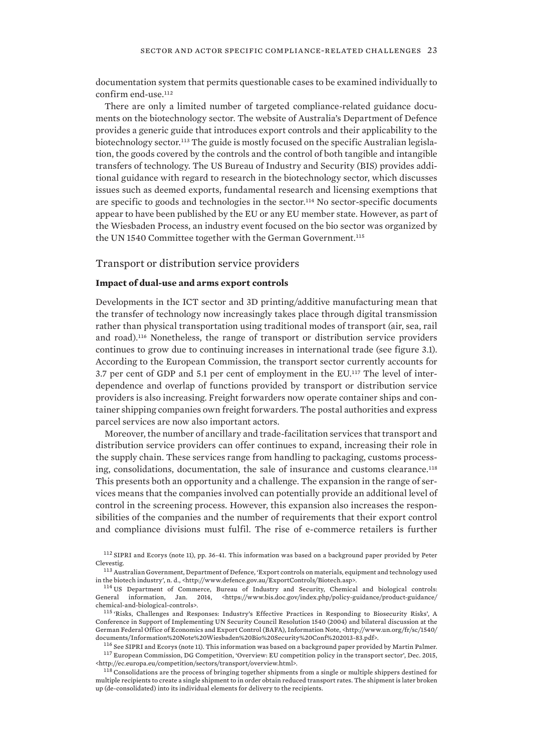<span id="page-32-0"></span>documentation system that permits questionable cases to be examined individually to confirm end-use.<sup>112</sup>

There are only a limited number of targeted compliance-related guidance documents on the biotechnology sector. The website of Australia's Department of Defence provides a generic guide that introduces export controls and their applicability to the biotechnology sector.113 The guide is mostly focused on the specific Australian legislation, the goods covered by the controls and the control of both tangible and intangible transfers of technology. The US Bureau of Industry and Security (BIS) provides additional guidance with regard to research in the biotechnology sector, which discusses issues such as deemed exports, fundamental research and licensing exemptions that are specific to goods and technologies in the sector.<sup>114</sup> No sector-specific documents appear to have been published by the EU or any EU member state. However, as part of the Wiesbaden Process, an industry event focused on the bio sector was organized by the UN 1540 Committee together with the German Government.<sup>115</sup>

Transport or distribution service providers

#### **Impact of dual-use and arms export controls**

Developments in the ICT sector and 3D printing/additive manufacturing mean that the transfer of technology now increasingly takes place through digital transmission rather than physical transportation using traditional modes of transport (air, sea, rail and road).116 Nonetheless, the range of transport or distribution service providers continues to grow due to continuing increases in international trade (see figure 3.1). According to the European Commission, the transport sector currently accounts for 3.7 per cent of GDP and 5.1 per cent of employment in the EU.117 The level of interdependence and overlap of functions provided by transport or distribution service providers is also increasing. Freight forwarders now operate container ships and container shipping companies own freight forwarders. The postal authorities and express parcel services are now also important actors.

Moreover, the number of ancillary and trade-facilitation services that transport and distribution service providers can offer continues to expand, increasing their role in the supply chain. These services range from handling to packaging, customs processing, consolidations, documentation, the sale of insurance and customs clearance.<sup>118</sup> This presents both an opportunity and a challenge. The expansion in the range of services means that the companies involved can potentially provide an additional level of control in the screening process. However, this expansion also increases the responsibilities of the companies and the number of requirements that their export control and compliance divisions must fulfil. The rise of e-commerce retailers is further

<sup>112</sup> SIPRI and Ecorys (note 11), pp. 36-41. This information was based on a background paper provided by Peter Clevestig.

<sup>113</sup> Australian Government, Department of Defence, 'Export controls on materials, equipment and technology used in the biotech industry', n. d., <http://www.defence.gov.au/ExportControls/Biotech.asp>.

<sup>115</sup> 'Risks, Challenges and Responses: Industry's Effective Practices in Responding to Biosecurity Risks', A Conference in Support of Implementing UN Security Council Resolution 1540 (2004) and bilateral discussion at the German Federal Office of Economics and Export Control (BAFA), Information Note, <http://www.un.org/fr/sc/1540/ documents/Information%20Note%20Wiesbaden%20Bio%20Security%20Conf%202013-83.pdf>.

<sup>116</sup> See SIPRI and Ecorys (note 11). This information was based on a background paper provided by Martin Palmer. <sup>117</sup> European Commission, DG Competition, 'Overview: EU competition policy in the transport sector', Dec. 2015, <http://ec.europa.eu/competition/sectors/transport/overview.html>.

 $^{118}$  Consolidations are the process of bringing together shipments from a single or multiple shippers destined for multiple recipients to create a single shipment to in order obtain reduced transport rates. The shipment is later broken up (de-consolidated) into its individual elements for delivery to the recipients.

<sup>114</sup> US Department of Commerce, Bureau of Industry and Security, Chemical and biological controls: General information, Jan. 2014, <https://www.bis.doc.gov/index.php/policy-guidance/product-guidance/ chemical-and-biological-controls>.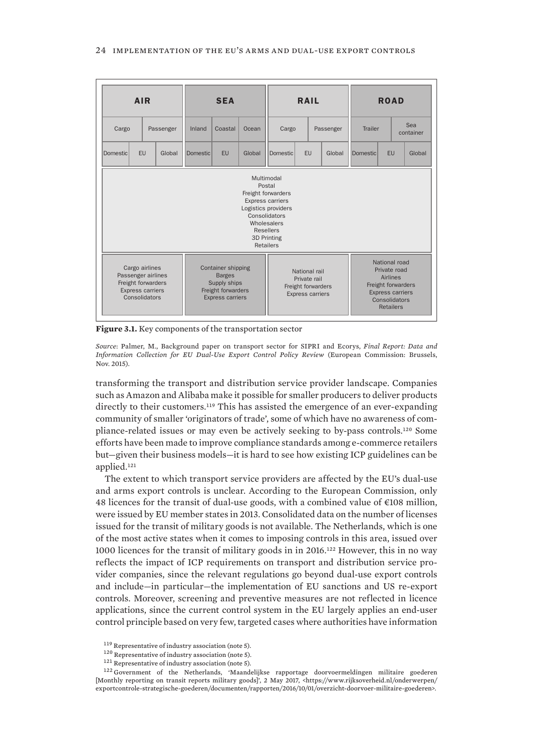<span id="page-33-0"></span>

| <b>AIR</b>                                                                                                                                                                   |    |                                                                                                             | <b>SEA</b>      |       |                                                                                | <b>RAIL</b>     |         |                                                                                                                                 | <b>ROAD</b>      |           |        |
|------------------------------------------------------------------------------------------------------------------------------------------------------------------------------|----|-------------------------------------------------------------------------------------------------------------|-----------------|-------|--------------------------------------------------------------------------------|-----------------|---------|---------------------------------------------------------------------------------------------------------------------------------|------------------|-----------|--------|
| Cargo<br>Passenger                                                                                                                                                           |    | Inland                                                                                                      | Coastal         | Ocean | Cargo<br>Passenger                                                             |                 | Trailer |                                                                                                                                 | Sea<br>container |           |        |
| Domestic                                                                                                                                                                     | EU | Global                                                                                                      | <b>Domestic</b> | EU    | Global                                                                         | <b>Domestic</b> | EU      | Global                                                                                                                          | Domestic         | <b>EU</b> | Global |
| Multimodal<br>Postal<br>Freight forwarders<br>Express carriers<br>Logistics providers<br>Consolidators<br>Wholesalers<br><b>Resellers</b><br>3D Printing<br><b>Retailers</b> |    |                                                                                                             |                 |       |                                                                                |                 |         |                                                                                                                                 |                  |           |        |
| Cargo airlines<br>Passenger airlines<br>Freight forwarders<br><b>Express carriers</b><br>Consolidators                                                                       |    | <b>Container shipping</b><br><b>Barges</b><br>Supply ships<br>Freight forwarders<br><b>Express carriers</b> |                 |       | National rail<br>Private rail<br>Freight forwarders<br><b>Express carriers</b> |                 |         | National road<br>Private road<br>Airlines<br>Freight forwarders<br><b>Express carriers</b><br>Consolidators<br><b>Retailers</b> |                  |           |        |

**Figure 3.1.** Key components of the transportation sector

*Source*: Palmer, M., Background paper on transport sector for SIPRI and Ecorys, *Final Report: Data and Information Collection for EU Dual-Use Export Control Policy Review* (European Commission: Brussels, Nov. 2015).

transforming the transport and distribution service provider landscape. Companies such as Amazon and Alibaba make it possible for smaller producers to deliver products directly to their customers.119 This has assisted the emergence of an ever-expanding community of smaller 'originators of trade', some of which have no awareness of compliance-related issues or may even be actively seeking to by-pass controls.120 Some efforts have been made to improve compliance standards among e-commerce retailers but—given their business models—it is hard to see how existing ICP guidelines can be applied.<sup>121</sup>

The extent to which transport service providers are affected by the EU's dual-use and arms export controls is unclear. According to the European Commission, only 48 licences for the transit of dual-use goods, with a combined value of €108 million, were issued by EU member states in 2013. Consolidated data on the number of licenses issued for the transit of military goods is not available. The Netherlands, which is one of the most active states when it comes to imposing controls in this area, issued over 1000 licences for the transit of military goods in in 2016.122 However, this in no way reflects the impact of ICP requirements on transport and distribution service provider companies, since the relevant regulations go beyond dual-use export controls and include—in particular—the implementation of EU sanctions and US re-export controls. Moreover, screening and preventive measures are not reflected in licence applications, since the current control system in the EU largely applies an end-user control principle based on very few, targeted cases where authorities have information

<sup>119</sup> Representative of industry association (note 5).

<sup>120</sup> Representative of industry association (note 5).

<sup>121</sup> Representative of industry association (note 5).

<sup>122</sup> Government of the Netherlands, 'Maandelijkse rapportage doorvoermeldingen militaire goederen [Monthly reporting on transit reports military goods]', 2 May 2017, <https://www.rijksoverheid.nl/onderwerpen/ exportcontrole-strategische-goederen/documenten/rapporten/2016/10/01/overzicht-doorvoer-militaire-goederen>.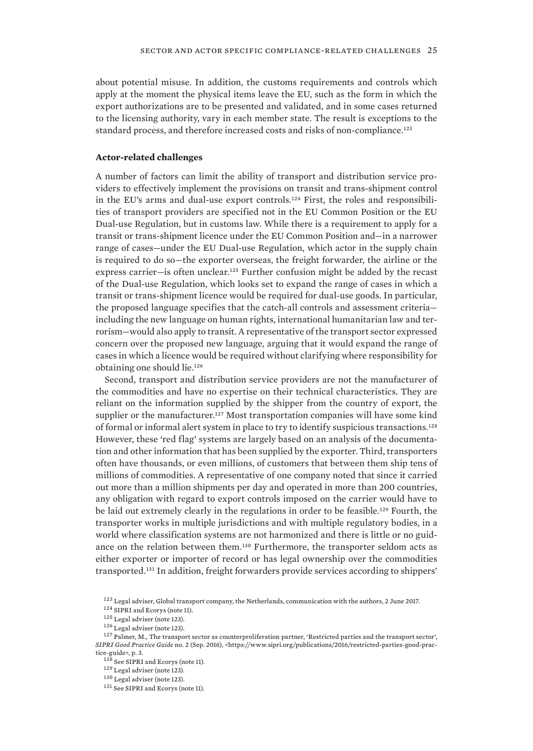about potential misuse. In addition, the customs requirements and controls which apply at the moment the physical items leave the EU, such as the form in which the export authorizations are to be presented and validated, and in some cases returned to the licensing authority, vary in each member state. The result is exceptions to the standard process, and therefore increased costs and risks of non-compliance.<sup>123</sup>

#### **Actor-related challenges**

A number of factors can limit the ability of transport and distribution service providers to effectively implement the provisions on transit and trans-shipment control in the EU's arms and dual-use export controls.124 First, the roles and responsibilities of transport providers are specified not in the EU Common Position or the EU Dual-use Regulation, but in customs law. While there is a requirement to apply for a transit or trans-shipment licence under the EU Common Position and—in a narrower range of cases—under the EU Dual-use Regulation, which actor in the supply chain is required to do so—the exporter overseas, the freight forwarder, the airline or the express carrier—is often unclear.125 Further confusion might be added by the recast of the Dual-use Regulation, which looks set to expand the range of cases in which a transit or trans-shipment licence would be required for dual-use goods. In particular, the proposed language specifies that the catch-all controls and assessment criteria including the new language on human rights, international humanitarian law and terrorism—would also apply to transit. A representative of the transport sector expressed concern over the proposed new language, arguing that it would expand the range of cases in which a licence would be required without clarifying where responsibility for obtaining one should lie.<sup>126</sup>

Second, transport and distribution service providers are not the manufacturer of the commodities and have no expertise on their technical characteristics. They are reliant on the information supplied by the shipper from the country of export, the supplier or the manufacturer.<sup>127</sup> Most transportation companies will have some kind of formal or informal alert system in place to try to identify suspicious transactions.<sup>128</sup> However, these 'red flag' systems are largely based on an analysis of the documentation and other information that has been supplied by the exporter. Third, transporters often have thousands, or even millions, of customers that between them ship tens of millions of commodities. A representative of one company noted that since it carried out more than a million shipments per day and operated in more than 200 countries, any obligation with regard to export controls imposed on the carrier would have to be laid out extremely clearly in the regulations in order to be feasible.<sup>129</sup> Fourth, the transporter works in multiple jurisdictions and with multiple regulatory bodies, in a world where classification systems are not harmonized and there is little or no guidance on the relation between them.130 Furthermore, the transporter seldom acts as either exporter or importer of record or has legal ownership over the commodities transported.131 In addition, freight forwarders provide services according to shippers'

<sup>123</sup> Legal adviser, Global transport company, the Netherlands, communication with the authors, 2 June 2017.

<sup>124</sup> SIPRI and Ecorys (note 11).

<sup>125</sup> Legal adviser (note 123).

<sup>126</sup> Legal adviser (note 123).

 $^{127}$  Palmer, M., The transport sector as counterproliferation partner, 'Restricted parties and the transport sector', *SIPRI Good Practice Guide* no. 2 (Sep. 2016), <https://www.sipri.org/publications/2016/restricted-parties-good-practice-guide>, p. 3.

<sup>128</sup> See SIPRI and Ecorys (note 11).

<sup>129</sup> Legal adviser (note 123).

 $^{130}\,$  Legal adviser (note 123).

<sup>131</sup> See SIPRI and Ecorys (note 11).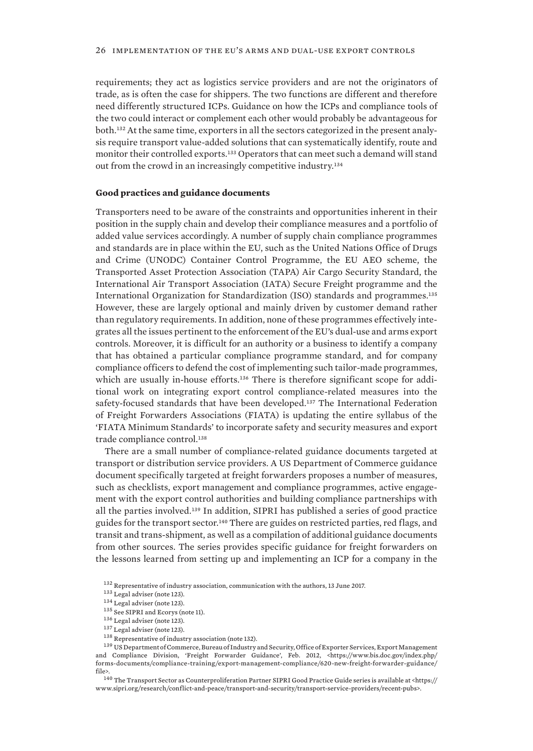requirements; they act as logistics service providers and are not the originators of trade, as is often the case for shippers. The two functions are different and therefore need differently structured ICPs. Guidance on how the ICPs and compliance tools of the two could interact or complement each other would probably be advantageous for both.132 At the same time, exporters in all the sectors categorized in the present analysis require transport value-added solutions that can systematically identify, route and monitor their controlled exports.133 Operators that can meet such a demand will stand out from the crowd in an increasingly competitive industry.<sup>134</sup>

#### **Good practices and guidance documents**

Transporters need to be aware of the constraints and opportunities inherent in their position in the supply chain and develop their compliance measures and a portfolio of added value services accordingly. A number of supply chain compliance programmes and standards are in place within the EU, such as the United Nations Office of Drugs and Crime (UNODC) Container Control Programme, the EU AEO scheme, the Transported Asset Protection Association (TAPA) Air Cargo Security Standard, the International Air Transport Association (IATA) Secure Freight programme and the International Organization for Standardization (ISO) standards and programmes.<sup>135</sup> However, these are largely optional and mainly driven by customer demand rather than regulatory requirements. In addition, none of these programmes effectively integrates all the issues pertinent to the enforcement of the EU's dual-use and arms export controls. Moreover, it is difficult for an authority or a business to identify a company that has obtained a particular compliance programme standard, and for company compliance officers to defend the cost of implementing such tailor-made programmes, which are usually in-house efforts.<sup>136</sup> There is therefore significant scope for additional work on integrating export control compliance-related measures into the safety-focused standards that have been developed.137 The International Federation of Freight Forwarders Associations (FIATA) is updating the entire syllabus of the 'FIATA Minimum Standards' to incorporate safety and security measures and export trade compliance control.<sup>138</sup>

There are a small number of compliance-related guidance documents targeted at transport or distribution service providers. A US Department of Commerce guidance document specifically targeted at freight forwarders proposes a number of measures, such as checklists, export management and compliance programmes, active engagement with the export control authorities and building compliance partnerships with all the parties involved.139 In addition, SIPRI has published a series of good practice guides for the transport sector.140 There are guides on restricted parties, red flags, and transit and trans-shipment, as well as a compilation of additional guidance documents from other sources. The series provides specific guidance for freight forwarders on the lessons learned from setting up and implementing an ICP for a company in the

<sup>132</sup> Representative of industry association, communication with the authors, 13 June 2017.

<sup>133</sup> Legal adviser (note 123).

<sup>134</sup> Legal adviser (note 123).

<sup>&</sup>lt;sup>135</sup> See SIPRI and Ecorys (note 11).

<sup>136</sup> Legal adviser (note 123).

<sup>137</sup> Legal adviser (note 123).

<sup>138</sup> Representative of industry association (note 132).

<sup>139</sup> US Department of Commerce, Bureau of Industry and Security, Office of Exporter Services, Export Management and Compliance Division, 'Freight Forwarder Guidance', Feb. 2012, <https://www.bis.doc.gov/index.php/ forms-documents/compliance-training/export-management-compliance/620-new-freight-forwarder-guidance/ file>.

 $^{140}$  The Transport Sector as Counterproliferation Partner SIPRI Good Practice Guide series is available at <https:// www.sipri.org/research/conflict-and-peace/transport-and-security/transport-service-providers/recent-pubs>.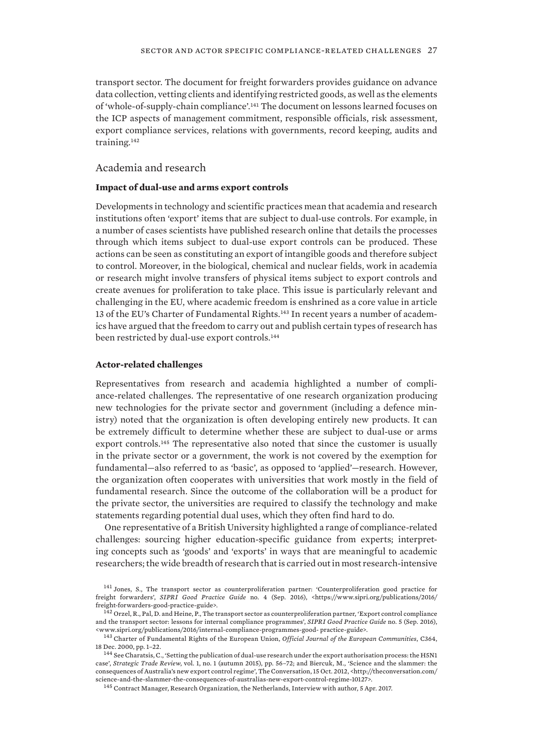<span id="page-36-0"></span>transport sector. The document for freight forwarders provides guidance on advance data collection, vetting clients and identifying restricted goods, as well as the elements of 'whole-of-supply-chain compliance'.141 The document on lessons learned focuses on the ICP aspects of management commitment, responsible officials, risk assessment, export compliance services, relations with governments, record keeping, audits and training.<sup>142</sup>

## Academia and research

#### **Impact of dual-use and arms export controls**

Developments in technology and scientific practices mean that academia and research institutions often 'export' items that are subject to dual-use controls. For example, in a number of cases scientists have published research online that details the processes through which items subject to dual-use export controls can be produced. These actions can be seen as constituting an export of intangible goods and therefore subject to control. Moreover, in the biological, chemical and nuclear fields, work in academia or research might involve transfers of physical items subject to export controls and create avenues for proliferation to take place. This issue is particularly relevant and challenging in the EU, where academic freedom is enshrined as a core value in article 13 of the EU's Charter of Fundamental Rights.<sup>143</sup> In recent years a number of academics have argued that the freedom to carry out and publish certain types of research has been restricted by dual-use export controls.<sup>144</sup>

#### **Actor-related challenges**

Representatives from research and academia highlighted a number of compliance-related challenges. The representative of one research organization producing new technologies for the private sector and government (including a defence ministry) noted that the organization is often developing entirely new products. It can be extremely difficult to determine whether these are subject to dual-use or arms export controls.145 The representative also noted that since the customer is usually in the private sector or a government, the work is not covered by the exemption for fundamental—also referred to as 'basic', as opposed to 'applied'—research. However, the organization often cooperates with universities that work mostly in the field of fundamental research. Since the outcome of the collaboration will be a product for the private sector, the universities are required to classify the technology and make statements regarding potential dual uses, which they often find hard to do.

One representative of a British University highlighted a range of compliance-related challenges: sourcing higher education-specific guidance from experts; interpreting concepts such as 'goods' and 'exports' in ways that are meaningful to academic researchers; the wide breadth of research that is carried out in most research-intensive

<sup>141</sup> Jones, S., The transport sector as counterproliferation partner: 'Counterproliferation good practice for freight forwarders', *SIPRI Good Practice Guide* no. 4 (Sep. 2016), <https://www.sipri.org/publications/2016/ freight-forwarders-good-practice-guide>.

<sup>&</sup>lt;sup>142</sup> Orzel, R., Pal, D. and Heine, P., The transport sector as counterproliferation partner, 'Export control compliance and the transport sector: lessons for internal compliance programmes', *SIPRI Good Practice Guide* no. 5 (Sep. 2016), <www.sipri.org/publications/2016/internal-compliance-programmes-good- practice-guide>.

<sup>143</sup> Charter of Fundamental Rights of the European Union, *Official Journal of the European Communities*, C364, 18 Dec. 2000, pp. 1–22.

<sup>&</sup>lt;sup>144</sup> See Charatsis, C., 'Setting the publication of dual-use research under the export authorisation process: the H5N1 case', *Strategic Trade Review*, vol. 1, no. 1 (autumn 2015), pp. 56–72; and Biercuk, M., 'Science and the slammer: the consequences of Australia's new export control regime', The Conversation, 15 Oct. 2012, <http://theconversation.com/ science-and-the-slammer-the-consequences-of-australias-new-export-control-regime-10127>.

<sup>&</sup>lt;sup>145</sup> Contract Manager, Research Organization, the Netherlands, Interview with author, 5 Apr. 2017.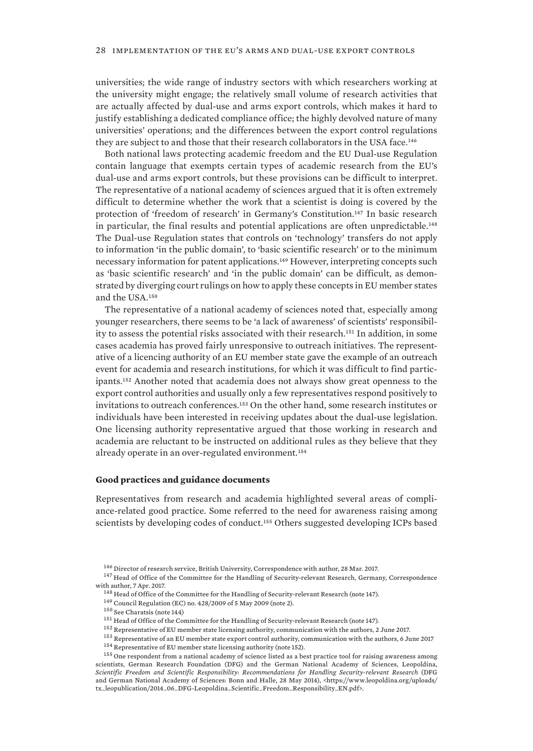universities; the wide range of industry sectors with which researchers working at the university might engage; the relatively small volume of research activities that are actually affected by dual-use and arms export controls, which makes it hard to justify establishing a dedicated compliance office; the highly devolved nature of many universities' operations; and the differences between the export control regulations they are subject to and those that their research collaborators in the USA face.<sup>146</sup>

Both national laws protecting academic freedom and the EU Dual-use Regulation contain language that exempts certain types of academic research from the EU's dual-use and arms export controls, but these provisions can be difficult to interpret. The representative of a national academy of sciences argued that it is often extremely difficult to determine whether the work that a scientist is doing is covered by the protection of 'freedom of research' in Germany's Constitution.147 In basic research in particular, the final results and potential applications are often unpredictable.<sup>148</sup> The Dual-use Regulation states that controls on 'technology' transfers do not apply to information 'in the public domain', to 'basic scientific research' or to the minimum necessary information for patent applications.149 However, interpreting concepts such as 'basic scientific research' and 'in the public domain' can be difficult, as demonstrated by diverging court rulings on how to apply these concepts in EU member states and the USA.<sup>150</sup>

The representative of a national academy of sciences noted that, especially among younger researchers, there seems to be 'a lack of awareness' of scientists' responsibility to assess the potential risks associated with their research.151 In addition, in some cases academia has proved fairly unresponsive to outreach initiatives. The representative of a licencing authority of an EU member state gave the example of an outreach event for academia and research institutions, for which it was difficult to find participants.152 Another noted that academia does not always show great openness to the export control authorities and usually only a few representatives respond positively to invitations to outreach conferences.153 On the other hand, some research institutes or individuals have been interested in receiving updates about the dual-use legislation. One licensing authority representative argued that those working in research and academia are reluctant to be instructed on additional rules as they believe that they already operate in an over-regulated environment.<sup>154</sup>

#### **Good practices and guidance documents**

Representatives from research and academia highlighted several areas of compliance-related good practice. Some referred to the need for awareness raising among scientists by developing codes of conduct.155 Others suggested developing ICPs based

 $^{146}$  Director of research service, British University, Correspondence with author, 28 Mar. 2017.

<sup>&</sup>lt;sup>147</sup> Head of Office of the Committee for the Handling of Security-relevant Research, Germany, Correspondence with author, 7 Apr. 2017.

 $^{148}$  Head of Office of the Committee for the Handling of Security-relevant Research (note 147).

<sup>149</sup> Council Regulation (EC) no. 428/2009 of 5 May 2009 (note 2).

<sup>150</sup> See Charatsis (note 144)

<sup>&</sup>lt;sup>151</sup> Head of Office of the Committee for the Handling of Security-relevant Research (note 147).

 $^{152}$  Representative of EU member state licensing authority, communication with the authors, 2 June 2017.

<sup>153</sup> Representative of an EU member state export control authority, communication with the authors, 6 June 2017 <sup>154</sup> Representative of EU member state licensing authority (note 152).

<sup>&</sup>lt;sup>155</sup> One respondent from a national academy of science listed as a best practice tool for raising awareness among scientists, German Research Foundation (DFG) and the German National Academy of Sciences, Leopoldina, *Scientific Freedom and Scientific Responsibility: Recommendations for Handling Security-relevant Research* (DFG and German National Academy of Sciences: Bonn and Halle, 28 May 2014), <https://www.leopoldina.org/uploads/ tx\_leopublication/2014\_06\_DFG-Leopoldina\_Scientific\_Freedom\_Responsibility\_EN.pdf>.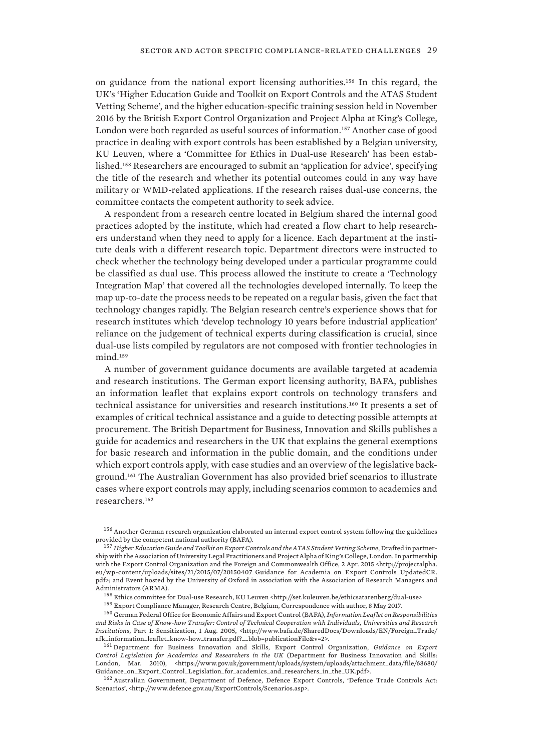on guidance from the national export licensing authorities.156 In this regard, the UK's 'Higher Education Guide and Toolkit on Export Controls and the ATAS Student Vetting Scheme', and the higher education-specific training session held in November 2016 by the British Export Control Organization and Project Alpha at King's College, London were both regarded as useful sources of information.157 Another case of good practice in dealing with export controls has been established by a Belgian university, KU Leuven, where a 'Committee for Ethics in Dual-use Research' has been established.158 Researchers are encouraged to submit an 'application for advice', specifying the title of the research and whether its potential outcomes could in any way have military or WMD-related applications. If the research raises dual-use concerns, the committee contacts the competent authority to seek advice.

A respondent from a research centre located in Belgium shared the internal good practices adopted by the institute, which had created a flow chart to help researchers understand when they need to apply for a licence. Each department at the institute deals with a different research topic. Department directors were instructed to check whether the technology being developed under a particular programme could be classified as dual use. This process allowed the institute to create a 'Technology Integration Map' that covered all the technologies developed internally. To keep the map up-to-date the process needs to be repeated on a regular basis, given the fact that technology changes rapidly. The Belgian research centre's experience shows that for research institutes which 'develop technology 10 years before industrial application' reliance on the judgement of technical experts during classification is crucial, since dual-use lists compiled by regulators are not composed with frontier technologies in mind.<sup>159</sup>

A number of government guidance documents are available targeted at academia and research institutions. The German export licensing authority, BAFA, publishes an information leaflet that explains export controls on technology transfers and technical assistance for universities and research institutions.160 It presents a set of examples of critical technical assistance and a guide to detecting possible attempts at procurement. The British Department for Business, Innovation and Skills publishes a guide for academics and researchers in the UK that explains the general exemptions for basic research and information in the public domain, and the conditions under which export controls apply, with case studies and an overview of the legislative background.161 The Australian Government has also provided brief scenarios to illustrate cases where export controls may apply, including scenarios common to academics and researchers.<sup>162</sup>

<sup>160</sup> German Federal Office for Economic Affairs and Export Control (BAFA), *Information Leaflet on Responsibilities and Risks in Case of Know-how Transfer: Control of Technical Cooperation with Individuals, Universities and Research Institutions*, Part 1: Sensitization, 1 Aug. 2005, <http://www.bafa.de/SharedDocs/Downloads/EN/Foreign\_Trade/ afk\_information\_leaflet\_know-how\_transfer.pdf?\_\_blob=publicationFile&v=2>.

<sup>161</sup> Department for Business Innovation and Skills, Export Control Organization, *Guidance on Export Control Legislation for Academics and Researchers in the UK* (Department for Business Innovation and Skills: London, Mar. 2010), <https://www.gov.uk/government/uploads/system/uploads/attachment\_data/file/68680/ Guidance\_on\_Export\_Control\_Legislation\_for\_academics\_and\_researchers\_in\_the\_UK.pdf>.

<sup>162</sup> Australian Government, Department of Defence, Defence Export Controls, 'Defence Trade Controls Act: Scenarios', <http://www.defence.gov.au/ExportControls/Scenarios.asp>.

<sup>156</sup> Another German research organization elaborated an internal export control system following the guidelines provided by the competent national authority (BAFA).

<sup>157</sup> *Higher Education Guide and Toolkit on Export Controls and the ATAS Student Vetting Scheme*, Drafted in partnership with the Association of University Legal Practitioners and Project Alpha of King's College, London. In partnership with the Export Control Organization and the Foreign and Commonwealth Office, 2 Apr. 2015 <http://projectalpha. eu/wp-content/uploads/sites/21/2015/07/20150407\_Guidance\_for\_Academia\_on\_Export\_Controls\_UpdatedCR. pdf>; and Event hosted by the University of Oxford in association with the Association of Research Managers and Administrators (ARMA).

 $^{158}$  Ethics committee for Dual-use Research, KU Leuven <br/>  $\cdot$ http://set.kuleuven.be/ethicsatarenberg/dual-use>

<sup>159</sup> Export Compliance Manager, Research Centre, Belgium, Correspondence with author, 8 May 2017.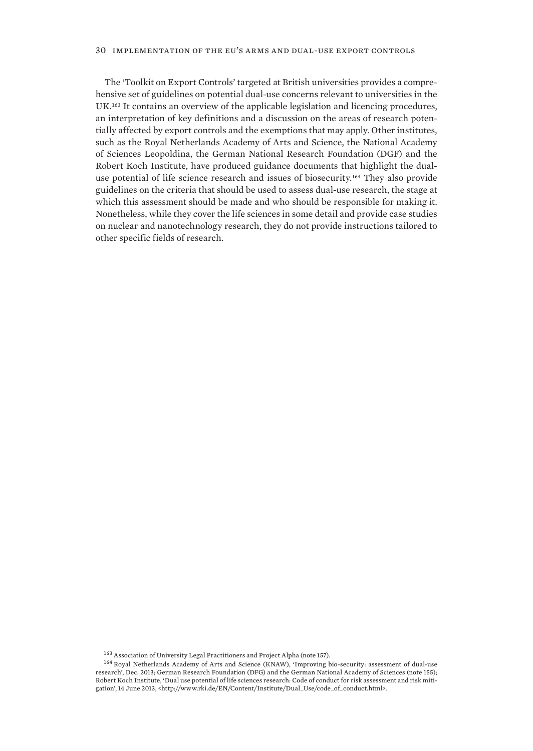#### 30 implementation of the eu's arms and dual-use export controls

The 'Toolkit on Export Controls' targeted at British universities provides a comprehensive set of guidelines on potential dual-use concerns relevant to universities in the UK.163 It contains an overview of the applicable legislation and licencing procedures, an interpretation of key definitions and a discussion on the areas of research potentially affected by export controls and the exemptions that may apply. Other institutes, such as the Royal Netherlands Academy of Arts and Science, the National Academy of Sciences Leopoldina, the German National Research Foundation (DGF) and the Robert Koch Institute, have produced guidance documents that highlight the dualuse potential of life science research and issues of biosecurity.<sup>164</sup> They also provide guidelines on the criteria that should be used to assess dual-use research, the stage at which this assessment should be made and who should be responsible for making it. Nonetheless, while they cover the life sciences in some detail and provide case studies on nuclear and nanotechnology research, they do not provide instructions tailored to other specific fields of research.

<sup>163</sup> Association of University Legal Practitioners and Project Alpha (note 157).

<sup>164</sup> Royal Netherlands Academy of Arts and Science (KNAW), 'Improving bio-security: assessment of dual-use research', Dec. 2013; German Research Foundation (DFG) and the German National Academy of Sciences (note 155); Robert Koch Institute, 'Dual use potential of life sciences research: Code of conduct for risk assessment and risk mitigation', 14 June 2013, <http://www.rki.de/EN/Content/Institute/Dual\_Use/code\_of\_conduct.html>.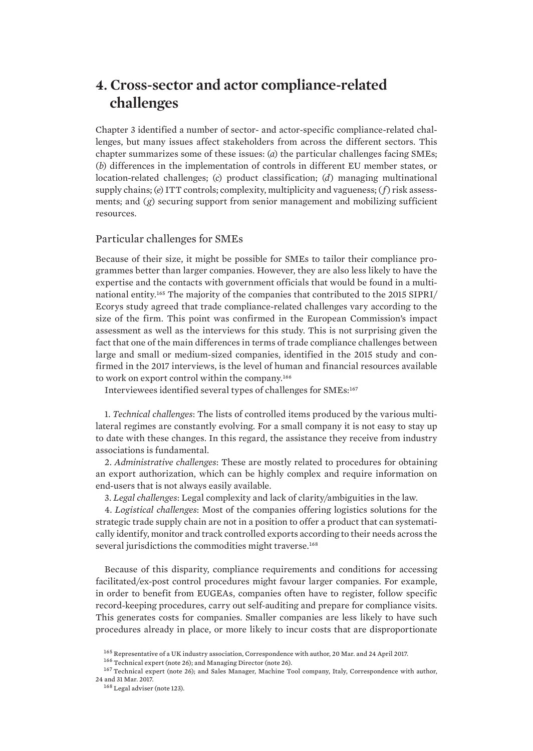# <span id="page-40-0"></span>**4. Cross-sector and actor compliance-related challenges**

Chapter 3 identified a number of sector- and actor-specific compliance-related challenges, but many issues affect stakeholders from across the different sectors. This chapter summarizes some of these issues: (*a*) the particular challenges facing SMEs; (*b*) differences in the implementation of controls in different EU member states, or location-related challenges; (*c*) product classification; (*d*) managing multinational supply chains; (*e*) ITT controls; complexity, multiplicity and vagueness; (*f*) risk assessments; and (*g*) securing support from senior management and mobilizing sufficient resources.

## Particular challenges for SMEs

Because of their size, it might be possible for SMEs to tailor their compliance programmes better than larger companies. However, they are also less likely to have the expertise and the contacts with government officials that would be found in a multinational entity.165 The majority of the companies that contributed to the 2015 SIPRI/ Ecorys study agreed that trade compliance-related challenges vary according to the size of the firm. This point was confirmed in the European Commission's impact assessment as well as the interviews for this study. This is not surprising given the fact that one of the main differences in terms of trade compliance challenges between large and small or medium-sized companies, identified in the 2015 study and confirmed in the 2017 interviews, is the level of human and financial resources available to work on export control within the company.<sup>166</sup>

Interviewees identified several types of challenges for SMEs:<sup>167</sup>

1. *Technical challenges*: The lists of controlled items produced by the various multilateral regimes are constantly evolving. For a small company it is not easy to stay up to date with these changes. In this regard, the assistance they receive from industry associations is fundamental.

2. *Administrative challenges*: These are mostly related to procedures for obtaining an export authorization, which can be highly complex and require information on end-users that is not always easily available.

3. *Legal challenges*: Legal complexity and lack of clarity/ambiguities in the law.

4. *Logistical challenges*: Most of the companies offering logistics solutions for the strategic trade supply chain are not in a position to offer a product that can systematically identify, monitor and track controlled exports according to their needs across the several jurisdictions the commodities might traverse.<sup>168</sup>

Because of this disparity, compliance requirements and conditions for accessing facilitated/ex-post control procedures might favour larger companies. For example, in order to benefit from EUGEAs, companies often have to register, follow specific record-keeping procedures, carry out self-auditing and prepare for compliance visits. This generates costs for companies. Smaller companies are less likely to have such procedures already in place, or more likely to incur costs that are disproportionate

<sup>165</sup> Representative of a UK industry association, Correspondence with author, 20 Mar. and 24 April 2017.

<sup>166</sup> Technical expert (note 26); and Managing Director (note 26).

<sup>&</sup>lt;sup>167</sup> Technical expert (note 26); and Sales Manager, Machine Tool company, Italy, Correspondence with author, 24 and 31 Mar. 2017.

<sup>168</sup> Legal adviser (note 123).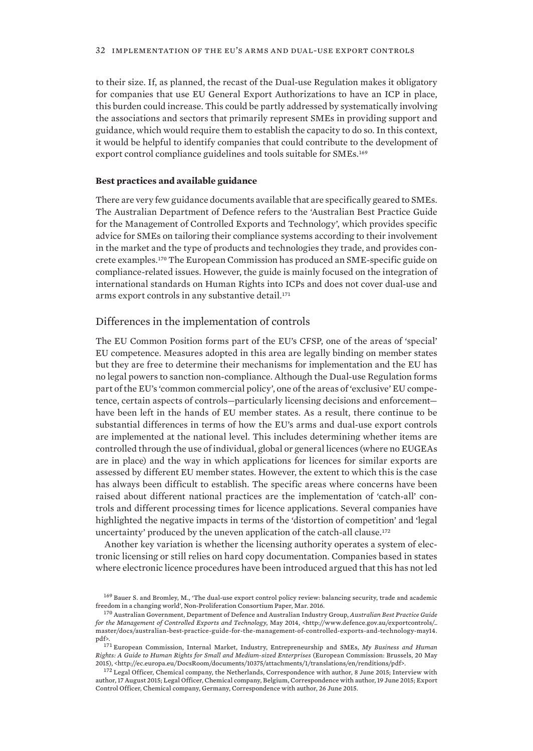<span id="page-41-0"></span>to their size. If, as planned, the recast of the Dual-use Regulation makes it obligatory for companies that use EU General Export Authorizations to have an ICP in place, this burden could increase. This could be partly addressed by systematically involving the associations and sectors that primarily represent SMEs in providing support and guidance, which would require them to establish the capacity to do so. In this context, it would be helpful to identify companies that could contribute to the development of export control compliance guidelines and tools suitable for SMEs.<sup>169</sup>

#### **Best practices and available guidance**

There are very few guidance documents available that are specifically geared to SMEs. The Australian Department of Defence refers to the 'Australian Best Practice Guide for the Management of Controlled Exports and Technology', which provides specific advice for SMEs on tailoring their compliance systems according to their involvement in the market and the type of products and technologies they trade, and provides concrete examples.170 The European Commission has produced an SME-specific guide on compliance-related issues. However, the guide is mainly focused on the integration of international standards on Human Rights into ICPs and does not cover dual-use and arms export controls in any substantive detail.<sup>171</sup>

#### Differences in the implementation of controls

The EU Common Position forms part of the EU's CFSP, one of the areas of 'special' EU competence. Measures adopted in this area are legally binding on member states but they are free to determine their mechanisms for implementation and the EU has no legal powers to sanction non-compliance. Although the Dual-use Regulation forms part of the EU's 'common commercial policy', one of the areas of 'exclusive' EU competence, certain aspects of controls—particularly licensing decisions and enforcement have been left in the hands of EU member states. As a result, there continue to be substantial differences in terms of how the EU's arms and dual-use export controls are implemented at the national level. This includes determining whether items are controlled through the use of individual, global or general licences (where no EUGEAs are in place) and the way in which applications for licences for similar exports are assessed by different EU member states. However, the extent to which this is the case has always been difficult to establish. The specific areas where concerns have been raised about different national practices are the implementation of 'catch-all' controls and different processing times for licence applications. Several companies have highlighted the negative impacts in terms of the 'distortion of competition' and 'legal uncertainty' produced by the uneven application of the catch-all clause.<sup>172</sup>

Another key variation is whether the licensing authority operates a system of electronic licensing or still relies on hard copy documentation. Companies based in states where electronic licence procedures have been introduced argued that this has not led

<sup>169</sup> Bauer S. and Bromley, M., 'The dual-use export control policy review: balancing security, trade and academic freedom in a changing world', Non-Proliferation Consortium Paper, Mar. 2016.

<sup>170</sup> Australian Government, Department of Defence and Australian Industry Group, *Australian Best Practice Guide for the Management of Controlled Exports and Technology*, May 2014, <http://www.defence.gov.au/exportcontrols/\_ master/docs/australian-best-practice-guide-for-the-management-of-controlled-exports-and-technology-may14. pdf>.

<sup>171</sup> European Commission, Internal Market, Industry, Entrepreneurship and SMEs, *My Business and Human Rights: A Guide to Human Rights for Small and Medium-sized Enterprises* (European Commission: Brussels, 20 May 2015), <http://ec.europa.eu/DocsRoom/documents/10375/attachments/1/translations/en/renditions/pdf>.

<sup>&</sup>lt;sup>172</sup> Legal Officer, Chemical company, the Netherlands, Correspondence with author, 8 June 2015; Interview with author, 17 August 2015; Legal Officer, Chemical company, Belgium, Correspondence with author, 19 June 2015; Export Control Officer, Chemical company, Germany, Correspondence with author, 26 June 2015.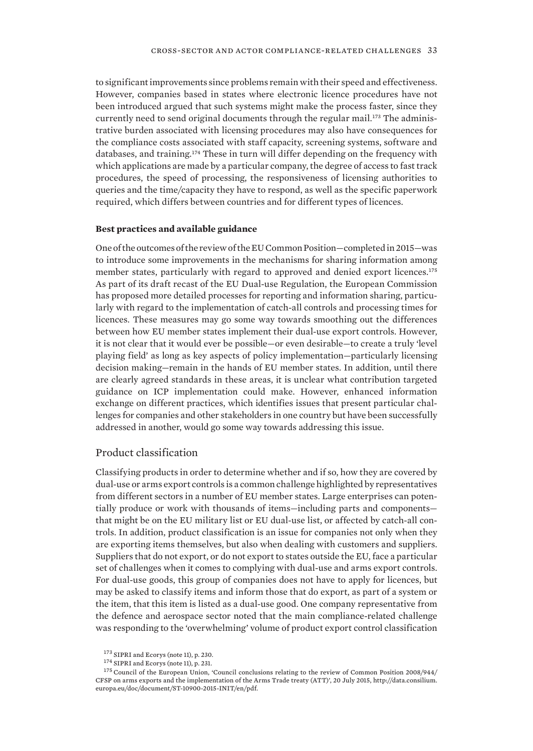<span id="page-42-0"></span>to significant improvements since problems remain with their speed and effectiveness. However, companies based in states where electronic licence procedures have not been introduced argued that such systems might make the process faster, since they currently need to send original documents through the regular mail.<sup>173</sup> The administrative burden associated with licensing procedures may also have consequences for the compliance costs associated with staff capacity, screening systems, software and databases, and training.174 These in turn will differ depending on the frequency with which applications are made by a particular company, the degree of access to fast track procedures, the speed of processing, the responsiveness of licensing authorities to queries and the time/capacity they have to respond, as well as the specific paperwork required, which differs between countries and for different types of licences.

#### **Best practices and available guidance**

One of the outcomes of the review of the EU Common Position—completed in 2015—was to introduce some improvements in the mechanisms for sharing information among member states, particularly with regard to approved and denied export licences.<sup>175</sup> As part of its draft recast of the EU Dual-use Regulation, the European Commission has proposed more detailed processes for reporting and information sharing, particularly with regard to the implementation of catch-all controls and processing times for licences. These measures may go some way towards smoothing out the differences between how EU member states implement their dual-use export controls. However, it is not clear that it would ever be possible—or even desirable—to create a truly 'level playing field' as long as key aspects of policy implementation—particularly licensing decision making—remain in the hands of EU member states. In addition, until there are clearly agreed standards in these areas, it is unclear what contribution targeted guidance on ICP implementation could make. However, enhanced information exchange on different practices, which identifies issues that present particular challenges for companies and other stakeholders in one country but have been successfully addressed in another, would go some way towards addressing this issue.

# Product classification

Classifying products in order to determine whether and if so, how they are covered by dual-use or arms export controls is a common challenge highlighted by representatives from different sectors in a number of EU member states. Large enterprises can potentially produce or work with thousands of items—including parts and components that might be on the EU military list or EU dual-use list, or affected by catch-all controls. In addition, product classification is an issue for companies not only when they are exporting items themselves, but also when dealing with customers and suppliers. Suppliers that do not export, or do not export to states outside the EU, face a particular set of challenges when it comes to complying with dual-use and arms export controls. For dual-use goods, this group of companies does not have to apply for licences, but may be asked to classify items and inform those that do export, as part of a system or the item, that this item is listed as a dual-use good. One company representative from the defence and aerospace sector noted that the main compliance-related challenge was responding to the 'overwhelming' volume of product export control classification

 $^{173}\,$  SIPRI and Ecorys (note 11), p. 230.

<sup>174</sup> SIPRI and Ecorys (note 11), p. 231.

<sup>175</sup> Council of the European Union, 'Council conclusions relating to the review of Common Position 2008/944/ CFSP on arms exports and the implementation of the Arms Trade treaty (ATT)', 20 July 2015, http://data.consilium. europa.eu/doc/document/ST-10900-2015-INIT/en/pdf.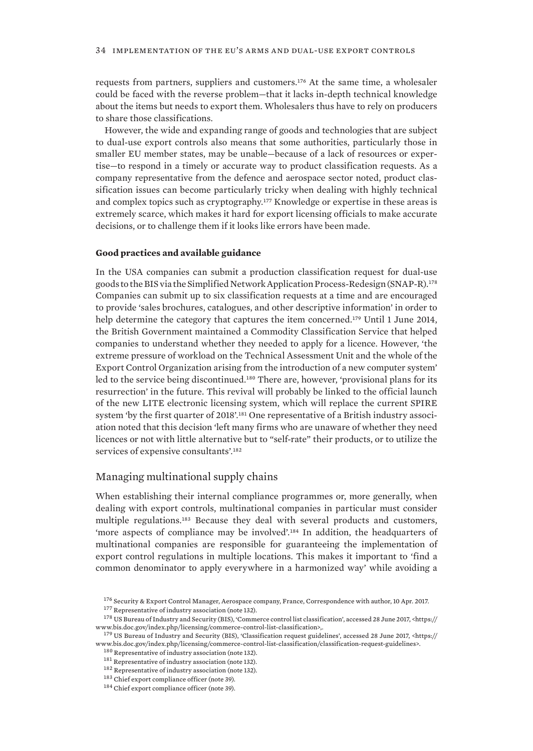<span id="page-43-0"></span>requests from partners, suppliers and customers.176 At the same time, a wholesaler could be faced with the reverse problem—that it lacks in-depth technical knowledge about the items but needs to export them. Wholesalers thus have to rely on producers to share those classifications.

However, the wide and expanding range of goods and technologies that are subject to dual-use export controls also means that some authorities, particularly those in smaller EU member states, may be unable—because of a lack of resources or expertise—to respond in a timely or accurate way to product classification requests. As a company representative from the defence and aerospace sector noted, product classification issues can become particularly tricky when dealing with highly technical and complex topics such as cryptography.177 Knowledge or expertise in these areas is extremely scarce, which makes it hard for export licensing officials to make accurate decisions, or to challenge them if it looks like errors have been made.

#### **Good practices and available guidance**

In the USA companies can submit a production classification request for dual-use goods to the BIS via the Simplified Network Application Process-Redesign (SNAP-R).<sup>178</sup> Companies can submit up to six classification requests at a time and are encouraged to provide 'sales brochures, catalogues, and other descriptive information' in order to help determine the category that captures the item concerned.<sup>179</sup> Until 1 June 2014, the British Government maintained a Commodity Classification Service that helped companies to understand whether they needed to apply for a licence. However, 'the extreme pressure of workload on the Technical Assessment Unit and the whole of the Export Control Organization arising from the introduction of a new computer system' led to the service being discontinued.<sup>180</sup> There are, however, 'provisional plans for its resurrection' in the future. This revival will probably be linked to the official launch of the new LITE electronic licensing system, which will replace the current SPIRE system 'by the first quarter of 2018'.<sup>181</sup> One representative of a British industry association noted that this decision 'left many firms who are unaware of whether they need licences or not with little alternative but to "self-rate" their products, or to utilize the services of expensive consultants'.<sup>182</sup>

## Managing multinational supply chains

When establishing their internal compliance programmes or, more generally, when dealing with export controls, multinational companies in particular must consider multiple regulations.183 Because they deal with several products and customers, 'more aspects of compliance may be involved'.184 In addition, the headquarters of multinational companies are responsible for guaranteeing the implementation of export control regulations in multiple locations. This makes it important to 'find a common denominator to apply everywhere in a harmonized way' while avoiding a

<sup>176</sup> Security & Export Control Manager, Aerospace company, France, Correspondence with author, 10 Apr. 2017.  $^{177}$  Representative of industry association (note 132).

<sup>178</sup> US Bureau of Industry and Security (BIS), 'Commerce control list classification', accessed 28 June 2017, <https:// www.bis.doc.gov/index.php/licensing/commerce-control-list-classification>,.

<sup>179</sup> US Bureau of Industry and Security (BIS), 'Classification request guidelines', accessed 28 June 2017, <https:// www.bis.doc.gov/index.php/licensing/commerce-control-list-classification/classification-request-guidelines>.

<sup>180</sup> Representative of industry association (note 132).

 $^{181}$  Representative of industry association (note 132).

<sup>&</sup>lt;sup>182</sup> Representative of industry association (note 132).

<sup>183</sup> Chief export compliance officer (note 39).

<sup>&</sup>lt;sup>184</sup> Chief export compliance officer (note 39).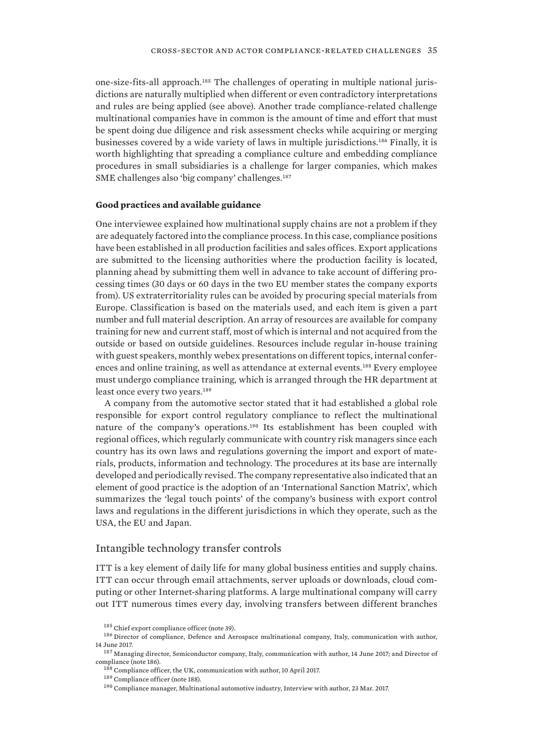<span id="page-44-0"></span>one-size-fits-all approach.185 The challenges of operating in multiple national jurisdictions are naturally multiplied when different or even contradictory interpretations and rules are being applied (see above). Another trade compliance-related challenge multinational companies have in common is the amount of time and effort that must be spent doing due diligence and risk assessment checks while acquiring or merging businesses covered by a wide variety of laws in multiple jurisdictions.186 Finally, it is worth highlighting that spreading a compliance culture and embedding compliance procedures in small subsidiaries is a challenge for larger companies, which makes SME challenges also 'big company' challenges.<sup>187</sup>

#### **Good practices and available guidance**

One interviewee explained how multinational supply chains are not a problem if they are adequately factored into the compliance process. In this case, compliance positions have been established in all production facilities and sales offices. Export applications are submitted to the licensing authorities where the production facility is located, planning ahead by submitting them well in advance to take account of differing processing times (30 days or 60 days in the two EU member states the company exports from). US extraterritoriality rules can be avoided by procuring special materials from Europe. Classification is based on the materials used, and each item is given a part number and full material description. An array of resources are available for company training for new and current staff, most of which is internal and not acquired from the outside or based on outside guidelines. Resources include regular in-house training with guest speakers, monthly webex presentations on different topics, internal conferences and online training, as well as attendance at external events.188 Every employee must undergo compliance training, which is arranged through the HR department at least once every two years.<sup>189</sup>

A company from the automotive sector stated that it had established a global role responsible for export control regulatory compliance to reflect the multinational nature of the company's operations.190 Its establishment has been coupled with regional offices, which regularly communicate with country risk managers since each country has its own laws and regulations governing the import and export of materials, products, information and technology. The procedures at its base are internally developed and periodically revised. The company representative also indicated that an element of good practice is the adoption of an 'International Sanction Matrix', which summarizes the 'legal touch points' of the company's business with export control laws and regulations in the different jurisdictions in which they operate, such as the USA, the EU and Japan.

# Intangible technology transfer controls

ITT is a key element of daily life for many global business entities and supply chains. ITT can occur through email attachments, server uploads or downloads, cloud computing or other Internet-sharing platforms. A large multinational company will carry out ITT numerous times every day, involving transfers between different branches

<sup>185</sup> Chief export compliance officer (note 39).

<sup>186</sup> Director of compliance, Defence and Aerospace multinational company, Italy, communication with author, 14 June 2017.

<sup>&</sup>lt;sup>187</sup> Managing director, Semiconductor company, Italy, communication with author, 14 June 2017; and Director of compliance (note 186).

<sup>&</sup>lt;sup>188</sup> Compliance officer, the UK, communication with author, 10 April 2017.

<sup>189</sup> Compliance officer (note 188).

<sup>190</sup> Compliance manager, Multinational automotive industry, Interview with author, 23 Mar. 2017.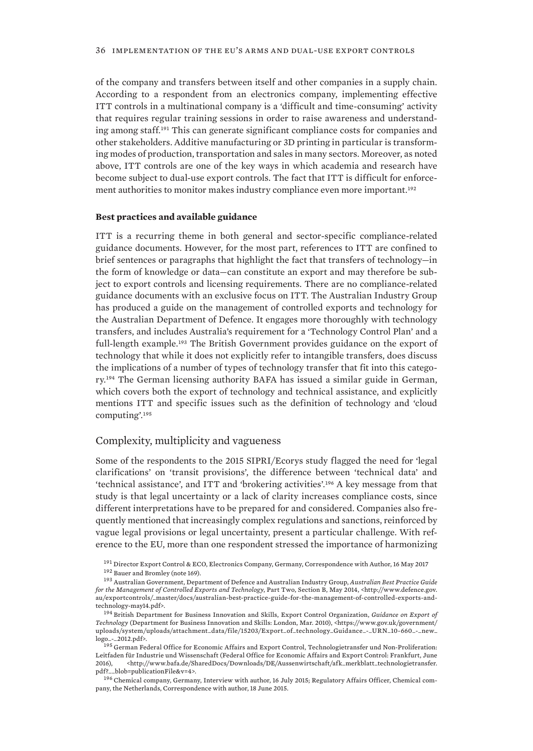<span id="page-45-0"></span>of the company and transfers between itself and other companies in a supply chain. According to a respondent from an electronics company, implementing effective ITT controls in a multinational company is a 'difficult and time-consuming' activity that requires regular training sessions in order to raise awareness and understanding among staff.191 This can generate significant compliance costs for companies and other stakeholders. Additive manufacturing or 3D printing in particular is transforming modes of production, transportation and sales in many sectors. Moreover, as noted above, ITT controls are one of the key ways in which academia and research have become subject to dual-use export controls. The fact that ITT is difficult for enforcement authorities to monitor makes industry compliance even more important.<sup>192</sup>

#### **Best practices and available guidance**

ITT is a recurring theme in both general and sector-specific compliance-related guidance documents. However, for the most part, references to ITT are confined to brief sentences or paragraphs that highlight the fact that transfers of technology—in the form of knowledge or data—can constitute an export and may therefore be subject to export controls and licensing requirements. There are no compliance-related guidance documents with an exclusive focus on ITT. The Australian Industry Group has produced a guide on the management of controlled exports and technology for the Australian Department of Defence. It engages more thoroughly with technology transfers, and includes Australia's requirement for a 'Technology Control Plan' and a full-length example.193 The British Government provides guidance on the export of technology that while it does not explicitly refer to intangible transfers, does discuss the implications of a number of types of technology transfer that fit into this category.194 The German licensing authority BAFA has issued a similar guide in German, which covers both the export of technology and technical assistance, and explicitly mentions ITT and specific issues such as the definition of technology and 'cloud computing'.<sup>195</sup>

# Complexity, multiplicity and vagueness

Some of the respondents to the 2015 SIPRI/Ecorys study flagged the need for 'legal clarifications' on 'transit provisions', the difference between 'technical data' and 'technical assistance', and ITT and 'brokering activities'.196 A key message from that study is that legal uncertainty or a lack of clarity increases compliance costs, since different interpretations have to be prepared for and considered. Companies also frequently mentioned that increasingly complex regulations and sanctions, reinforced by vague legal provisions or legal uncertainty, present a particular challenge. With reference to the EU, more than one respondent stressed the importance of harmonizing

<sup>191</sup> Director Export Control & ECO, Electronics Company, Germany, Correspondence with Author, 16 May 2017 <sup>192</sup> Bauer and Bromley (note 169).

<sup>196</sup> Chemical company, Germany, Interview with author, 16 July 2015; Regulatory Affairs Officer, Chemical company, the Netherlands, Correspondence with author, 18 June 2015.

<sup>193</sup> Australian Government, Department of Defence and Australian Industry Group, *Australian Best Practice Guide for the Management of Controlled Exports and Technology*, Part Two, Section B, May 2014, <http://www.defence.gov. au/exportcontrols/\_master/docs/australian-best-practice-guide-for-the-management-of-controlled-exports-andtechnology-may14.pdf>.

<sup>194</sup> British Department for Business Innovation and Skills, Export Control Organization, *Guidance on Export of Technology* (Department for Business Innovation and Skills: London, Mar. 2010), <https://www.gov.uk/government/ uploads/system/uploads/attachment\_data/file/15203/Export\_of\_technology\_Guidance\_-\_URN\_10-660\_-\_new\_ logo\_-\_2012.pdf>.

<sup>&</sup>lt;sup>195</sup> German Federal Office for Economic Affairs and Export Control, Technologietransfer und Non-Proliferation: Leitfaden für Industrie und Wissenschaft (Federal Office for Economic Affairs and Export Control: Frankfurt, June 2016), <http://www.bafa.de/SharedDocs/Downloads/DE/Aussenwirtschaft/afk\_merkblatt\_technologietransfer. pdf?\_\_blob=publicationFile&v=4>.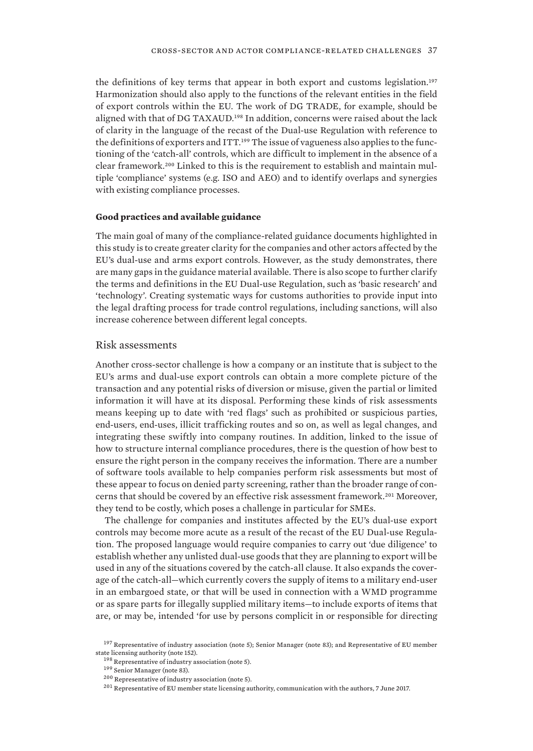<span id="page-46-0"></span>the definitions of key terms that appear in both export and customs legislation.<sup>197</sup> Harmonization should also apply to the functions of the relevant entities in the field of export controls within the EU. The work of DG TRADE, for example, should be aligned with that of DG TAXAUD.<sup>198</sup> In addition, concerns were raised about the lack of clarity in the language of the recast of the Dual-use Regulation with reference to the definitions of exporters and ITT.199 The issue of vagueness also applies to the functioning of the 'catch-all' controls, which are difficult to implement in the absence of a clear framework.200 Linked to this is the requirement to establish and maintain multiple 'compliance' systems (e.g. ISO and AEO) and to identify overlaps and synergies with existing compliance processes.

#### **Good practices and available guidance**

The main goal of many of the compliance-related guidance documents highlighted in this study is to create greater clarity for the companies and other actors affected by the EU's dual-use and arms export controls. However, as the study demonstrates, there are many gaps in the guidance material available. There is also scope to further clarify the terms and definitions in the EU Dual-use Regulation, such as 'basic research' and 'technology'. Creating systematic ways for customs authorities to provide input into the legal drafting process for trade control regulations, including sanctions, will also increase coherence between different legal concepts.

#### Risk assessments

Another cross-sector challenge is how a company or an institute that is subject to the EU's arms and dual-use export controls can obtain a more complete picture of the transaction and any potential risks of diversion or misuse, given the partial or limited information it will have at its disposal. Performing these kinds of risk assessments means keeping up to date with 'red flags' such as prohibited or suspicious parties, end-users, end-uses, illicit trafficking routes and so on, as well as legal changes, and integrating these swiftly into company routines. In addition, linked to the issue of how to structure internal compliance procedures, there is the question of how best to ensure the right person in the company receives the information. There are a number of software tools available to help companies perform risk assessments but most of these appear to focus on denied party screening, rather than the broader range of concerns that should be covered by an effective risk assessment framework.201 Moreover, they tend to be costly, which poses a challenge in particular for SMEs.

The challenge for companies and institutes affected by the EU's dual-use export controls may become more acute as a result of the recast of the EU Dual-use Regulation. The proposed language would require companies to carry out 'due diligence' to establish whether any unlisted dual-use goods that they are planning to export will be used in any of the situations covered by the catch-all clause. It also expands the coverage of the catch-all—which currently covers the supply of items to a military end-user in an embargoed state, or that will be used in connection with a WMD programme or as spare parts for illegally supplied military items—to include exports of items that are, or may be, intended 'for use by persons complicit in or responsible for directing

<sup>&</sup>lt;sup>197</sup> Representative of industry association (note 5); Senior Manager (note 83); and Representative of EU member state licensing authority (note 152).

<sup>198</sup> Representative of industry association (note 5).

<sup>199</sup> Senior Manager (note 83).

<sup>200</sup> Representative of industry association (note 5).

<sup>201</sup> Representative of EU member state licensing authority, communication with the authors, 7 June 2017.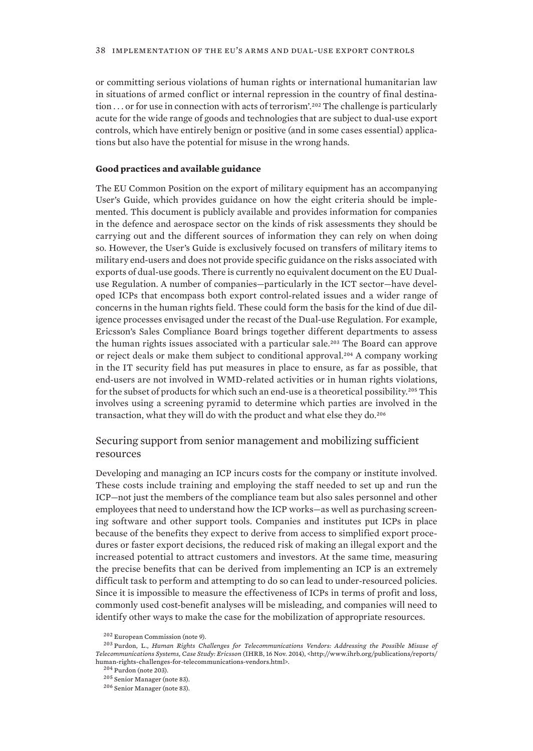<span id="page-47-0"></span>or committing serious violations of human rights or international humanitarian law in situations of armed conflict or internal repression in the country of final destination ... or for use in connection with acts of terrorism'.<sup>202</sup> The challenge is particularly acute for the wide range of goods and technologies that are subject to dual-use export controls, which have entirely benign or positive (and in some cases essential) applications but also have the potential for misuse in the wrong hands.

#### **Good practices and available guidance**

The EU Common Position on the export of military equipment has an accompanying User's Guide, which provides guidance on how the eight criteria should be implemented. This document is publicly available and provides information for companies in the defence and aerospace sector on the kinds of risk assessments they should be carrying out and the different sources of information they can rely on when doing so. However, the User's Guide is exclusively focused on transfers of military items to military end-users and does not provide specific guidance on the risks associated with exports of dual-use goods. There is currently no equivalent document on the EU Dualuse Regulation. A number of companies—particularly in the ICT sector—have developed ICPs that encompass both export control-related issues and a wider range of concerns in the human rights field. These could form the basis for the kind of due diligence processes envisaged under the recast of the Dual-use Regulation. For example, Ericsson's Sales Compliance Board brings together different departments to assess the human rights issues associated with a particular sale.203 The Board can approve or reject deals or make them subject to conditional approval.204 A company working in the IT security field has put measures in place to ensure, as far as possible, that end-users are not involved in WMD-related activities or in human rights violations, for the subset of products for which such an end-use is a theoretical possibility.205 This involves using a screening pyramid to determine which parties are involved in the transaction, what they will do with the product and what else they do.<sup>206</sup>

# Securing support from senior management and mobilizing sufficient resources

Developing and managing an ICP incurs costs for the company or institute involved. These costs include training and employing the staff needed to set up and run the ICP—not just the members of the compliance team but also sales personnel and other employees that need to understand how the ICP works—as well as purchasing screening software and other support tools. Companies and institutes put ICPs in place because of the benefits they expect to derive from access to simplified export procedures or faster export decisions, the reduced risk of making an illegal export and the increased potential to attract customers and investors. At the same time, measuring the precise benefits that can be derived from implementing an ICP is an extremely difficult task to perform and attempting to do so can lead to under-resourced policies. Since it is impossible to measure the effectiveness of ICPs in terms of profit and loss, commonly used cost-benefit analyses will be misleading, and companies will need to identify other ways to make the case for the mobilization of appropriate resources.

<sup>202</sup> European Commission (note 9).

<sup>203</sup> Purdon, L., *Human Rights Challenges for Telecommunications Vendors: Addressing the Possible Misuse of Telecommunications Systems, Case Study: Ericsson* (IHRB, 16 Nov. 2014), <http://www.ihrb.org/publications/reports/ human-rights-challenges-for-telecommunications-vendors.html>.

<sup>204</sup> Purdon (note 203).

<sup>205</sup> Senior Manager (note 83).

<sup>206</sup> Senior Manager (note 83).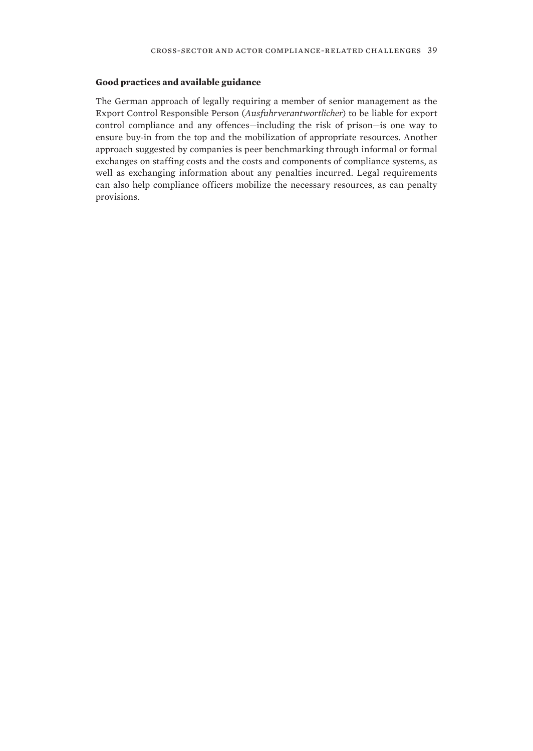#### **Good practices and available guidance**

The German approach of legally requiring a member of senior management as the Export Control Responsible Person (*Ausfuhrverantwortlicher*) to be liable for export control compliance and any offences—including the risk of prison—is one way to ensure buy-in from the top and the mobilization of appropriate resources. Another approach suggested by companies is peer benchmarking through informal or formal exchanges on staffing costs and the costs and components of compliance systems, as well as exchanging information about any penalties incurred. Legal requirements can also help compliance officers mobilize the necessary resources, as can penalty provisions.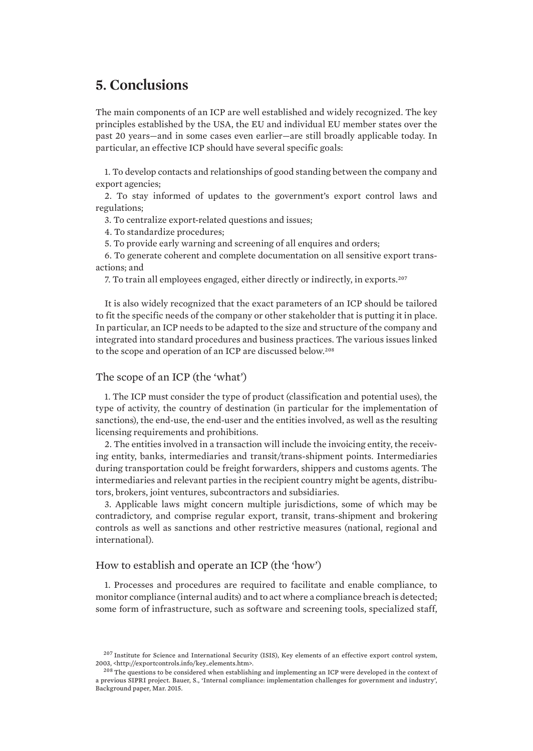# <span id="page-50-0"></span>**5. Conclusions**

The main components of an ICP are well established and widely recognized. The key principles established by the USA, the EU and individual EU member states over the past 20 years—and in some cases even earlier—are still broadly applicable today. In particular, an effective ICP should have several specific goals:

1. To develop contacts and relationships of good standing between the company and export agencies;

2. To stay informed of updates to the government's export control laws and regulations;

3. To centralize export-related questions and issues;

4. To standardize procedures;

5. To provide early warning and screening of all enquires and orders;

6. To generate coherent and complete documentation on all sensitive export transactions; and

7. To train all employees engaged, either directly or indirectly, in exports.<sup>207</sup>

It is also widely recognized that the exact parameters of an ICP should be tailored to fit the specific needs of the company or other stakeholder that is putting it in place. In particular, an ICP needs to be adapted to the size and structure of the company and integrated into standard procedures and business practices. The various issues linked to the scope and operation of an ICP are discussed below.<sup>208</sup>

# The scope of an ICP (the 'what')

1. The ICP must consider the type of product (classification and potential uses), the type of activity, the country of destination (in particular for the implementation of sanctions), the end-use, the end-user and the entities involved, as well as the resulting licensing requirements and prohibitions.

2. The entities involved in a transaction will include the invoicing entity, the receiving entity, banks, intermediaries and transit/trans-shipment points. Intermediaries during transportation could be freight forwarders, shippers and customs agents. The intermediaries and relevant parties in the recipient country might be agents, distributors, brokers, joint ventures, subcontractors and subsidiaries.

3. Applicable laws might concern multiple jurisdictions, some of which may be contradictory, and comprise regular export, transit, trans-shipment and brokering controls as well as sanctions and other restrictive measures (national, regional and international).

## How to establish and operate an ICP (the 'how')

1. Processes and procedures are required to facilitate and enable compliance, to monitor compliance (internal audits) and to act where a compliance breach is detected; some form of infrastructure, such as software and screening tools, specialized staff,

<sup>&</sup>lt;sup>207</sup> Institute for Science and International Security (ISIS), Key elements of an effective export control system, 2003, <http://exportcontrols.info/key\_elements.htm>.

<sup>&</sup>lt;sup>208</sup> The questions to be considered when establishing and implementing an ICP were developed in the context of a previous SIPRI project. Bauer, S., 'Internal compliance: implementation challenges for government and industry', Background paper, Mar. 2015.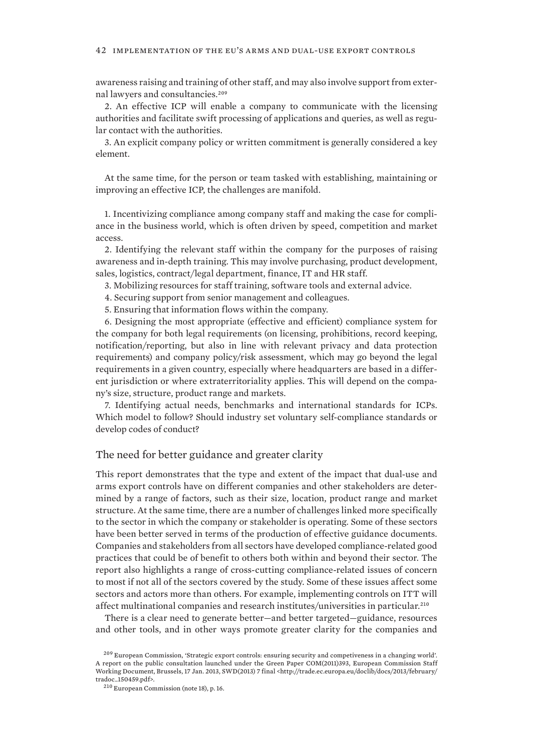<span id="page-51-0"></span>awareness raising and training of other staff, and may also involve support from external lawyers and consultancies.<sup>209</sup>

2. An effective ICP will enable a company to communicate with the licensing authorities and facilitate swift processing of applications and queries, as well as regular contact with the authorities.

3. An explicit company policy or written commitment is generally considered a key element.

At the same time, for the person or team tasked with establishing, maintaining or improving an effective ICP, the challenges are manifold.

1. Incentivizing compliance among company staff and making the case for compliance in the business world, which is often driven by speed, competition and market access.

2. Identifying the relevant staff within the company for the purposes of raising awareness and in-depth training. This may involve purchasing, product development, sales, logistics, contract/legal department, finance, IT and HR staff.

3. Mobilizing resources for staff training, software tools and external advice.

4. Securing support from senior management and colleagues.

5. Ensuring that information flows within the company.

6. Designing the most appropriate (effective and efficient) compliance system for the company for both legal requirements (on licensing, prohibitions, record keeping, notification/reporting, but also in line with relevant privacy and data protection requirements) and company policy/risk assessment, which may go beyond the legal requirements in a given country, especially where headquarters are based in a different jurisdiction or where extraterritoriality applies. This will depend on the company's size, structure, product range and markets.

7. Identifying actual needs, benchmarks and international standards for ICPs. Which model to follow? Should industry set voluntary self-compliance standards or develop codes of conduct?

# The need for better guidance and greater clarity

This report demonstrates that the type and extent of the impact that dual-use and arms export controls have on different companies and other stakeholders are determined by a range of factors, such as their size, location, product range and market structure. At the same time, there are a number of challenges linked more specifically to the sector in which the company or stakeholder is operating. Some of these sectors have been better served in terms of the production of effective guidance documents. Companies and stakeholders from all sectors have developed compliance-related good practices that could be of benefit to others both within and beyond their sector. The report also highlights a range of cross-cutting compliance-related issues of concern to most if not all of the sectors covered by the study. Some of these issues affect some sectors and actors more than others. For example, implementing controls on ITT will affect multinational companies and research institutes/universities in particular.<sup>210</sup>

There is a clear need to generate better—and better targeted—guidance, resources and other tools, and in other ways promote greater clarity for the companies and

<sup>209</sup> European Commission, 'Strategic export controls: ensuring security and competiveness in a changing world'. A report on the public consultation launched under the Green Paper COM(2011)393, European Commission Staff Working Document, Brussels, 17 Jan. 2013, SWD(2013) 7 final <http://trade.ec.europa.eu/doclib/docs/2013/february/ tradoc\_150459.pdf>.

<sup>210</sup> European Commission (note 18), p. 16.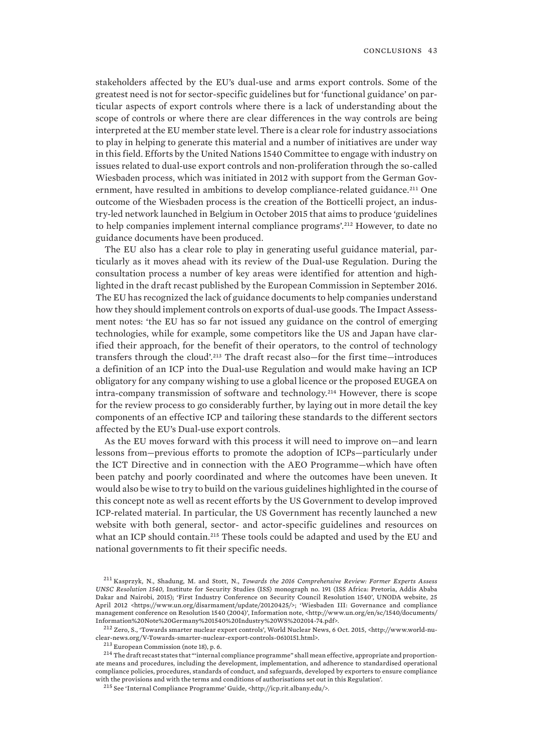stakeholders affected by the EU's dual-use and arms export controls. Some of the greatest need is not for sector-specific guidelines but for 'functional guidance' on particular aspects of export controls where there is a lack of understanding about the scope of controls or where there are clear differences in the way controls are being interpreted at the EU member state level. There is a clear role for industry associations to play in helping to generate this material and a number of initiatives are under way in this field. Efforts by the United Nations 1540 Committee to engage with industry on issues related to dual-use export controls and non-proliferation through the so-called Wiesbaden process, which was initiated in 2012 with support from the German Government, have resulted in ambitions to develop compliance-related guidance.<sup>211</sup> One outcome of the Wiesbaden process is the creation of the Botticelli project, an industry-led network launched in Belgium in October 2015 that aims to produce 'guidelines to help companies implement internal compliance programs'.212 However, to date no guidance documents have been produced.

The EU also has a clear role to play in generating useful guidance material, particularly as it moves ahead with its review of the Dual-use Regulation. During the consultation process a number of key areas were identified for attention and highlighted in the draft recast published by the European Commission in September 2016. The EU has recognized the lack of guidance documents to help companies understand how they should implement controls on exports of dual-use goods. The Impact Assessment notes: 'the EU has so far not issued any guidance on the control of emerging technologies, while for example, some competitors like the US and Japan have clarified their approach, for the benefit of their operators, to the control of technology transfers through the cloud'.213 The draft recast also—for the first time—introduces a definition of an ICP into the Dual-use Regulation and would make having an ICP obligatory for any company wishing to use a global licence or the proposed EUGEA on intra-company transmission of software and technology.214 However, there is scope for the review process to go considerably further, by laying out in more detail the key components of an effective ICP and tailoring these standards to the different sectors affected by the EU's Dual-use export controls.

As the EU moves forward with this process it will need to improve on—and learn lessons from—previous efforts to promote the adoption of ICPs—particularly under the ICT Directive and in connection with the AEO Programme—which have often been patchy and poorly coordinated and where the outcomes have been uneven. It would also be wise to try to build on the various guidelines highlighted in the course of this concept note as well as recent efforts by the US Government to develop improved ICP-related material. In particular, the US Government has recently launched a new website with both general, sector- and actor-specific guidelines and resources on what an ICP should contain.<sup>215</sup> These tools could be adapted and used by the EU and national governments to fit their specific needs.

<sup>211</sup> Kasprzyk, N., Shadung, M. and Stott, N., *Towards the 2016 Comprehensive Review: Former Experts Assess UNSC Resolution 1540*, Institute for Security Studies (ISS) monograph no. 191 (ISS Africa: Pretoria, Addis Ababa Dakar and Nairobi, 2015); 'First Industry Conference on Security Council Resolution 1540', UNODA website, 25 April 2012 <https://www.un.org/disarmament/update/20120425/>; 'Wiesbaden III: Governance and compliance management conference on Resolution 1540 (2004)', Information note, <http://www.un.org/en/sc/1540/documents/ Information%20Note%20Germany%201540%20Industry%20WS%202014-74.pdf>.

<sup>212</sup> Zero, S., 'Towards smarter nuclear export controls', World Nuclear News, 6 Oct. 2015, <http://www.world-nuclear-news.org/V-Towards-smarter-nuclear-export-controls-0610151.html>.

<sup>213</sup> European Commission (note 18), p. 6.

<sup>&</sup>lt;sup>214</sup> The draft recast states that "'internal compliance programme" shall mean effective, appropriate and proportionate means and procedures, including the development, implementation, and adherence to standardised operational compliance policies, procedures, standards of conduct, and safeguards, developed by exporters to ensure compliance with the provisions and with the terms and conditions of authorisations set out in this Regulation'.

<sup>215</sup> See 'Internal Compliance Programme' Guide, <http://icp.rit.albany.edu/>.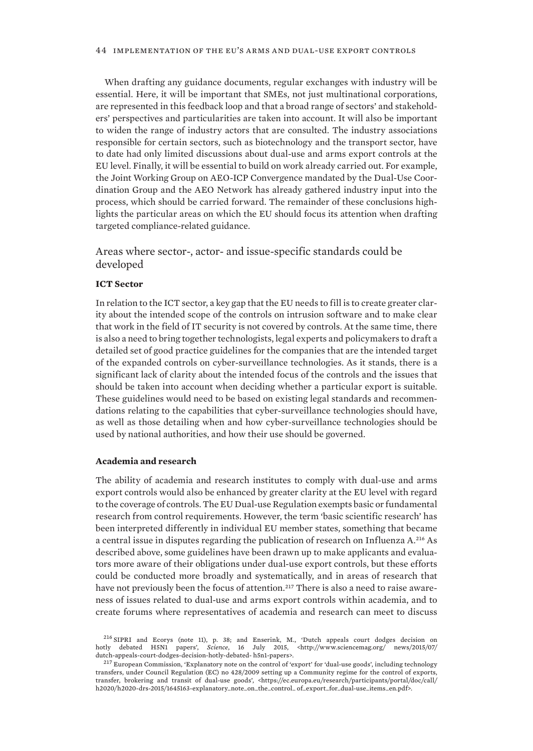<span id="page-53-0"></span>When drafting any guidance documents, regular exchanges with industry will be essential. Here, it will be important that SMEs, not just multinational corporations, are represented in this feedback loop and that a broad range of sectors' and stakeholders' perspectives and particularities are taken into account. It will also be important to widen the range of industry actors that are consulted. The industry associations responsible for certain sectors, such as biotechnology and the transport sector, have to date had only limited discussions about dual-use and arms export controls at the EU level. Finally, it will be essential to build on work already carried out. For example, the Joint Working Group on AEO-ICP Convergence mandated by the Dual-Use Coordination Group and the AEO Network has already gathered industry input into the process, which should be carried forward. The remainder of these conclusions highlights the particular areas on which the EU should focus its attention when drafting targeted compliance-related guidance.

Areas where sector-, actor- and issue-specific standards could be developed

### **ICT Sector**

In relation to the ICT sector, a key gap that the EU needs to fill is to create greater clarity about the intended scope of the controls on intrusion software and to make clear that work in the field of IT security is not covered by controls. At the same time, there is also a need to bring together technologists, legal experts and policymakers to draft a detailed set of good practice guidelines for the companies that are the intended target of the expanded controls on cyber-surveillance technologies. As it stands, there is a significant lack of clarity about the intended focus of the controls and the issues that should be taken into account when deciding whether a particular export is suitable. These guidelines would need to be based on existing legal standards and recommendations relating to the capabilities that cyber-surveillance technologies should have, as well as those detailing when and how cyber-surveillance technologies should be used by national authorities, and how their use should be governed.

#### **Academia and research**

The ability of academia and research institutes to comply with dual-use and arms export controls would also be enhanced by greater clarity at the EU level with regard to the coverage of controls. The EU Dual-use Regulation exempts basic or fundamental research from control requirements. However, the term 'basic scientific research' has been interpreted differently in individual EU member states, something that became a central issue in disputes regarding the publication of research on Influenza A.216 As described above, some guidelines have been drawn up to make applicants and evaluators more aware of their obligations under dual-use export controls, but these efforts could be conducted more broadly and systematically, and in areas of research that have not previously been the focus of attention.<sup>217</sup> There is also a need to raise awareness of issues related to dual-use and arms export controls within academia, and to create forums where representatives of academia and research can meet to discuss

<sup>216</sup> SIPRI and Ecorys (note 11), p. 38; and Enserink, M., 'Dutch appeals court dodges decision on hotly debated H5N1 papers', *Science*, 16 July 2015, <http://www.sciencemag.org/ news/2015/07/ dutch-appeals-court-dodges-decision-hotly-debated- h5n1-papers>.

<sup>217</sup> European Commission, 'Explanatory note on the control of 'export' for 'dual-use goods', including technology transfers, under Council Regulation (EC) no 428/2009 setting up a Community regime for the control of exports, transfer, brokering and transit of dual-use goods', <https://ec.europa.eu/research/participants/portal/doc/call/ h2020/h2020-drs-2015/1645163-explanatory\_note\_on\_the\_control\_ of\_export\_for\_dual-use\_items\_en.pdf>.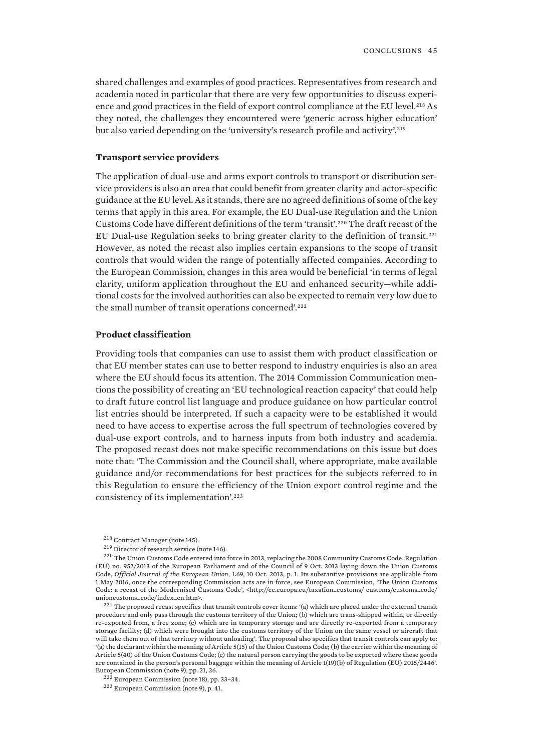shared challenges and examples of good practices. Representatives from research and academia noted in particular that there are very few opportunities to discuss experience and good practices in the field of export control compliance at the EU level.<sup>218</sup> As they noted, the challenges they encountered were 'generic across higher education' but also varied depending on the 'university's research profile and activity'.<sup>219</sup>

#### **Transport service providers**

The application of dual-use and arms export controls to transport or distribution service providers is also an area that could benefit from greater clarity and actor-specific guidance at the EU level. As it stands, there are no agreed definitions of some of the key terms that apply in this area. For example, the EU Dual-use Regulation and the Union Customs Code have different definitions of the term 'transit'.220 The draft recast of the EU Dual-use Regulation seeks to bring greater clarity to the definition of transit.<sup>221</sup> However, as noted the recast also implies certain expansions to the scope of transit controls that would widen the range of potentially affected companies. According to the European Commission, changes in this area would be beneficial 'in terms of legal clarity, uniform application throughout the EU and enhanced security—while additional costs for the involved authorities can also be expected to remain very low due to the small number of transit operations concerned'.<sup>222</sup>

#### **Product classification**

Providing tools that companies can use to assist them with product classification or that EU member states can use to better respond to industry enquiries is also an area where the EU should focus its attention. The 2014 Commission Communication mentions the possibility of creating an 'EU technological reaction capacity' that could help to draft future control list language and produce guidance on how particular control list entries should be interpreted. If such a capacity were to be established it would need to have access to expertise across the full spectrum of technologies covered by dual-use export controls, and to harness inputs from both industry and academia. The proposed recast does not make specific recommendations on this issue but does note that: 'The Commission and the Council shall, where appropriate, make available guidance and/or recommendations for best practices for the subjects referred to in this Regulation to ensure the efficiency of the Union export control regime and the consistency of its implementation'.<sup>223</sup>

 $221$  The proposed recast specifies that transit controls cover items: '(a) which are placed under the external transit procedure and only pass through the customs territory of the Union; (b) which are trans-shipped within, or directly re-exported from, a free zone; (c) which are in temporary storage and are directly re-exported from a temporary storage facility; (d) which were brought into the customs territory of the Union on the same vessel or aircraft that will take them out of that territory without unloading'. The proposal also specifies that transit controls can apply to: '(a) the declarant within the meaning of Article 5(15) of the Union Customs Code; (b) the carrier within the meaning of Article 5(40) of the Union Customs Code; (c) the natural person carrying the goods to be exported where these goods are contained in the person's personal baggage within the meaning of Article 1(19)(b) of Regulation (EU) 2015/2446'. European Commission (note 9), pp. 21, 26.

 $222$  European Commission (note 18), pp. 33-34.

<sup>223</sup> European Commission (note 9), p. 41.

<sup>218</sup> Contract Manager (note 145).

<sup>219</sup> Director of research service (note 146).

<sup>220</sup> The Union Customs Code entered into force in 2013, replacing the 2008 Community Customs Code. Regulation (EU) no. 952/2013 of the European Parliament and of the Council of 9 Oct. 2013 laying down the Union Customs Code, *Official Journal of the European Union*, L69, 10 Oct. 2013, p. 1. Its substantive provisions are applicable from 1 May 2016, once the corresponding Commission acts are in force, see European Commission, 'The Union Customs Code: a recast of the Modernised Customs Code', <http://ec.europa.eu/taxation\_customs/ customs/customs\_code/ unioncustoms\_code/index\_en.htm>.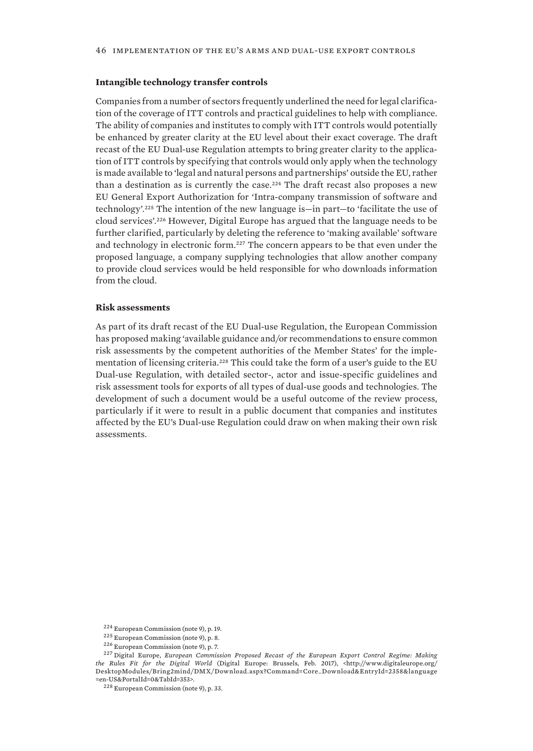#### **Intangible technology transfer controls**

Companies from a number of sectors frequently underlined the need for legal clarification of the coverage of ITT controls and practical guidelines to help with compliance. The ability of companies and institutes to comply with ITT controls would potentially be enhanced by greater clarity at the EU level about their exact coverage. The draft recast of the EU Dual-use Regulation attempts to bring greater clarity to the application of ITT controls by specifying that controls would only apply when the technology is made available to 'legal and natural persons and partnerships' outside the EU, rather than a destination as is currently the case.<sup>224</sup> The draft recast also proposes a new EU General Export Authorization for 'Intra-company transmission of software and technology'.225 The intention of the new language is—in part—to 'facilitate the use of cloud services'.226 However, Digital Europe has argued that the language needs to be further clarified, particularly by deleting the reference to 'making available' software and technology in electronic form.<sup>227</sup> The concern appears to be that even under the proposed language, a company supplying technologies that allow another company to provide cloud services would be held responsible for who downloads information from the cloud.

#### **Risk assessments**

As part of its draft recast of the EU Dual-use Regulation, the European Commission has proposed making 'available guidance and/or recommendations to ensure common risk assessments by the competent authorities of the Member States' for the implementation of licensing criteria.<sup>228</sup> This could take the form of a user's guide to the EU Dual-use Regulation, with detailed sector-, actor and issue-specific guidelines and risk assessment tools for exports of all types of dual-use goods and technologies. The development of such a document would be a useful outcome of the review process, particularly if it were to result in a public document that companies and institutes affected by the EU's Dual-use Regulation could draw on when making their own risk assessments.

<sup>224</sup> European Commission (note 9), p. 19.

<sup>225</sup> European Commission (note 9), p. 8.

<sup>226</sup> European Commission (note 9), p. 7.

<sup>227</sup> Digital Europe, *European Commission Proposed Recast of the European Export Control Regime: Making the Rules Fit for the Digital World* (Digital Europe: Brussels, Feb. 2017), <http://www.digitaleurope.org/ DesktopModules/Bring2mind/DMX/Download.aspx?Command=Core\_Download&EntryId=2358&language =en-US&PortalId=0&TabId=353>.

<sup>228</sup> European Commission (note 9), p. 33.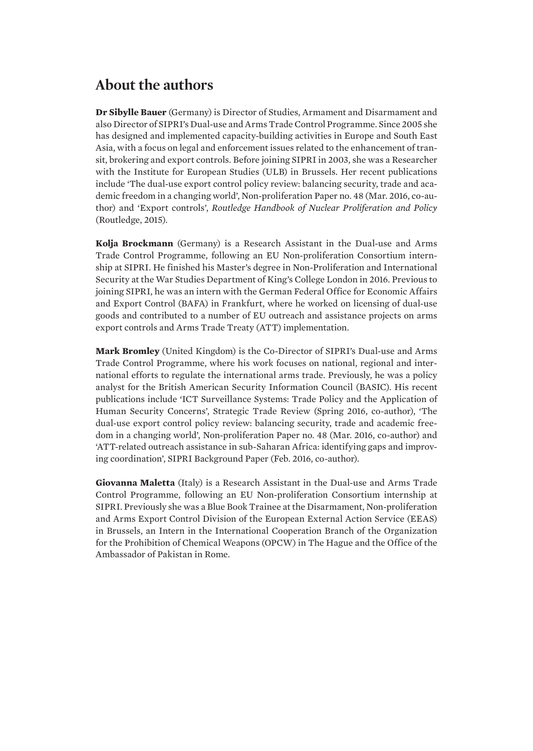# <span id="page-56-0"></span>**About the authors**

**Dr Sibylle Bauer** (Germany) is Director of Studies, Armament and Disarmament and also Director of SIPRI's Dual-use and Arms Trade Control Programme. Since 2005 she has designed and implemented capacity-building activities in Europe and South East Asia, with a focus on legal and enforcement issues related to the enhancement of transit, brokering and export controls. Before joining SIPRI in 2003, she was a Researcher with the Institute for European Studies (ULB) in Brussels. Her recent publications include 'The dual-use export control policy review: balancing security, trade and academic freedom in a changing world', Non-proliferation Paper no. 48 (Mar. 2016, co-author) and 'Export controls', *Routledge Handbook of Nuclear Proliferation and Policy* (Routledge, 2015).

**Kolja Brockmann** (Germany) is a Research Assistant in the Dual-use and Arms Trade Control Programme, following an EU Non-proliferation Consortium internship at SIPRI. He finished his Master's degree in Non-Proliferation and International Security at the War Studies Department of King's College London in 2016. Previous to joining SIPRI, he was an intern with the German Federal Office for Economic Affairs and Export Control (BAFA) in Frankfurt, where he worked on licensing of dual-use goods and contributed to a number of EU outreach and assistance projects on arms export controls and Arms Trade Treaty (ATT) implementation.

**Mark Bromley** (United Kingdom) is the Co-Director of SIPRI's Dual-use and Arms Trade Control Programme, where his work focuses on national, regional and international efforts to regulate the international arms trade. Previously, he was a policy analyst for the British American Security Information Council (BASIC). His recent publications include 'ICT Surveillance Systems: Trade Policy and the Application of Human Security Concerns', Strategic Trade Review (Spring 2016, co-author), 'The dual-use export control policy review: balancing security, trade and academic freedom in a changing world', Non-proliferation Paper no. 48 (Mar. 2016, co-author) and 'ATT-related outreach assistance in sub-Saharan Africa: identifying gaps and improving coordination', SIPRI Background Paper (Feb. 2016, co-author).

**Giovanna Maletta** (Italy) is a Research Assistant in the Dual-use and Arms Trade Control Programme, following an EU Non-proliferation Consortium internship at SIPRI. Previously she was a Blue Book Trainee at the Disarmament, Non-proliferation and Arms Export Control Division of the European External Action Service (EEAS) in Brussels, an Intern in the International Cooperation Branch of the Organization for the Prohibition of Chemical Weapons (OPCW) in The Hague and the Office of the Ambassador of Pakistan in Rome.